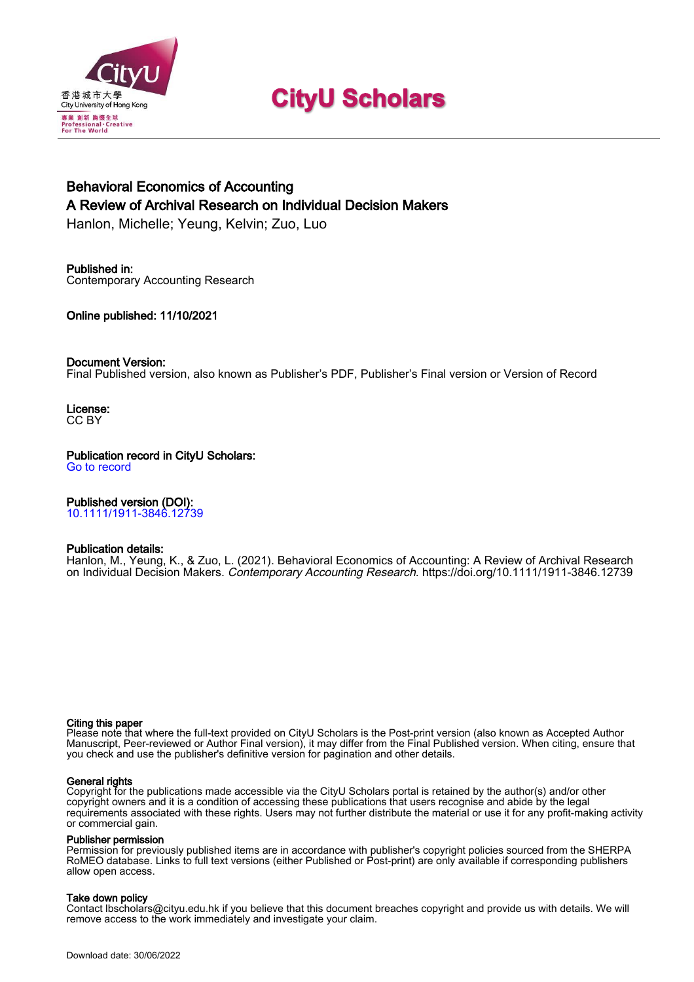

# **CityU Scholars**

# Behavioral Economics of Accounting A Review of Archival Research on Individual Decision Makers

Hanlon, Michelle; Yeung, Kelvin; Zuo, Luo

# Published in:

Contemporary Accounting Research

Online published: 11/10/2021

# Document Version:

Final Published version, also known as Publisher's PDF, Publisher's Final version or Version of Record

License: CC BY

# Publication record in CityU Scholars:

[Go to record](https://scholars.cityu.edu.hk/en/publications/behavioral-economics-of-accounting(b2858e1a-8681-4b39-8bff-2383c407ede7).html)

# Published version (DOI):

[10.1111/1911-3846.12739](https://doi.org/10.1111/1911-3846.12739)

# Publication details:

Hanlon, M[., Yeung, K.,](https://scholars.cityu.edu.hk/en/persons/kelvin-kwok-shing-yeung(3ecf3e59-25a1-4a7b-b535-5124efb8c647).html) & Zuo, L. (2021). [Behavioral Economics of Accounting: A Review of Archival Research](https://scholars.cityu.edu.hk/en/publications/behavioral-economics-of-accounting(b2858e1a-8681-4b39-8bff-2383c407ede7).html) [on Individual Decision Makers.](https://scholars.cityu.edu.hk/en/publications/behavioral-economics-of-accounting(b2858e1a-8681-4b39-8bff-2383c407ede7).html) [Contemporary Accounting Research](https://scholars.cityu.edu.hk/en/journals/contemporary-accounting-research(5d930c0a-b23b-4fb8-bc27-cea819370c68)/publications.html). <https://doi.org/10.1111/1911-3846.12739>

#### Citing this paper

Please note that where the full-text provided on CityU Scholars is the Post-print version (also known as Accepted Author Manuscript, Peer-reviewed or Author Final version), it may differ from the Final Published version. When citing, ensure that you check and use the publisher's definitive version for pagination and other details.

#### General rights

Copyright for the publications made accessible via the CityU Scholars portal is retained by the author(s) and/or other copyright owners and it is a condition of accessing these publications that users recognise and abide by the legal requirements associated with these rights. Users may not further distribute the material or use it for any profit-making activity or commercial gain.

#### Publisher permission

Permission for previously published items are in accordance with publisher's copyright policies sourced from the SHERPA RoMEO database. Links to full text versions (either Published or Post-print) are only available if corresponding publishers allow open access.

# Take down policy

Contact lbscholars@cityu.edu.hk if you believe that this document breaches copyright and provide us with details. We will remove access to the work immediately and investigate your claim.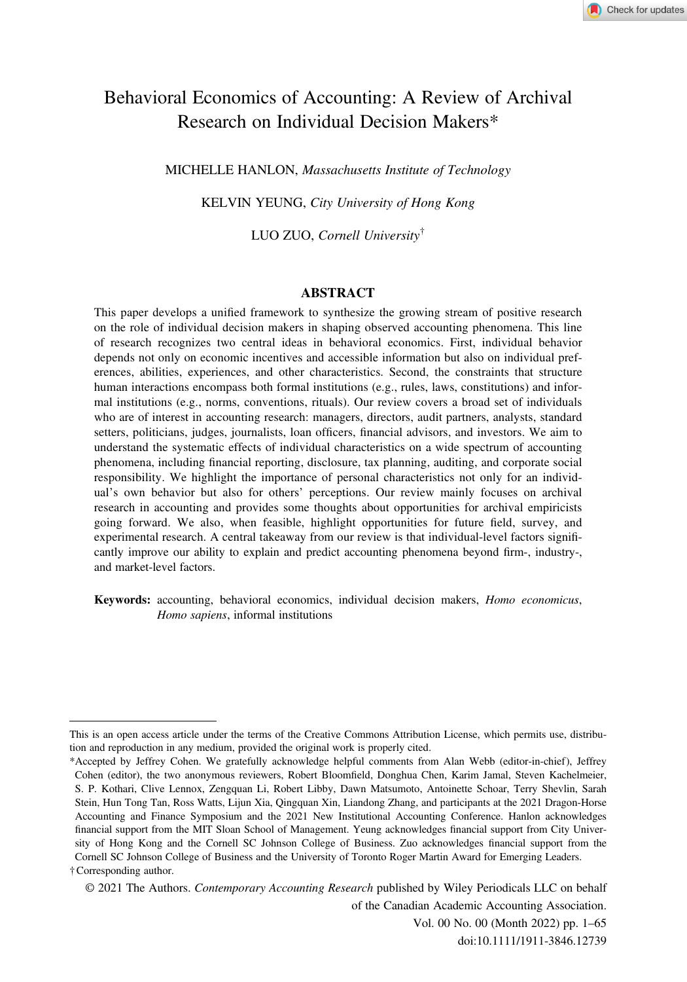# Behavioral Economics of Accounting: A Review of Archival Research on Individual Decision Makers\*

MICHELLE HANLON, Massachusetts Institute of Technology

KELVIN YEUNG, City University of Hong Kong

LUO ZUO, Cornell University†

#### ABSTRACT

This paper develops a unified framework to synthesize the growing stream of positive research on the role of individual decision makers in shaping observed accounting phenomena. This line of research recognizes two central ideas in behavioral economics. First, individual behavior depends not only on economic incentives and accessible information but also on individual preferences, abilities, experiences, and other characteristics. Second, the constraints that structure human interactions encompass both formal institutions (e.g., rules, laws, constitutions) and informal institutions (e.g., norms, conventions, rituals). Our review covers a broad set of individuals who are of interest in accounting research: managers, directors, audit partners, analysts, standard setters, politicians, judges, journalists, loan officers, financial advisors, and investors. We aim to understand the systematic effects of individual characteristics on a wide spectrum of accounting phenomena, including financial reporting, disclosure, tax planning, auditing, and corporate social responsibility. We highlight the importance of personal characteristics not only for an individual's own behavior but also for others' perceptions. Our review mainly focuses on archival research in accounting and provides some thoughts about opportunities for archival empiricists going forward. We also, when feasible, highlight opportunities for future field, survey, and experimental research. A central takeaway from our review is that individual-level factors significantly improve our ability to explain and predict accounting phenomena beyond firm-, industry-, and market-level factors.

Keywords: accounting, behavioral economics, individual decision makers, Homo economicus, Homo sapiens, informal institutions

© 2021 The Authors. Contemporary Accounting Research published by Wiley Periodicals LLC on behalf of the Canadian Academic Accounting Association. Vol. 00 No. 00 (Month 2022) pp. 1–65 doi:10.1111/1911-3846.12739

This is an open access article under the terms of the [Creative Commons Attribution](http://creativecommons.org/licenses/by/4.0/) License, which permits use, distribution and reproduction in any medium, provided the original work is properly cited.

<sup>\*</sup>Accepted by Jeffrey Cohen. We gratefully acknowledge helpful comments from Alan Webb (editor-in-chief), Jeffrey Cohen (editor), the two anonymous reviewers, Robert Bloomfield, Donghua Chen, Karim Jamal, Steven Kachelmeier, S. P. Kothari, Clive Lennox, Zengquan Li, Robert Libby, Dawn Matsumoto, Antoinette Schoar, Terry Shevlin, Sarah Stein, Hun Tong Tan, Ross Watts, Lijun Xia, Qingquan Xin, Liandong Zhang, and participants at the 2021 Dragon-Horse Accounting and Finance Symposium and the 2021 New Institutional Accounting Conference. Hanlon acknowledges financial support from the MIT Sloan School of Management. Yeung acknowledges financial support from City University of Hong Kong and the Cornell SC Johnson College of Business. Zuo acknowledges financial support from the Cornell SC Johnson College of Business and the University of Toronto Roger Martin Award for Emerging Leaders. †Corresponding author.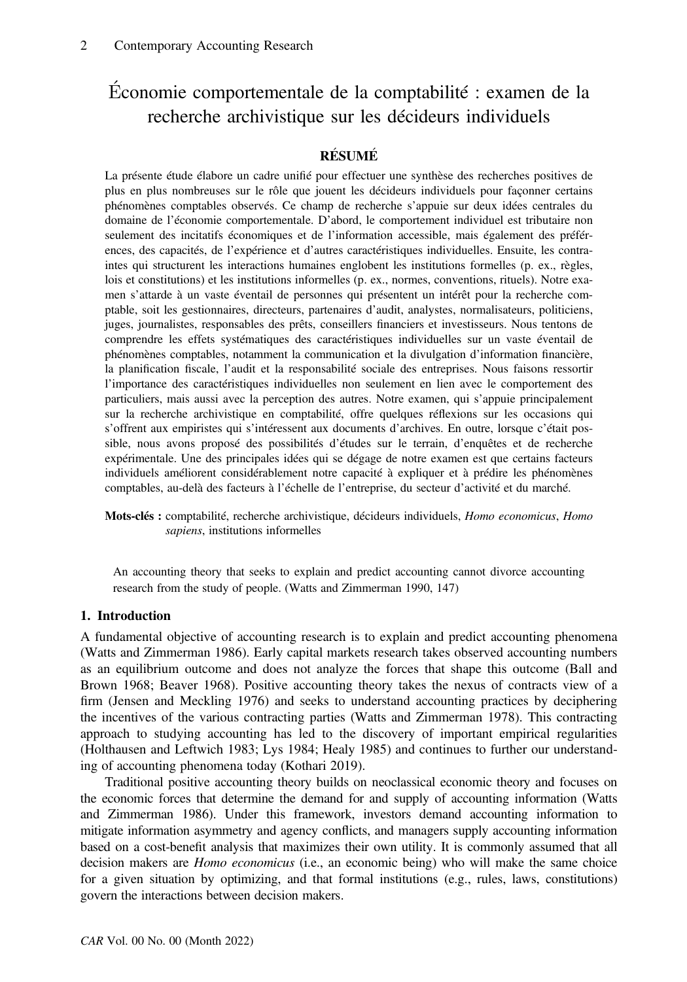# Economie comportementale de la comptabilité : examen de la recherche archivistique sur les décideurs individuels

# **RÉSUMÉ**

La présente étude élabore un cadre unifié pour effectuer une synthèse des recherches positives de plus en plus nombreuses sur le rôle que jouent les décideurs individuels pour façonner certains phénomènes comptables observés. Ce champ de recherche s'appuie sur deux idées centrales du domaine de l'économie comportementale. D'abord, le comportement individuel est tributaire non seulement des incitatifs économiques et de l'information accessible, mais également des préférences, des capacités, de l'expérience et d'autres caractéristiques individuelles. Ensuite, les contraintes qui structurent les interactions humaines englobent les institutions formelles (p. ex., règles, lois et constitutions) et les institutions informelles (p. ex., normes, conventions, rituels). Notre examen s'attarde à un vaste éventail de personnes qui présentent un intérêt pour la recherche comptable, soit les gestionnaires, directeurs, partenaires d'audit, analystes, normalisateurs, politiciens, juges, journalistes, responsables des prêts, conseillers financiers et investisseurs. Nous tentons de comprendre les effets systématiques des caractéristiques individuelles sur un vaste éventail de phénomènes comptables, notamment la communication et la divulgation d'information financière, la planification fiscale, l'audit et la responsabilité sociale des entreprises. Nous faisons ressortir l'importance des caractéristiques individuelles non seulement en lien avec le comportement des particuliers, mais aussi avec la perception des autres. Notre examen, qui s'appuie principalement sur la recherche archivistique en comptabilité, offre quelques réflexions sur les occasions qui s'offrent aux empiristes qui s'intéressent aux documents d'archives. En outre, lorsque c'était possible, nous avons proposé des possibilités d'études sur le terrain, d'enquêtes et de recherche expérimentale. Une des principales idées qui se dégage de notre examen est que certains facteurs individuels améliorent considérablement notre capacité à expliquer et à prédire les phénomènes comptables, au-delà des facteurs à l'échelle de l'entreprise, du secteur d'activité et du marché.

Mots-clés : comptabilité, recherche archivistique, décideurs individuels, Homo economicus, Homo sapiens, institutions informelles

An accounting theory that seeks to explain and predict accounting cannot divorce accounting research from the study of people. (Watts and Zimmerman 1990, 147)

#### 1. Introduction

A fundamental objective of accounting research is to explain and predict accounting phenomena (Watts and Zimmerman 1986). Early capital markets research takes observed accounting numbers as an equilibrium outcome and does not analyze the forces that shape this outcome (Ball and Brown 1968; Beaver 1968). Positive accounting theory takes the nexus of contracts view of a firm (Jensen and Meckling 1976) and seeks to understand accounting practices by deciphering the incentives of the various contracting parties (Watts and Zimmerman 1978). This contracting approach to studying accounting has led to the discovery of important empirical regularities (Holthausen and Leftwich 1983; Lys 1984; Healy 1985) and continues to further our understanding of accounting phenomena today (Kothari 2019).

Traditional positive accounting theory builds on neoclassical economic theory and focuses on the economic forces that determine the demand for and supply of accounting information (Watts and Zimmerman 1986). Under this framework, investors demand accounting information to mitigate information asymmetry and agency conflicts, and managers supply accounting information based on a cost-benefit analysis that maximizes their own utility. It is commonly assumed that all decision makers are *Homo economicus* (i.e., an economic being) who will make the same choice for a given situation by optimizing, and that formal institutions (e.g., rules, laws, constitutions) govern the interactions between decision makers.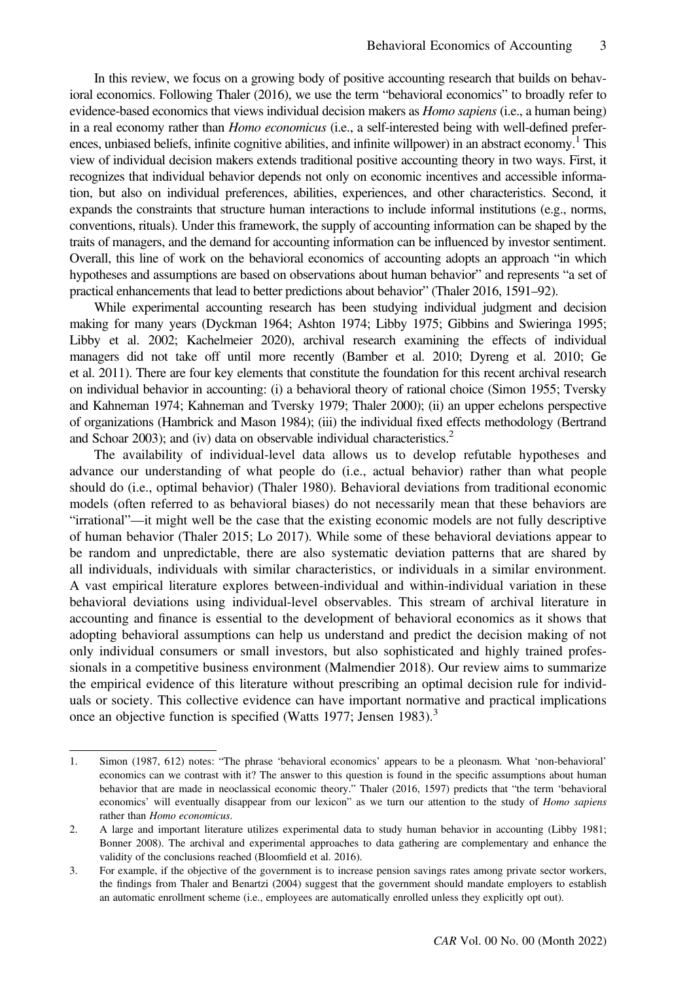In this review, we focus on a growing body of positive accounting research that builds on behavioral economics. Following Thaler (2016), we use the term "behavioral economics" to broadly refer to evidence-based economics that views individual decision makers as *Homo sapiens* (i.e., a human being) in a real economy rather than *Homo economicus* (i.e., a self-interested being with well-defined preferences, unbiased beliefs, infinite cognitive abilities, and infinite will power) in an abstract economy.<sup>1</sup> This view of individual decision makers extends traditional positive accounting theory in two ways. First, it recognizes that individual behavior depends not only on economic incentives and accessible information, but also on individual preferences, abilities, experiences, and other characteristics. Second, it expands the constraints that structure human interactions to include informal institutions (e.g., norms, conventions, rituals). Under this framework, the supply of accounting information can be shaped by the traits of managers, and the demand for accounting information can be influenced by investor sentiment. Overall, this line of work on the behavioral economics of accounting adopts an approach "in which hypotheses and assumptions are based on observations about human behavior" and represents "a set of practical enhancements that lead to better predictions about behavior" (Thaler 2016, 1591–92).

While experimental accounting research has been studying individual judgment and decision making for many years (Dyckman 1964; Ashton 1974; Libby 1975; Gibbins and Swieringa 1995; Libby et al. 2002; Kachelmeier 2020), archival research examining the effects of individual managers did not take off until more recently (Bamber et al. 2010; Dyreng et al. 2010; Ge et al. 2011). There are four key elements that constitute the foundation for this recent archival research on individual behavior in accounting: (i) a behavioral theory of rational choice (Simon 1955; Tversky and Kahneman 1974; Kahneman and Tversky 1979; Thaler 2000); (ii) an upper echelons perspective of organizations (Hambrick and Mason 1984); (iii) the individual fixed effects methodology (Bertrand and Schoar 2003); and (iv) data on observable individual characteristics.<sup>2</sup>

The availability of individual-level data allows us to develop refutable hypotheses and advance our understanding of what people do (i.e., actual behavior) rather than what people should do (i.e., optimal behavior) (Thaler 1980). Behavioral deviations from traditional economic models (often referred to as behavioral biases) do not necessarily mean that these behaviors are "irrational"—it might well be the case that the existing economic models are not fully descriptive of human behavior (Thaler 2015; Lo 2017). While some of these behavioral deviations appear to be random and unpredictable, there are also systematic deviation patterns that are shared by all individuals, individuals with similar characteristics, or individuals in a similar environment. A vast empirical literature explores between-individual and within-individual variation in these behavioral deviations using individual-level observables. This stream of archival literature in accounting and finance is essential to the development of behavioral economics as it shows that adopting behavioral assumptions can help us understand and predict the decision making of not only individual consumers or small investors, but also sophisticated and highly trained professionals in a competitive business environment (Malmendier 2018). Our review aims to summarize the empirical evidence of this literature without prescribing an optimal decision rule for individuals or society. This collective evidence can have important normative and practical implications once an objective function is specified (Watts 1977; Jensen 1983).<sup>3</sup>

<sup>1.</sup> Simon (1987, 612) notes: "The phrase 'behavioral economics' appears to be a pleonasm. What 'non-behavioral' economics can we contrast with it? The answer to this question is found in the specific assumptions about human behavior that are made in neoclassical economic theory." Thaler (2016, 1597) predicts that "the term 'behavioral economics' will eventually disappear from our lexicon" as we turn our attention to the study of Homo sapiens rather than Homo economicus.

<sup>2.</sup> A large and important literature utilizes experimental data to study human behavior in accounting (Libby 1981; Bonner 2008). The archival and experimental approaches to data gathering are complementary and enhance the validity of the conclusions reached (Bloomfield et al. 2016).

<sup>3.</sup> For example, if the objective of the government is to increase pension savings rates among private sector workers, the findings from Thaler and Benartzi (2004) suggest that the government should mandate employers to establish an automatic enrollment scheme (i.e., employees are automatically enrolled unless they explicitly opt out).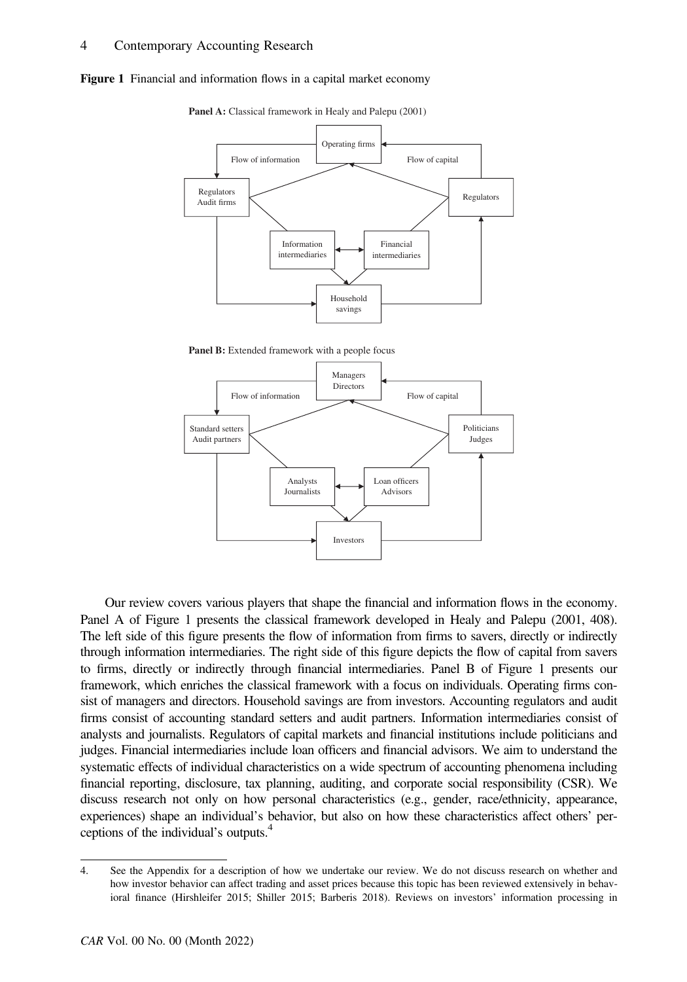



Panel A: Classical framework in Healy and Palepu (2001)

Panel B: Extended framework with a people focus



Our review covers various players that shape the financial and information flows in the economy. Panel A of Figure 1 presents the classical framework developed in Healy and Palepu (2001, 408). The left side of this figure presents the flow of information from firms to savers, directly or indirectly through information intermediaries. The right side of this figure depicts the flow of capital from savers to firms, directly or indirectly through financial intermediaries. Panel B of Figure 1 presents our framework, which enriches the classical framework with a focus on individuals. Operating firms consist of managers and directors. Household savings are from investors. Accounting regulators and audit firms consist of accounting standard setters and audit partners. Information intermediaries consist of analysts and journalists. Regulators of capital markets and financial institutions include politicians and judges. Financial intermediaries include loan officers and financial advisors. We aim to understand the systematic effects of individual characteristics on a wide spectrum of accounting phenomena including financial reporting, disclosure, tax planning, auditing, and corporate social responsibility (CSR). We discuss research not only on how personal characteristics (e.g., gender, race/ethnicity, appearance, experiences) shape an individual's behavior, but also on how these characteristics affect others' perceptions of the individual's outputs.4

<sup>4.</sup> See the Appendix for a description of how we undertake our review. We do not discuss research on whether and how investor behavior can affect trading and asset prices because this topic has been reviewed extensively in behavioral finance (Hirshleifer 2015; Shiller 2015; Barberis 2018). Reviews on investors' information processing in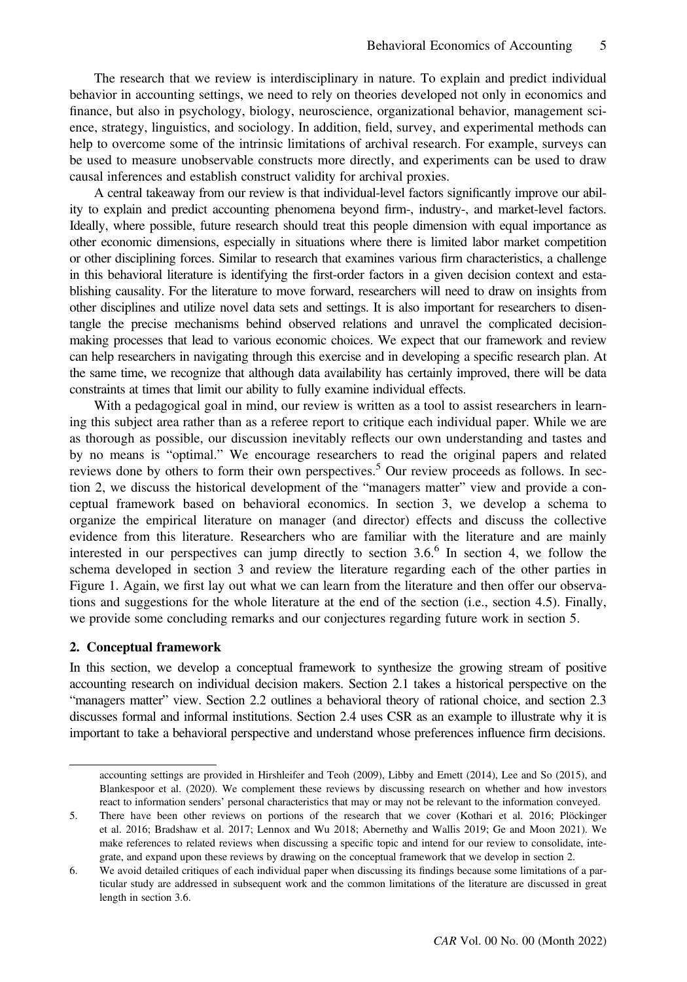The research that we review is interdisciplinary in nature. To explain and predict individual behavior in accounting settings, we need to rely on theories developed not only in economics and finance, but also in psychology, biology, neuroscience, organizational behavior, management science, strategy, linguistics, and sociology. In addition, field, survey, and experimental methods can help to overcome some of the intrinsic limitations of archival research. For example, surveys can be used to measure unobservable constructs more directly, and experiments can be used to draw causal inferences and establish construct validity for archival proxies.

A central takeaway from our review is that individual-level factors significantly improve our ability to explain and predict accounting phenomena beyond firm-, industry-, and market-level factors. Ideally, where possible, future research should treat this people dimension with equal importance as other economic dimensions, especially in situations where there is limited labor market competition or other disciplining forces. Similar to research that examines various firm characteristics, a challenge in this behavioral literature is identifying the first-order factors in a given decision context and establishing causality. For the literature to move forward, researchers will need to draw on insights from other disciplines and utilize novel data sets and settings. It is also important for researchers to disentangle the precise mechanisms behind observed relations and unravel the complicated decisionmaking processes that lead to various economic choices. We expect that our framework and review can help researchers in navigating through this exercise and in developing a specific research plan. At the same time, we recognize that although data availability has certainly improved, there will be data constraints at times that limit our ability to fully examine individual effects.

With a pedagogical goal in mind, our review is written as a tool to assist researchers in learning this subject area rather than as a referee report to critique each individual paper. While we are as thorough as possible, our discussion inevitably reflects our own understanding and tastes and by no means is "optimal." We encourage researchers to read the original papers and related reviews done by others to form their own perspectives.<sup>5</sup> Our review proceeds as follows. In section 2, we discuss the historical development of the "managers matter" view and provide a conceptual framework based on behavioral economics. In section 3, we develop a schema to organize the empirical literature on manager (and director) effects and discuss the collective evidence from this literature. Researchers who are familiar with the literature and are mainly interested in our perspectives can jump directly to section  $3.6$ <sup>6</sup> In section 4, we follow the schema developed in section 3 and review the literature regarding each of the other parties in Figure 1. Again, we first lay out what we can learn from the literature and then offer our observations and suggestions for the whole literature at the end of the section (i.e., section 4.5). Finally, we provide some concluding remarks and our conjectures regarding future work in section 5.

#### 2. Conceptual framework

In this section, we develop a conceptual framework to synthesize the growing stream of positive accounting research on individual decision makers. Section 2.1 takes a historical perspective on the "managers matter" view. Section 2.2 outlines a behavioral theory of rational choice, and section 2.3 discusses formal and informal institutions. Section 2.4 uses CSR as an example to illustrate why it is important to take a behavioral perspective and understand whose preferences influence firm decisions.

accounting settings are provided in Hirshleifer and Teoh (2009), Libby and Emett (2014), Lee and So (2015), and Blankespoor et al. (2020). We complement these reviews by discussing research on whether and how investors react to information senders' personal characteristics that may or may not be relevant to the information conveyed.

<sup>5.</sup> There have been other reviews on portions of the research that we cover (Kothari et al. 2016; Plöckinger et al. 2016; Bradshaw et al. 2017; Lennox and Wu 2018; Abernethy and Wallis 2019; Ge and Moon 2021). We make references to related reviews when discussing a specific topic and intend for our review to consolidate, integrate, and expand upon these reviews by drawing on the conceptual framework that we develop in section 2.

<sup>6.</sup> We avoid detailed critiques of each individual paper when discussing its findings because some limitations of a particular study are addressed in subsequent work and the common limitations of the literature are discussed in great length in section 3.6.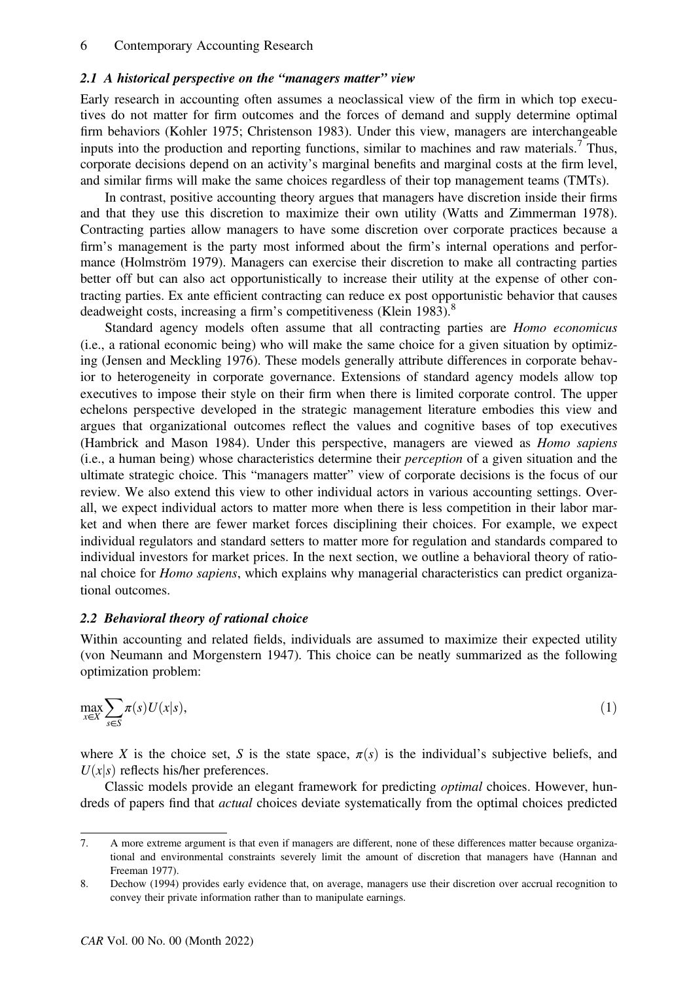#### 2.1 A historical perspective on the "managers matter" view

Early research in accounting often assumes a neoclassical view of the firm in which top executives do not matter for firm outcomes and the forces of demand and supply determine optimal firm behaviors (Kohler 1975; Christenson 1983). Under this view, managers are interchangeable inputs into the production and reporting functions, similar to machines and raw materials.<sup>7</sup> Thus, corporate decisions depend on an activity's marginal benefits and marginal costs at the firm level, and similar firms will make the same choices regardless of their top management teams (TMTs).

In contrast, positive accounting theory argues that managers have discretion inside their firms and that they use this discretion to maximize their own utility (Watts and Zimmerman 1978). Contracting parties allow managers to have some discretion over corporate practices because a firm's management is the party most informed about the firm's internal operations and performance (Holmström 1979). Managers can exercise their discretion to make all contracting parties better off but can also act opportunistically to increase their utility at the expense of other contracting parties. Ex ante efficient contracting can reduce ex post opportunistic behavior that causes deadweight costs, increasing a firm's competitiveness (Klein 1983).<sup>8</sup>

Standard agency models often assume that all contracting parties are Homo economicus (i.e., a rational economic being) who will make the same choice for a given situation by optimizing (Jensen and Meckling 1976). These models generally attribute differences in corporate behavior to heterogeneity in corporate governance. Extensions of standard agency models allow top executives to impose their style on their firm when there is limited corporate control. The upper echelons perspective developed in the strategic management literature embodies this view and argues that organizational outcomes reflect the values and cognitive bases of top executives (Hambrick and Mason 1984). Under this perspective, managers are viewed as Homo sapiens (i.e., a human being) whose characteristics determine their perception of a given situation and the ultimate strategic choice. This "managers matter" view of corporate decisions is the focus of our review. We also extend this view to other individual actors in various accounting settings. Overall, we expect individual actors to matter more when there is less competition in their labor market and when there are fewer market forces disciplining their choices. For example, we expect individual regulators and standard setters to matter more for regulation and standards compared to individual investors for market prices. In the next section, we outline a behavioral theory of rational choice for *Homo sapiens*, which explains why managerial characteristics can predict organizational outcomes.

#### 2.2 Behavioral theory of rational choice

Within accounting and related fields, individuals are assumed to maximize their expected utility (von Neumann and Morgenstern 1947). This choice can be neatly summarized as the following optimization problem:

$$
\max_{x \in X} \sum_{s \in S} \pi(s) U(x|s),\tag{1}
$$

where X is the choice set, S is the state space,  $\pi(s)$  is the individual's subjective beliefs, and  $U(x|s)$  reflects his/her preferences.

Classic models provide an elegant framework for predicting optimal choices. However, hundreds of papers find that *actual* choices deviate systematically from the optimal choices predicted

<sup>7.</sup> A more extreme argument is that even if managers are different, none of these differences matter because organizational and environmental constraints severely limit the amount of discretion that managers have (Hannan and Freeman 1977).

<sup>8.</sup> Dechow (1994) provides early evidence that, on average, managers use their discretion over accrual recognition to convey their private information rather than to manipulate earnings.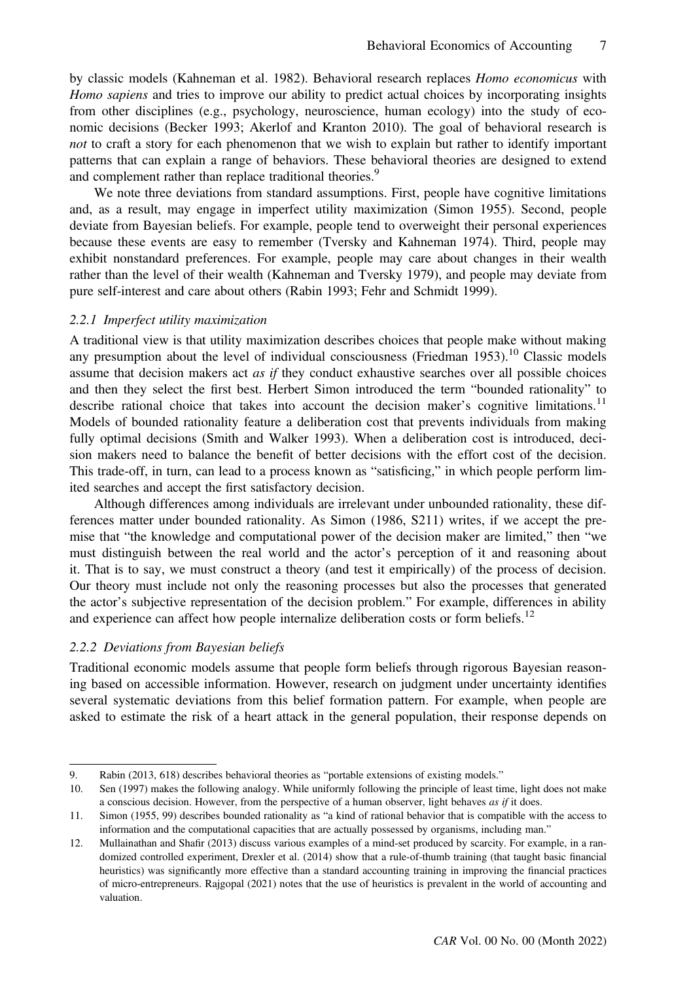by classic models (Kahneman et al. 1982). Behavioral research replaces Homo economicus with Homo sapiens and tries to improve our ability to predict actual choices by incorporating insights from other disciplines (e.g., psychology, neuroscience, human ecology) into the study of economic decisions (Becker 1993; Akerlof and Kranton 2010). The goal of behavioral research is not to craft a story for each phenomenon that we wish to explain but rather to identify important patterns that can explain a range of behaviors. These behavioral theories are designed to extend and complement rather than replace traditional theories.<sup>9</sup>

We note three deviations from standard assumptions. First, people have cognitive limitations and, as a result, may engage in imperfect utility maximization (Simon 1955). Second, people deviate from Bayesian beliefs. For example, people tend to overweight their personal experiences because these events are easy to remember (Tversky and Kahneman 1974). Third, people may exhibit nonstandard preferences. For example, people may care about changes in their wealth rather than the level of their wealth (Kahneman and Tversky 1979), and people may deviate from pure self-interest and care about others (Rabin 1993; Fehr and Schmidt 1999).

#### 2.2.1 Imperfect utility maximization

A traditional view is that utility maximization describes choices that people make without making any presumption about the level of individual consciousness (Friedman  $1953$ ).<sup>10</sup> Classic models assume that decision makers act *as if* they conduct exhaustive searches over all possible choices and then they select the first best. Herbert Simon introduced the term "bounded rationality" to describe rational choice that takes into account the decision maker's cognitive limitations.<sup>11</sup> Models of bounded rationality feature a deliberation cost that prevents individuals from making fully optimal decisions (Smith and Walker 1993). When a deliberation cost is introduced, decision makers need to balance the benefit of better decisions with the effort cost of the decision. This trade-off, in turn, can lead to a process known as "satisficing," in which people perform limited searches and accept the first satisfactory decision.

Although differences among individuals are irrelevant under unbounded rationality, these differences matter under bounded rationality. As Simon (1986, S211) writes, if we accept the premise that "the knowledge and computational power of the decision maker are limited," then "we must distinguish between the real world and the actor's perception of it and reasoning about it. That is to say, we must construct a theory (and test it empirically) of the process of decision. Our theory must include not only the reasoning processes but also the processes that generated the actor's subjective representation of the decision problem." For example, differences in ability and experience can affect how people internalize deliberation costs or form beliefs.<sup>12</sup>

#### 2.2.2 Deviations from Bayesian beliefs

Traditional economic models assume that people form beliefs through rigorous Bayesian reasoning based on accessible information. However, research on judgment under uncertainty identifies several systematic deviations from this belief formation pattern. For example, when people are asked to estimate the risk of a heart attack in the general population, their response depends on

<sup>9.</sup> Rabin (2013, 618) describes behavioral theories as "portable extensions of existing models."

<sup>10.</sup> Sen (1997) makes the following analogy. While uniformly following the principle of least time, light does not make a conscious decision. However, from the perspective of a human observer, light behaves as if it does.

<sup>11.</sup> Simon (1955, 99) describes bounded rationality as "a kind of rational behavior that is compatible with the access to information and the computational capacities that are actually possessed by organisms, including man."

<sup>12.</sup> Mullainathan and Shafir (2013) discuss various examples of a mind-set produced by scarcity. For example, in a randomized controlled experiment, Drexler et al. (2014) show that a rule-of-thumb training (that taught basic financial heuristics) was significantly more effective than a standard accounting training in improving the financial practices of micro-entrepreneurs. Rajgopal (2021) notes that the use of heuristics is prevalent in the world of accounting and valuation.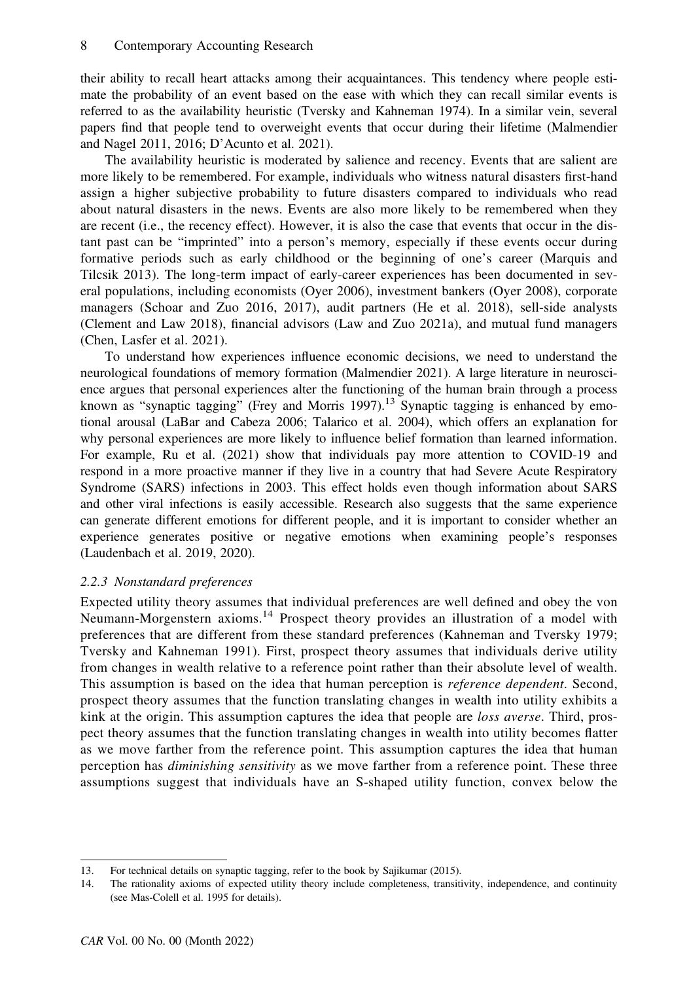their ability to recall heart attacks among their acquaintances. This tendency where people estimate the probability of an event based on the ease with which they can recall similar events is referred to as the availability heuristic (Tversky and Kahneman 1974). In a similar vein, several papers find that people tend to overweight events that occur during their lifetime (Malmendier and Nagel 2011, 2016; D'Acunto et al. 2021).

The availability heuristic is moderated by salience and recency. Events that are salient are more likely to be remembered. For example, individuals who witness natural disasters first-hand assign a higher subjective probability to future disasters compared to individuals who read about natural disasters in the news. Events are also more likely to be remembered when they are recent (i.e., the recency effect). However, it is also the case that events that occur in the distant past can be "imprinted" into a person's memory, especially if these events occur during formative periods such as early childhood or the beginning of one's career (Marquis and Tilcsik 2013). The long-term impact of early-career experiences has been documented in several populations, including economists (Oyer 2006), investment bankers (Oyer 2008), corporate managers (Schoar and Zuo 2016, 2017), audit partners (He et al. 2018), sell-side analysts (Clement and Law 2018), financial advisors (Law and Zuo 2021a), and mutual fund managers (Chen, Lasfer et al. 2021).

To understand how experiences influence economic decisions, we need to understand the neurological foundations of memory formation (Malmendier 2021). A large literature in neuroscience argues that personal experiences alter the functioning of the human brain through a process known as "synaptic tagging" (Frey and Morris 1997).<sup>13</sup> Synaptic tagging is enhanced by emotional arousal (LaBar and Cabeza 2006; Talarico et al. 2004), which offers an explanation for why personal experiences are more likely to influence belief formation than learned information. For example, Ru et al. (2021) show that individuals pay more attention to COVID-19 and respond in a more proactive manner if they live in a country that had Severe Acute Respiratory Syndrome (SARS) infections in 2003. This effect holds even though information about SARS and other viral infections is easily accessible. Research also suggests that the same experience can generate different emotions for different people, and it is important to consider whether an experience generates positive or negative emotions when examining people's responses (Laudenbach et al. 2019, 2020).

# 2.2.3 Nonstandard preferences

Expected utility theory assumes that individual preferences are well defined and obey the von Neumann-Morgenstern axioms.<sup>14</sup> Prospect theory provides an illustration of a model with preferences that are different from these standard preferences (Kahneman and Tversky 1979; Tversky and Kahneman 1991). First, prospect theory assumes that individuals derive utility from changes in wealth relative to a reference point rather than their absolute level of wealth. This assumption is based on the idea that human perception is *reference dependent*. Second, prospect theory assumes that the function translating changes in wealth into utility exhibits a kink at the origin. This assumption captures the idea that people are *loss averse*. Third, prospect theory assumes that the function translating changes in wealth into utility becomes flatter as we move farther from the reference point. This assumption captures the idea that human perception has *diminishing sensitivity* as we move farther from a reference point. These three assumptions suggest that individuals have an S-shaped utility function, convex below the

<sup>13.</sup> For technical details on synaptic tagging, refer to the book by Sajikumar (2015).

<sup>14.</sup> The rationality axioms of expected utility theory include completeness, transitivity, independence, and continuity (see Mas-Colell et al. 1995 for details).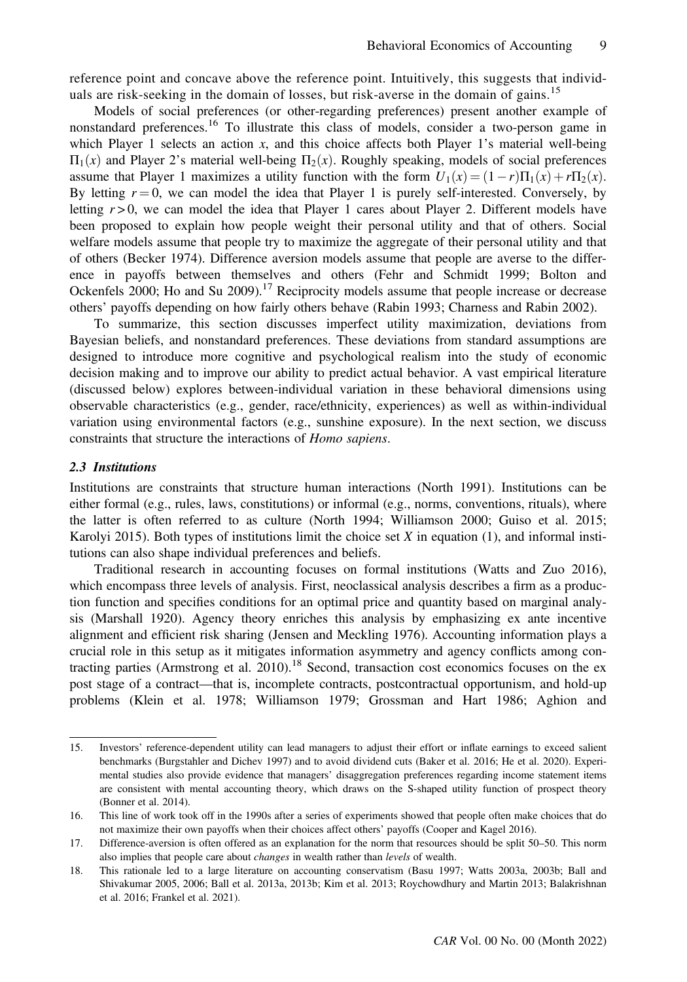reference point and concave above the reference point. Intuitively, this suggests that individuals are risk-seeking in the domain of losses, but risk-averse in the domain of gains.<sup>15</sup>

Models of social preferences (or other-regarding preferences) present another example of nonstandard preferences.<sup>16</sup> To illustrate this class of models, consider a two-person game in which Player 1 selects an action  $x$ , and this choice affects both Player 1's material well-being  $\Pi_1(x)$  and Player 2's material well-being  $\Pi_2(x)$ . Roughly speaking, models of social preferences assume that Player 1 maximizes a utility function with the form  $U_1(x) = (1 - r)\Pi_1(x) + r\Pi_2(x)$ . By letting  $r = 0$ , we can model the idea that Player 1 is purely self-interested. Conversely, by letting  $r > 0$ , we can model the idea that Player 1 cares about Player 2. Different models have been proposed to explain how people weight their personal utility and that of others. Social welfare models assume that people try to maximize the aggregate of their personal utility and that of others (Becker 1974). Difference aversion models assume that people are averse to the difference in payoffs between themselves and others (Fehr and Schmidt 1999; Bolton and Ockenfels 2000; Ho and Su  $2009$ .<sup>17</sup> Reciprocity models assume that people increase or decrease others' payoffs depending on how fairly others behave (Rabin 1993; Charness and Rabin 2002).

To summarize, this section discusses imperfect utility maximization, deviations from Bayesian beliefs, and nonstandard preferences. These deviations from standard assumptions are designed to introduce more cognitive and psychological realism into the study of economic decision making and to improve our ability to predict actual behavior. A vast empirical literature (discussed below) explores between-individual variation in these behavioral dimensions using observable characteristics (e.g., gender, race/ethnicity, experiences) as well as within-individual variation using environmental factors (e.g., sunshine exposure). In the next section, we discuss constraints that structure the interactions of Homo sapiens.

#### 2.3 Institutions

Institutions are constraints that structure human interactions (North 1991). Institutions can be either formal (e.g., rules, laws, constitutions) or informal (e.g., norms, conventions, rituals), where the latter is often referred to as culture (North 1994; Williamson 2000; Guiso et al. 2015; Karolyi 2015). Both types of institutions limit the choice set  $X$  in equation (1), and informal institutions can also shape individual preferences and beliefs.

Traditional research in accounting focuses on formal institutions (Watts and Zuo 2016), which encompass three levels of analysis. First, neoclassical analysis describes a firm as a production function and specifies conditions for an optimal price and quantity based on marginal analysis (Marshall 1920). Agency theory enriches this analysis by emphasizing ex ante incentive alignment and efficient risk sharing (Jensen and Meckling 1976). Accounting information plays a crucial role in this setup as it mitigates information asymmetry and agency conflicts among contracting parties (Armstrong et al. 2010).<sup>18</sup> Second, transaction cost economics focuses on the ex post stage of a contract—that is, incomplete contracts, postcontractual opportunism, and hold-up problems (Klein et al. 1978; Williamson 1979; Grossman and Hart 1986; Aghion and

<sup>15.</sup> Investors' reference-dependent utility can lead managers to adjust their effort or inflate earnings to exceed salient benchmarks (Burgstahler and Dichev 1997) and to avoid dividend cuts (Baker et al. 2016; He et al. 2020). Experimental studies also provide evidence that managers' disaggregation preferences regarding income statement items are consistent with mental accounting theory, which draws on the S-shaped utility function of prospect theory (Bonner et al. 2014).

<sup>16.</sup> This line of work took off in the 1990s after a series of experiments showed that people often make choices that do not maximize their own payoffs when their choices affect others' payoffs (Cooper and Kagel 2016).

<sup>17.</sup> Difference-aversion is often offered as an explanation for the norm that resources should be split 50–50. This norm also implies that people care about changes in wealth rather than levels of wealth.

<sup>18.</sup> This rationale led to a large literature on accounting conservatism (Basu 1997; Watts 2003a, 2003b; Ball and Shivakumar 2005, 2006; Ball et al. 2013a, 2013b; Kim et al. 2013; Roychowdhury and Martin 2013; Balakrishnan et al. 2016; Frankel et al. 2021).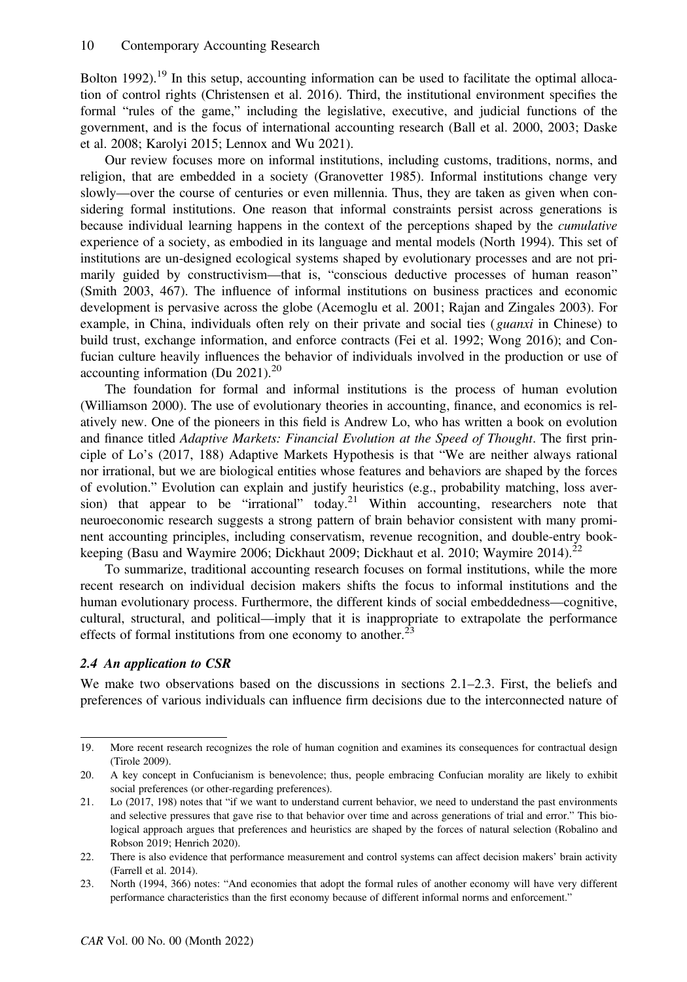Bolton 1992).<sup>19</sup> In this setup, accounting information can be used to facilitate the optimal allocation of control rights (Christensen et al. 2016). Third, the institutional environment specifies the formal "rules of the game," including the legislative, executive, and judicial functions of the government, and is the focus of international accounting research (Ball et al. 2000, 2003; Daske et al. 2008; Karolyi 2015; Lennox and Wu 2021).

Our review focuses more on informal institutions, including customs, traditions, norms, and religion, that are embedded in a society (Granovetter 1985). Informal institutions change very slowly—over the course of centuries or even millennia. Thus, they are taken as given when considering formal institutions. One reason that informal constraints persist across generations is because individual learning happens in the context of the perceptions shaped by the cumulative experience of a society, as embodied in its language and mental models (North 1994). This set of institutions are un-designed ecological systems shaped by evolutionary processes and are not primarily guided by constructivism—that is, "conscious deductive processes of human reason" (Smith 2003, 467). The influence of informal institutions on business practices and economic development is pervasive across the globe (Acemoglu et al. 2001; Rajan and Zingales 2003). For example, in China, individuals often rely on their private and social ties (*guanxi* in Chinese) to build trust, exchange information, and enforce contracts (Fei et al. 1992; Wong 2016); and Confucian culture heavily influences the behavior of individuals involved in the production or use of accounting information (Du  $2021$ ).<sup>20</sup>

The foundation for formal and informal institutions is the process of human evolution (Williamson 2000). The use of evolutionary theories in accounting, finance, and economics is relatively new. One of the pioneers in this field is Andrew Lo, who has written a book on evolution and finance titled Adaptive Markets: Financial Evolution at the Speed of Thought. The first principle of Lo's (2017, 188) Adaptive Markets Hypothesis is that "We are neither always rational nor irrational, but we are biological entities whose features and behaviors are shaped by the forces of evolution." Evolution can explain and justify heuristics (e.g., probability matching, loss aversion) that appear to be "irrational" today.<sup>21</sup> Within accounting, researchers note that neuroeconomic research suggests a strong pattern of brain behavior consistent with many prominent accounting principles, including conservatism, revenue recognition, and double-entry bookkeeping (Basu and Waymire 2006; Dickhaut 2009; Dickhaut et al. 2010; Waymire 2014).<sup>22</sup>

To summarize, traditional accounting research focuses on formal institutions, while the more recent research on individual decision makers shifts the focus to informal institutions and the human evolutionary process. Furthermore, the different kinds of social embeddedness—cognitive, cultural, structural, and political—imply that it is inappropriate to extrapolate the performance effects of formal institutions from one economy to another.<sup>23</sup>

# 2.4 An application to CSR

We make two observations based on the discussions in sections 2.1–2.3. First, the beliefs and preferences of various individuals can influence firm decisions due to the interconnected nature of

<sup>19.</sup> More recent research recognizes the role of human cognition and examines its consequences for contractual design (Tirole 2009).

<sup>20.</sup> A key concept in Confucianism is benevolence; thus, people embracing Confucian morality are likely to exhibit social preferences (or other-regarding preferences).

<sup>21.</sup> Lo (2017, 198) notes that "if we want to understand current behavior, we need to understand the past environments and selective pressures that gave rise to that behavior over time and across generations of trial and error." This biological approach argues that preferences and heuristics are shaped by the forces of natural selection (Robalino and Robson 2019; Henrich 2020).

<sup>22.</sup> There is also evidence that performance measurement and control systems can affect decision makers' brain activity (Farrell et al. 2014).

<sup>23.</sup> North (1994, 366) notes: "And economies that adopt the formal rules of another economy will have very different performance characteristics than the first economy because of different informal norms and enforcement."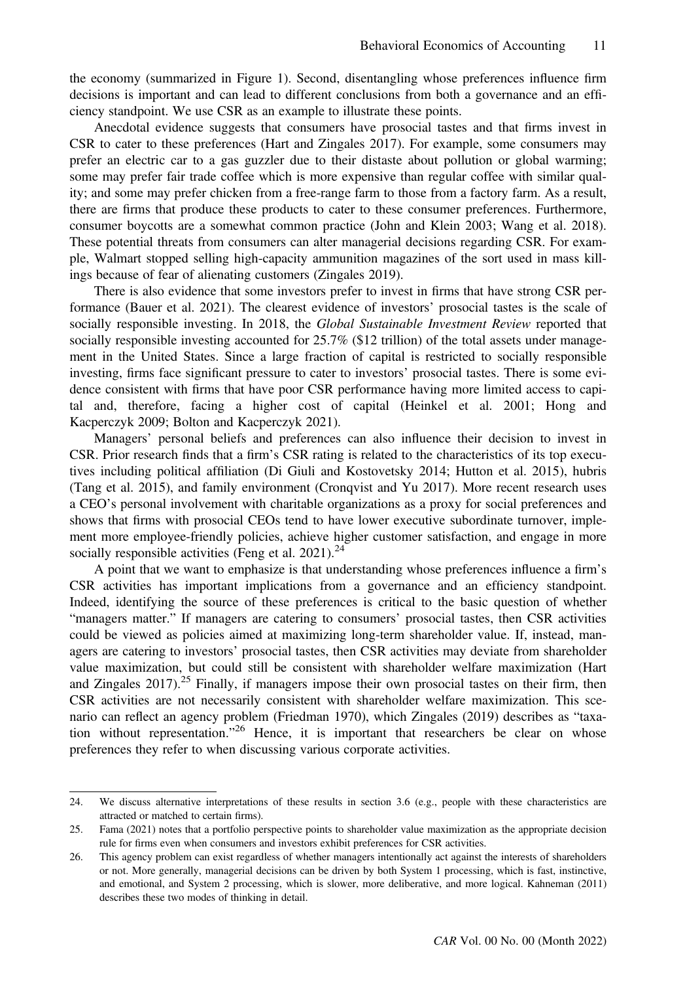the economy (summarized in Figure 1). Second, disentangling whose preferences influence firm decisions is important and can lead to different conclusions from both a governance and an efficiency standpoint. We use CSR as an example to illustrate these points.

Anecdotal evidence suggests that consumers have prosocial tastes and that firms invest in CSR to cater to these preferences (Hart and Zingales 2017). For example, some consumers may prefer an electric car to a gas guzzler due to their distaste about pollution or global warming; some may prefer fair trade coffee which is more expensive than regular coffee with similar quality; and some may prefer chicken from a free-range farm to those from a factory farm. As a result, there are firms that produce these products to cater to these consumer preferences. Furthermore, consumer boycotts are a somewhat common practice (John and Klein 2003; Wang et al. 2018). These potential threats from consumers can alter managerial decisions regarding CSR. For example, Walmart stopped selling high-capacity ammunition magazines of the sort used in mass killings because of fear of alienating customers (Zingales 2019).

There is also evidence that some investors prefer to invest in firms that have strong CSR performance (Bauer et al. 2021). The clearest evidence of investors' prosocial tastes is the scale of socially responsible investing. In 2018, the Global Sustainable Investment Review reported that socially responsible investing accounted for 25.7% (\$12 trillion) of the total assets under management in the United States. Since a large fraction of capital is restricted to socially responsible investing, firms face significant pressure to cater to investors' prosocial tastes. There is some evidence consistent with firms that have poor CSR performance having more limited access to capital and, therefore, facing a higher cost of capital (Heinkel et al. 2001; Hong and Kacperczyk 2009; Bolton and Kacperczyk 2021).

Managers' personal beliefs and preferences can also influence their decision to invest in CSR. Prior research finds that a firm's CSR rating is related to the characteristics of its top executives including political affiliation (Di Giuli and Kostovetsky 2014; Hutton et al. 2015), hubris (Tang et al. 2015), and family environment (Cronqvist and Yu 2017). More recent research uses a CEO's personal involvement with charitable organizations as a proxy for social preferences and shows that firms with prosocial CEOs tend to have lower executive subordinate turnover, implement more employee-friendly policies, achieve higher customer satisfaction, and engage in more socially responsible activities (Feng et al.  $2021$ ).<sup>24</sup>

A point that we want to emphasize is that understanding whose preferences influence a firm's CSR activities has important implications from a governance and an efficiency standpoint. Indeed, identifying the source of these preferences is critical to the basic question of whether "managers matter." If managers are catering to consumers' prosocial tastes, then CSR activities could be viewed as policies aimed at maximizing long-term shareholder value. If, instead, managers are catering to investors' prosocial tastes, then CSR activities may deviate from shareholder value maximization, but could still be consistent with shareholder welfare maximization (Hart and Zingales  $2017$ .<sup>25</sup> Finally, if managers impose their own prosocial tastes on their firm, then CSR activities are not necessarily consistent with shareholder welfare maximization. This scenario can reflect an agency problem (Friedman 1970), which Zingales (2019) describes as "taxation without representation."<sup>26</sup> Hence, it is important that researchers be clear on whose preferences they refer to when discussing various corporate activities.

<sup>24.</sup> We discuss alternative interpretations of these results in section 3.6 (e.g., people with these characteristics are attracted or matched to certain firms).

<sup>25.</sup> Fama (2021) notes that a portfolio perspective points to shareholder value maximization as the appropriate decision rule for firms even when consumers and investors exhibit preferences for CSR activities.

<sup>26.</sup> This agency problem can exist regardless of whether managers intentionally act against the interests of shareholders or not. More generally, managerial decisions can be driven by both System 1 processing, which is fast, instinctive, and emotional, and System 2 processing, which is slower, more deliberative, and more logical. Kahneman (2011) describes these two modes of thinking in detail.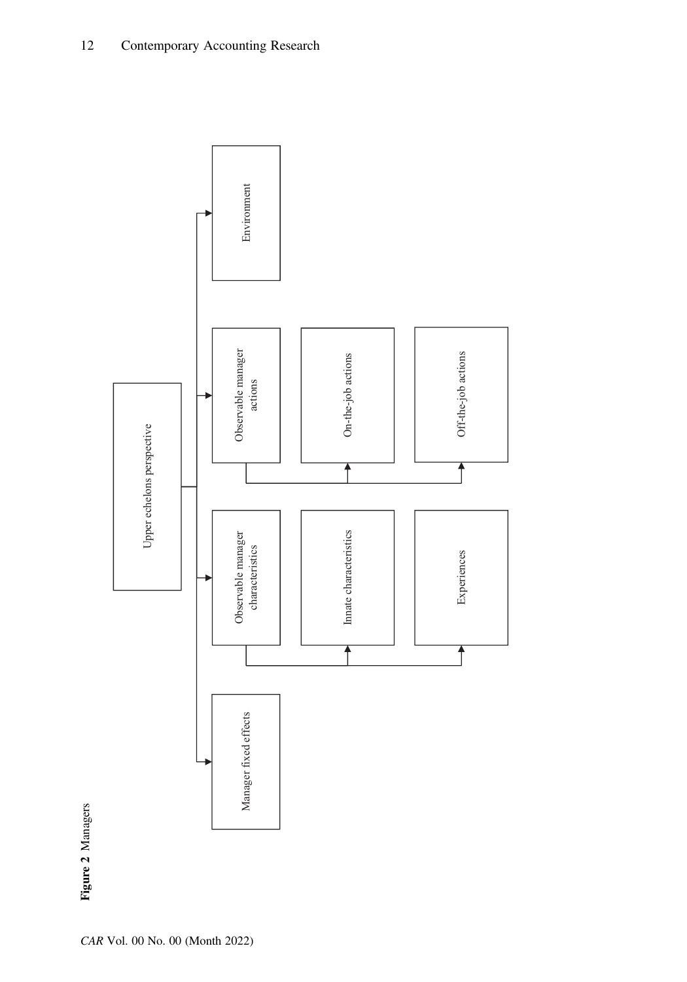

Figure 2 Managers Figure 2 Managers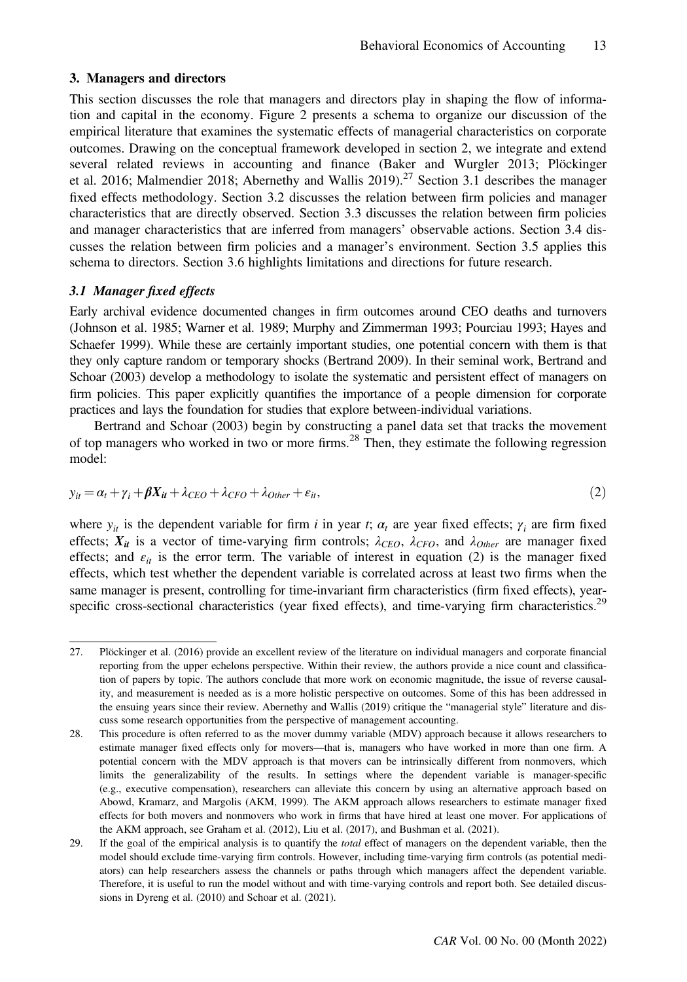#### 3. Managers and directors

This section discusses the role that managers and directors play in shaping the flow of information and capital in the economy. Figure 2 presents a schema to organize our discussion of the empirical literature that examines the systematic effects of managerial characteristics on corporate outcomes. Drawing on the conceptual framework developed in section 2, we integrate and extend several related reviews in accounting and finance (Baker and Wurgler 2013; Plöckinger et al. 2016; Malmendier 2018; Abernethy and Wallis 2019).<sup>27</sup> Section 3.1 describes the manager fixed effects methodology. Section 3.2 discusses the relation between firm policies and manager characteristics that are directly observed. Section 3.3 discusses the relation between firm policies and manager characteristics that are inferred from managers' observable actions. Section 3.4 discusses the relation between firm policies and a manager's environment. Section 3.5 applies this schema to directors. Section 3.6 highlights limitations and directions for future research.

#### 3.1 Manager fixed effects

Early archival evidence documented changes in firm outcomes around CEO deaths and turnovers (Johnson et al. 1985; Warner et al. 1989; Murphy and Zimmerman 1993; Pourciau 1993; Hayes and Schaefer 1999). While these are certainly important studies, one potential concern with them is that they only capture random or temporary shocks (Bertrand 2009). In their seminal work, Bertrand and Schoar (2003) develop a methodology to isolate the systematic and persistent effect of managers on firm policies. This paper explicitly quantifies the importance of a people dimension for corporate practices and lays the foundation for studies that explore between-individual variations.

Bertrand and Schoar (2003) begin by constructing a panel data set that tracks the movement of top managers who worked in two or more firms.<sup>28</sup> Then, they estimate the following regression model:

$$
y_{it} = \alpha_t + \gamma_i + \beta X_{it} + \lambda_{CEO} + \lambda_{CFO} + \lambda_{Other} + \varepsilon_{it},
$$
\n(2)

where  $y_{it}$  is the dependent variable for firm i in year t;  $\alpha_t$  are year fixed effects;  $\gamma_i$  are firm fixed effects;  $X_{it}$  is a vector of time-varying firm controls;  $\lambda_{CEO}$ ,  $\lambda_{CFO}$ , and  $\lambda_{Other}$  are manager fixed effects; and  $\varepsilon_{it}$  is the error term. The variable of interest in equation (2) is the manager fixed effects, which test whether the dependent variable is correlated across at least two firms when the same manager is present, controlling for time-invariant firm characteristics (firm fixed effects), yearspecific cross-sectional characteristics (year fixed effects), and time-varying firm characteristics.<sup>29</sup>

<sup>27.</sup> Plöckinger et al. (2016) provide an excellent review of the literature on individual managers and corporate financial reporting from the upper echelons perspective. Within their review, the authors provide a nice count and classification of papers by topic. The authors conclude that more work on economic magnitude, the issue of reverse causality, and measurement is needed as is a more holistic perspective on outcomes. Some of this has been addressed in the ensuing years since their review. Abernethy and Wallis (2019) critique the "managerial style" literature and discuss some research opportunities from the perspective of management accounting.

<sup>28.</sup> This procedure is often referred to as the mover dummy variable (MDV) approach because it allows researchers to estimate manager fixed effects only for movers—that is, managers who have worked in more than one firm. A potential concern with the MDV approach is that movers can be intrinsically different from nonmovers, which limits the generalizability of the results. In settings where the dependent variable is manager-specific (e.g., executive compensation), researchers can alleviate this concern by using an alternative approach based on Abowd, Kramarz, and Margolis (AKM, 1999). The AKM approach allows researchers to estimate manager fixed effects for both movers and nonmovers who work in firms that have hired at least one mover. For applications of the AKM approach, see Graham et al. (2012), Liu et al. (2017), and Bushman et al. (2021).

<sup>29.</sup> If the goal of the empirical analysis is to quantify the total effect of managers on the dependent variable, then the model should exclude time-varying firm controls. However, including time-varying firm controls (as potential mediators) can help researchers assess the channels or paths through which managers affect the dependent variable. Therefore, it is useful to run the model without and with time-varying controls and report both. See detailed discussions in Dyreng et al. (2010) and Schoar et al. (2021).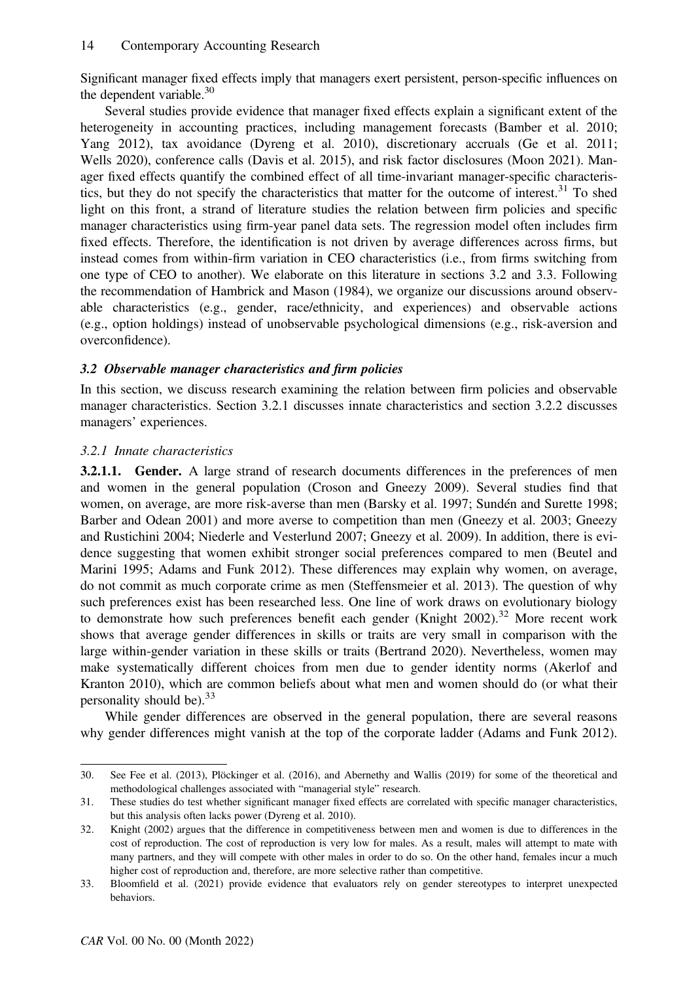Significant manager fixed effects imply that managers exert persistent, person-specific influences on the dependent variable. $30$ 

Several studies provide evidence that manager fixed effects explain a significant extent of the heterogeneity in accounting practices, including management forecasts (Bamber et al. 2010; Yang 2012), tax avoidance (Dyreng et al. 2010), discretionary accruals (Ge et al. 2011; Wells 2020), conference calls (Davis et al. 2015), and risk factor disclosures (Moon 2021). Manager fixed effects quantify the combined effect of all time-invariant manager-specific characteristics, but they do not specify the characteristics that matter for the outcome of interest.<sup>31</sup> To shed light on this front, a strand of literature studies the relation between firm policies and specific manager characteristics using firm-year panel data sets. The regression model often includes firm fixed effects. Therefore, the identification is not driven by average differences across firms, but instead comes from within-firm variation in CEO characteristics (i.e., from firms switching from one type of CEO to another). We elaborate on this literature in sections 3.2 and 3.3. Following the recommendation of Hambrick and Mason (1984), we organize our discussions around observable characteristics (e.g., gender, race/ethnicity, and experiences) and observable actions (e.g., option holdings) instead of unobservable psychological dimensions (e.g., risk-aversion and overconfidence).

# 3.2 Observable manager characteristics and firm policies

In this section, we discuss research examining the relation between firm policies and observable manager characteristics. Section 3.2.1 discusses innate characteristics and section 3.2.2 discusses managers' experiences.

# 3.2.1 Innate characteristics

3.2.1.1. Gender. A large strand of research documents differences in the preferences of men and women in the general population (Croson and Gneezy 2009). Several studies find that women, on average, are more risk-averse than men (Barsky et al. 1997; Sundén and Surette 1998; Barber and Odean 2001) and more averse to competition than men (Gneezy et al. 2003; Gneezy and Rustichini 2004; Niederle and Vesterlund 2007; Gneezy et al. 2009). In addition, there is evidence suggesting that women exhibit stronger social preferences compared to men (Beutel and Marini 1995; Adams and Funk 2012). These differences may explain why women, on average, do not commit as much corporate crime as men (Steffensmeier et al. 2013). The question of why such preferences exist has been researched less. One line of work draws on evolutionary biology to demonstrate how such preferences benefit each gender (Knight 2002).<sup>32</sup> More recent work shows that average gender differences in skills or traits are very small in comparison with the large within-gender variation in these skills or traits (Bertrand 2020). Nevertheless, women may make systematically different choices from men due to gender identity norms (Akerlof and Kranton 2010), which are common beliefs about what men and women should do (or what their personality should be). $^{33}$ 

While gender differences are observed in the general population, there are several reasons why gender differences might vanish at the top of the corporate ladder (Adams and Funk 2012).

<sup>30.</sup> See Fee et al. (2013), Plöckinger et al. (2016), and Abernethy and Wallis (2019) for some of the theoretical and methodological challenges associated with "managerial style" research.

<sup>31.</sup> These studies do test whether significant manager fixed effects are correlated with specific manager characteristics, but this analysis often lacks power (Dyreng et al. 2010).

<sup>32.</sup> Knight (2002) argues that the difference in competitiveness between men and women is due to differences in the cost of reproduction. The cost of reproduction is very low for males. As a result, males will attempt to mate with many partners, and they will compete with other males in order to do so. On the other hand, females incur a much higher cost of reproduction and, therefore, are more selective rather than competitive.

<sup>33.</sup> Bloomfield et al. (2021) provide evidence that evaluators rely on gender stereotypes to interpret unexpected behaviors.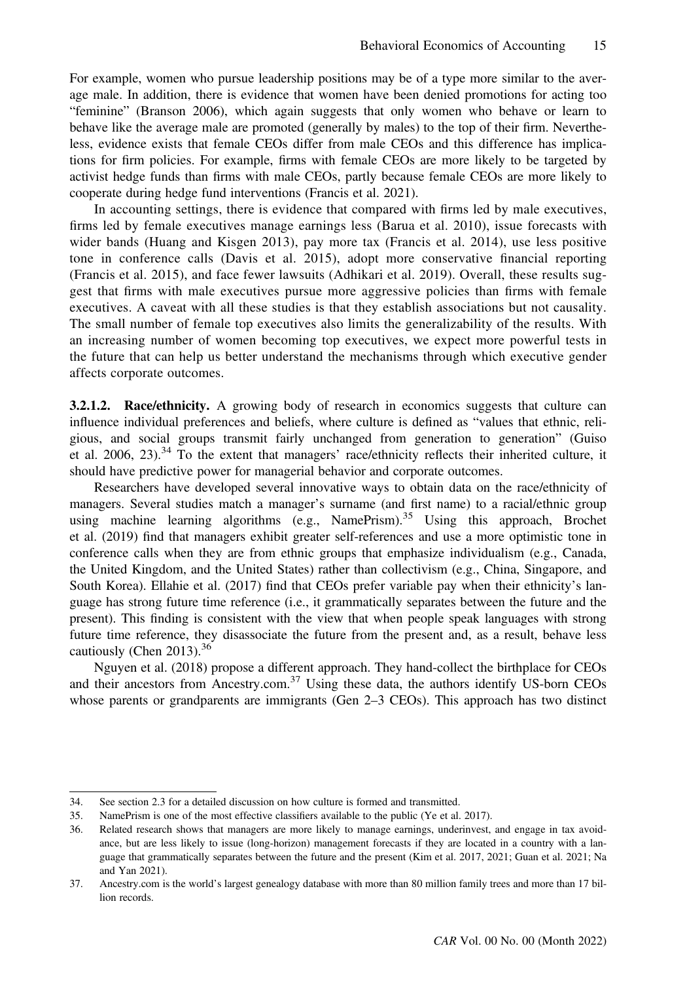For example, women who pursue leadership positions may be of a type more similar to the average male. In addition, there is evidence that women have been denied promotions for acting too "feminine" (Branson 2006), which again suggests that only women who behave or learn to behave like the average male are promoted (generally by males) to the top of their firm. Nevertheless, evidence exists that female CEOs differ from male CEOs and this difference has implications for firm policies. For example, firms with female CEOs are more likely to be targeted by activist hedge funds than firms with male CEOs, partly because female CEOs are more likely to cooperate during hedge fund interventions (Francis et al. 2021).

In accounting settings, there is evidence that compared with firms led by male executives, firms led by female executives manage earnings less (Barua et al. 2010), issue forecasts with wider bands (Huang and Kisgen 2013), pay more tax (Francis et al. 2014), use less positive tone in conference calls (Davis et al. 2015), adopt more conservative financial reporting (Francis et al. 2015), and face fewer lawsuits (Adhikari et al. 2019). Overall, these results suggest that firms with male executives pursue more aggressive policies than firms with female executives. A caveat with all these studies is that they establish associations but not causality. The small number of female top executives also limits the generalizability of the results. With an increasing number of women becoming top executives, we expect more powerful tests in the future that can help us better understand the mechanisms through which executive gender affects corporate outcomes.

3.2.1.2. Race/ethnicity. A growing body of research in economics suggests that culture can influence individual preferences and beliefs, where culture is defined as "values that ethnic, religious, and social groups transmit fairly unchanged from generation to generation" (Guiso et al. 2006, 23).<sup>34</sup> To the extent that managers' race/ethnicity reflects their inherited culture, it should have predictive power for managerial behavior and corporate outcomes.

Researchers have developed several innovative ways to obtain data on the race/ethnicity of managers. Several studies match a manager's surname (and first name) to a racial/ethnic group using machine learning algorithms (e.g., NamePrism).<sup>35</sup> Using this approach, Brochet et al. (2019) find that managers exhibit greater self-references and use a more optimistic tone in conference calls when they are from ethnic groups that emphasize individualism (e.g., Canada, the United Kingdom, and the United States) rather than collectivism (e.g., China, Singapore, and South Korea). Ellahie et al. (2017) find that CEOs prefer variable pay when their ethnicity's language has strong future time reference (i.e., it grammatically separates between the future and the present). This finding is consistent with the view that when people speak languages with strong future time reference, they disassociate the future from the present and, as a result, behave less cautiously (Chen 2013). $36$ 

Nguyen et al. (2018) propose a different approach. They hand-collect the birthplace for CEOs and their ancestors from [Ancestry.com.](http://ancestry.com) $37 \text{ Using these data, the authors identify US-born CEOs}$ whose parents or grandparents are immigrants (Gen 2–3 CEOs). This approach has two distinct

<sup>34.</sup> See section 2.3 for a detailed discussion on how culture is formed and transmitted.

<sup>35.</sup> NamePrism is one of the most effective classifiers available to the public (Ye et al. 2017).

<sup>36.</sup> Related research shows that managers are more likely to manage earnings, underinvest, and engage in tax avoidance, but are less likely to issue (long-horizon) management forecasts if they are located in a country with a language that grammatically separates between the future and the present (Kim et al. 2017, 2021; Guan et al. 2021; Na and Yan 2021).

<sup>37.</sup> [Ancestry.com](http://ancestry.com) is the world's largest genealogy database with more than 80 million family trees and more than 17 billion records.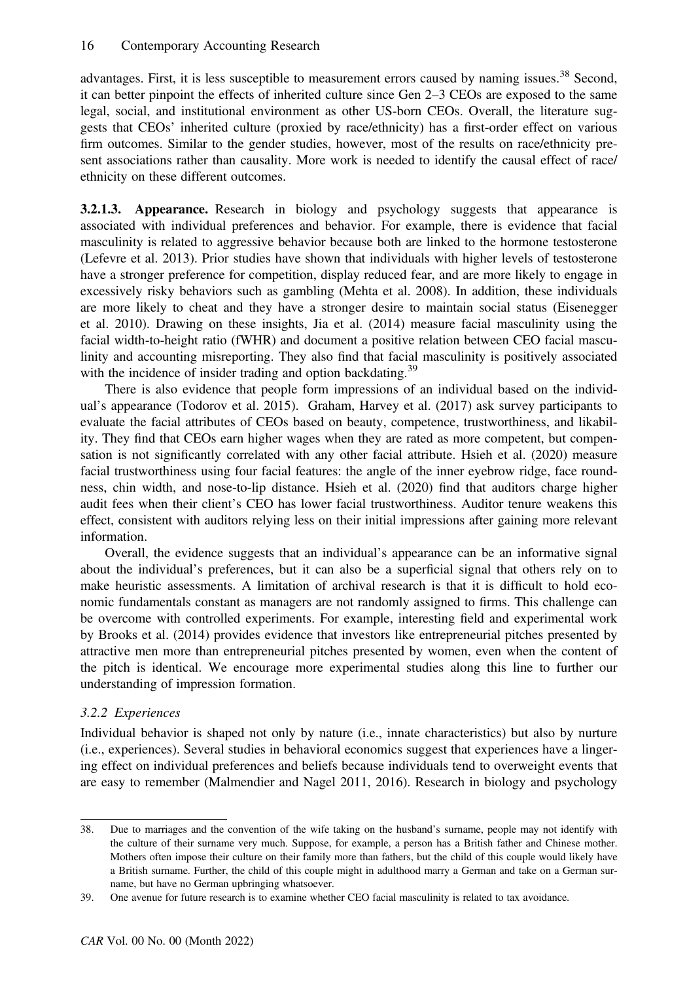advantages. First, it is less susceptible to measurement errors caused by naming issues.<sup>38</sup> Second, it can better pinpoint the effects of inherited culture since Gen 2–3 CEOs are exposed to the same legal, social, and institutional environment as other US-born CEOs. Overall, the literature suggests that CEOs' inherited culture (proxied by race/ethnicity) has a first-order effect on various firm outcomes. Similar to the gender studies, however, most of the results on race/ethnicity present associations rather than causality. More work is needed to identify the causal effect of race/ ethnicity on these different outcomes.

**3.2.1.3. Appearance.** Research in biology and psychology suggests that appearance is associated with individual preferences and behavior. For example, there is evidence that facial masculinity is related to aggressive behavior because both are linked to the hormone testosterone (Lefevre et al. 2013). Prior studies have shown that individuals with higher levels of testosterone have a stronger preference for competition, display reduced fear, and are more likely to engage in excessively risky behaviors such as gambling (Mehta et al. 2008). In addition, these individuals are more likely to cheat and they have a stronger desire to maintain social status (Eisenegger et al. 2010). Drawing on these insights, Jia et al. (2014) measure facial masculinity using the facial width-to-height ratio (fWHR) and document a positive relation between CEO facial masculinity and accounting misreporting. They also find that facial masculinity is positively associated with the incidence of insider trading and option backdating.<sup>39</sup>

There is also evidence that people form impressions of an individual based on the individual's appearance (Todorov et al. 2015). Graham, Harvey et al. (2017) ask survey participants to evaluate the facial attributes of CEOs based on beauty, competence, trustworthiness, and likability. They find that CEOs earn higher wages when they are rated as more competent, but compensation is not significantly correlated with any other facial attribute. Hsieh et al. (2020) measure facial trustworthiness using four facial features: the angle of the inner eyebrow ridge, face roundness, chin width, and nose-to-lip distance. Hsieh et al. (2020) find that auditors charge higher audit fees when their client's CEO has lower facial trustworthiness. Auditor tenure weakens this effect, consistent with auditors relying less on their initial impressions after gaining more relevant information.

Overall, the evidence suggests that an individual's appearance can be an informative signal about the individual's preferences, but it can also be a superficial signal that others rely on to make heuristic assessments. A limitation of archival research is that it is difficult to hold economic fundamentals constant as managers are not randomly assigned to firms. This challenge can be overcome with controlled experiments. For example, interesting field and experimental work by Brooks et al. (2014) provides evidence that investors like entrepreneurial pitches presented by attractive men more than entrepreneurial pitches presented by women, even when the content of the pitch is identical. We encourage more experimental studies along this line to further our understanding of impression formation.

# 3.2.2 Experiences

Individual behavior is shaped not only by nature (i.e., innate characteristics) but also by nurture (i.e., experiences). Several studies in behavioral economics suggest that experiences have a lingering effect on individual preferences and beliefs because individuals tend to overweight events that are easy to remember (Malmendier and Nagel 2011, 2016). Research in biology and psychology

<sup>38.</sup> Due to marriages and the convention of the wife taking on the husband's surname, people may not identify with the culture of their surname very much. Suppose, for example, a person has a British father and Chinese mother. Mothers often impose their culture on their family more than fathers, but the child of this couple would likely have a British surname. Further, the child of this couple might in adulthood marry a German and take on a German surname, but have no German upbringing whatsoever.

<sup>39.</sup> One avenue for future research is to examine whether CEO facial masculinity is related to tax avoidance.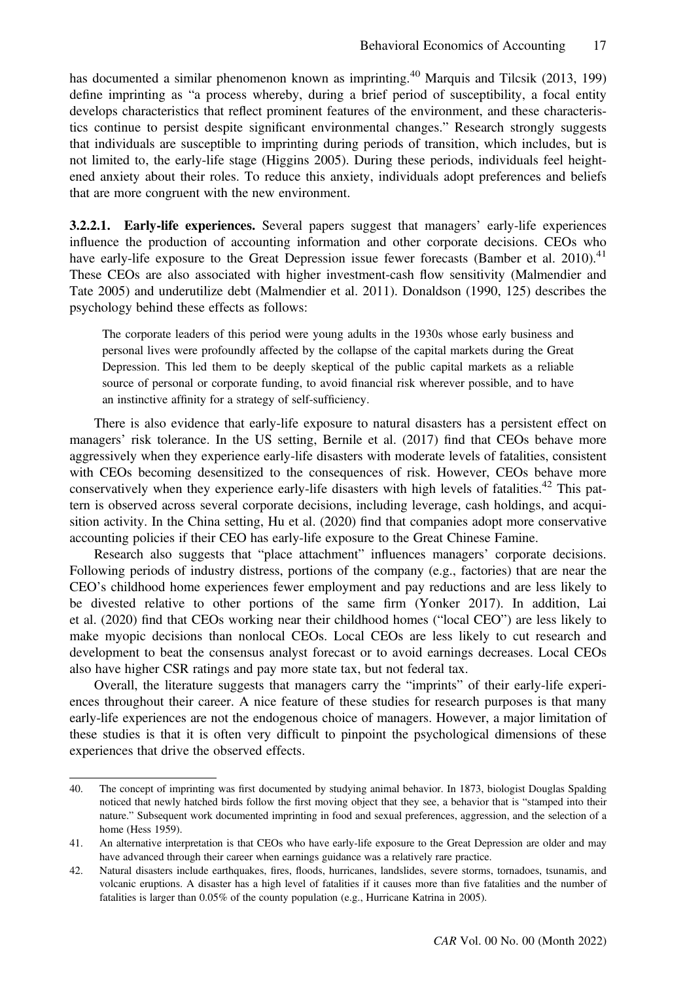has documented a similar phenomenon known as imprinting.<sup>40</sup> Marquis and Tilcsik (2013, 199) define imprinting as "a process whereby, during a brief period of susceptibility, a focal entity develops characteristics that reflect prominent features of the environment, and these characteristics continue to persist despite significant environmental changes." Research strongly suggests that individuals are susceptible to imprinting during periods of transition, which includes, but is not limited to, the early-life stage (Higgins 2005). During these periods, individuals feel heightened anxiety about their roles. To reduce this anxiety, individuals adopt preferences and beliefs that are more congruent with the new environment.

3.2.2.1. Early-life experiences. Several papers suggest that managers' early-life experiences influence the production of accounting information and other corporate decisions. CEOs who have early-life exposure to the Great Depression issue fewer forecasts (Bamber et al. 2010).<sup>41</sup> These CEOs are also associated with higher investment-cash flow sensitivity (Malmendier and Tate 2005) and underutilize debt (Malmendier et al. 2011). Donaldson (1990, 125) describes the psychology behind these effects as follows:

The corporate leaders of this period were young adults in the 1930s whose early business and personal lives were profoundly affected by the collapse of the capital markets during the Great Depression. This led them to be deeply skeptical of the public capital markets as a reliable source of personal or corporate funding, to avoid financial risk wherever possible, and to have an instinctive affinity for a strategy of self-sufficiency.

There is also evidence that early-life exposure to natural disasters has a persistent effect on managers' risk tolerance. In the US setting, Bernile et al. (2017) find that CEOs behave more aggressively when they experience early-life disasters with moderate levels of fatalities, consistent with CEOs becoming desensitized to the consequences of risk. However, CEOs behave more conservatively when they experience early-life disasters with high levels of fatalities.<sup>42</sup> This pattern is observed across several corporate decisions, including leverage, cash holdings, and acquisition activity. In the China setting, Hu et al. (2020) find that companies adopt more conservative accounting policies if their CEO has early-life exposure to the Great Chinese Famine.

Research also suggests that "place attachment" influences managers' corporate decisions. Following periods of industry distress, portions of the company (e.g., factories) that are near the CEO's childhood home experiences fewer employment and pay reductions and are less likely to be divested relative to other portions of the same firm (Yonker 2017). In addition, Lai et al. (2020) find that CEOs working near their childhood homes ("local CEO") are less likely to make myopic decisions than nonlocal CEOs. Local CEOs are less likely to cut research and development to beat the consensus analyst forecast or to avoid earnings decreases. Local CEOs also have higher CSR ratings and pay more state tax, but not federal tax.

Overall, the literature suggests that managers carry the "imprints" of their early-life experiences throughout their career. A nice feature of these studies for research purposes is that many early-life experiences are not the endogenous choice of managers. However, a major limitation of these studies is that it is often very difficult to pinpoint the psychological dimensions of these experiences that drive the observed effects.

<sup>40.</sup> The concept of imprinting was first documented by studying animal behavior. In 1873, biologist Douglas Spalding noticed that newly hatched birds follow the first moving object that they see, a behavior that is "stamped into their nature." Subsequent work documented imprinting in food and sexual preferences, aggression, and the selection of a home (Hess 1959).

<sup>41.</sup> An alternative interpretation is that CEOs who have early-life exposure to the Great Depression are older and may have advanced through their career when earnings guidance was a relatively rare practice.

<sup>42.</sup> Natural disasters include earthquakes, fires, floods, hurricanes, landslides, severe storms, tornadoes, tsunamis, and volcanic eruptions. A disaster has a high level of fatalities if it causes more than five fatalities and the number of fatalities is larger than 0.05% of the county population (e.g., Hurricane Katrina in 2005).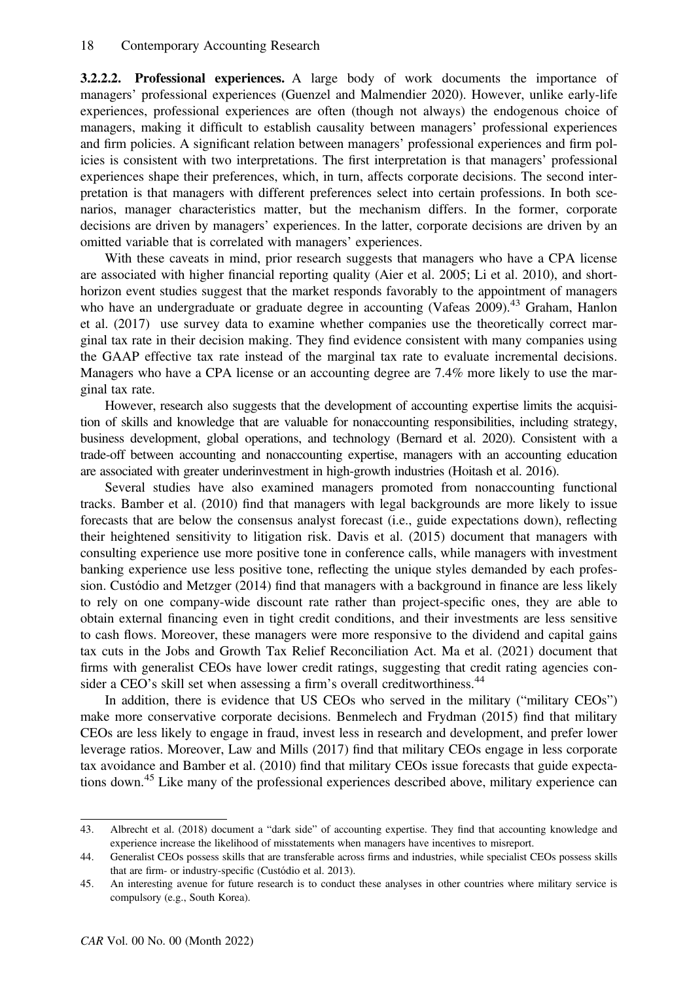3.2.2.2. Professional experiences. A large body of work documents the importance of managers' professional experiences (Guenzel and Malmendier 2020). However, unlike early-life experiences, professional experiences are often (though not always) the endogenous choice of managers, making it difficult to establish causality between managers' professional experiences and firm policies. A significant relation between managers' professional experiences and firm policies is consistent with two interpretations. The first interpretation is that managers' professional experiences shape their preferences, which, in turn, affects corporate decisions. The second interpretation is that managers with different preferences select into certain professions. In both scenarios, manager characteristics matter, but the mechanism differs. In the former, corporate decisions are driven by managers' experiences. In the latter, corporate decisions are driven by an omitted variable that is correlated with managers' experiences.

With these caveats in mind, prior research suggests that managers who have a CPA license are associated with higher financial reporting quality (Aier et al. 2005; Li et al. 2010), and shorthorizon event studies suggest that the market responds favorably to the appointment of managers who have an undergraduate or graduate degree in accounting (Vafeas 2009).<sup>43</sup> Graham, Hanlon et al. (2017) use survey data to examine whether companies use the theoretically correct marginal tax rate in their decision making. They find evidence consistent with many companies using the GAAP effective tax rate instead of the marginal tax rate to evaluate incremental decisions. Managers who have a CPA license or an accounting degree are 7.4% more likely to use the marginal tax rate.

However, research also suggests that the development of accounting expertise limits the acquisition of skills and knowledge that are valuable for nonaccounting responsibilities, including strategy, business development, global operations, and technology (Bernard et al. 2020). Consistent with a trade-off between accounting and nonaccounting expertise, managers with an accounting education are associated with greater underinvestment in high-growth industries (Hoitash et al. 2016).

Several studies have also examined managers promoted from nonaccounting functional tracks. Bamber et al. (2010) find that managers with legal backgrounds are more likely to issue forecasts that are below the consensus analyst forecast (i.e., guide expectations down), reflecting their heightened sensitivity to litigation risk. Davis et al. (2015) document that managers with consulting experience use more positive tone in conference calls, while managers with investment banking experience use less positive tone, reflecting the unique styles demanded by each profession. Custόdio and Metzger (2014) find that managers with a background in finance are less likely to rely on one company-wide discount rate rather than project-specific ones, they are able to obtain external financing even in tight credit conditions, and their investments are less sensitive to cash flows. Moreover, these managers were more responsive to the dividend and capital gains tax cuts in the Jobs and Growth Tax Relief Reconciliation Act. Ma et al. (2021) document that firms with generalist CEOs have lower credit ratings, suggesting that credit rating agencies consider a CEO's skill set when assessing a firm's overall creditworthiness.<sup>44</sup>

In addition, there is evidence that US CEOs who served in the military ("military CEOs") make more conservative corporate decisions. Benmelech and Frydman (2015) find that military CEOs are less likely to engage in fraud, invest less in research and development, and prefer lower leverage ratios. Moreover, Law and Mills (2017) find that military CEOs engage in less corporate tax avoidance and Bamber et al. (2010) find that military CEOs issue forecasts that guide expectations down.<sup>45</sup> Like many of the professional experiences described above, military experience can

<sup>43.</sup> Albrecht et al. (2018) document a "dark side" of accounting expertise. They find that accounting knowledge and experience increase the likelihood of misstatements when managers have incentives to misreport.

<sup>44.</sup> Generalist CEOs possess skills that are transferable across firms and industries, while specialist CEOs possess skills that are firm- or industry-specific (Custόdio et al. 2013).

<sup>45.</sup> An interesting avenue for future research is to conduct these analyses in other countries where military service is compulsory (e.g., South Korea).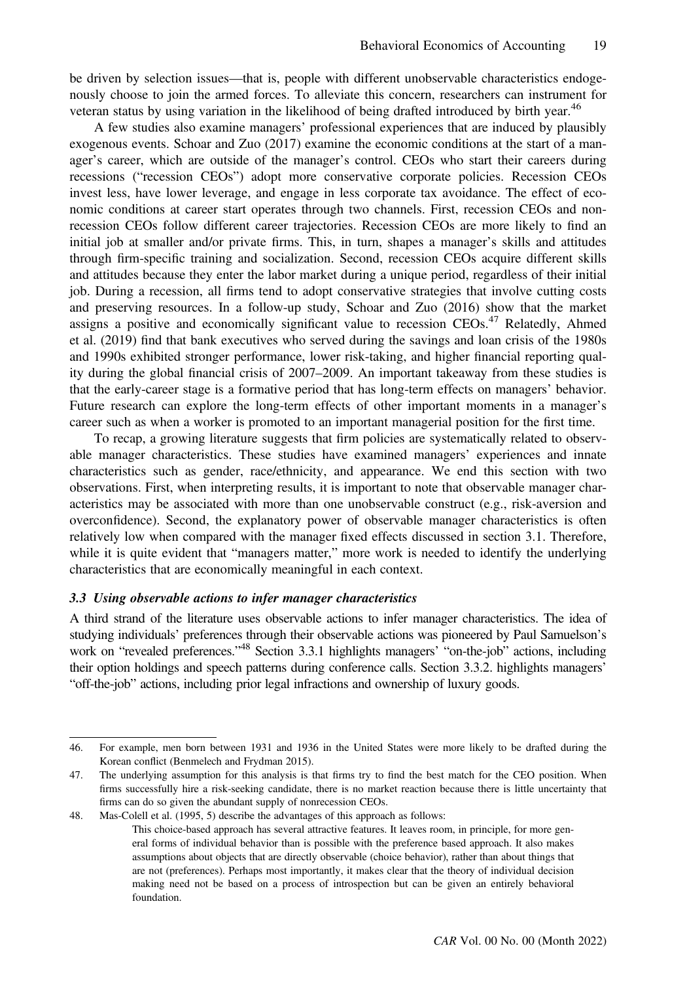be driven by selection issues—that is, people with different unobservable characteristics endogenously choose to join the armed forces. To alleviate this concern, researchers can instrument for veteran status by using variation in the likelihood of being drafted introduced by birth year.<sup>46</sup>

A few studies also examine managers' professional experiences that are induced by plausibly exogenous events. Schoar and Zuo (2017) examine the economic conditions at the start of a manager's career, which are outside of the manager's control. CEOs who start their careers during recessions ("recession CEOs") adopt more conservative corporate policies. Recession CEOs invest less, have lower leverage, and engage in less corporate tax avoidance. The effect of economic conditions at career start operates through two channels. First, recession CEOs and nonrecession CEOs follow different career trajectories. Recession CEOs are more likely to find an initial job at smaller and/or private firms. This, in turn, shapes a manager's skills and attitudes through firm-specific training and socialization. Second, recession CEOs acquire different skills and attitudes because they enter the labor market during a unique period, regardless of their initial job. During a recession, all firms tend to adopt conservative strategies that involve cutting costs and preserving resources. In a follow-up study, Schoar and Zuo (2016) show that the market assigns a positive and economically significant value to recession CEOs.<sup>47</sup> Relatedly, Ahmed et al. (2019) find that bank executives who served during the savings and loan crisis of the 1980s and 1990s exhibited stronger performance, lower risk-taking, and higher financial reporting quality during the global financial crisis of 2007–2009. An important takeaway from these studies is that the early-career stage is a formative period that has long-term effects on managers' behavior. Future research can explore the long-term effects of other important moments in a manager's career such as when a worker is promoted to an important managerial position for the first time.

To recap, a growing literature suggests that firm policies are systematically related to observable manager characteristics. These studies have examined managers' experiences and innate characteristics such as gender, race/ethnicity, and appearance. We end this section with two observations. First, when interpreting results, it is important to note that observable manager characteristics may be associated with more than one unobservable construct (e.g., risk-aversion and overconfidence). Second, the explanatory power of observable manager characteristics is often relatively low when compared with the manager fixed effects discussed in section 3.1. Therefore, while it is quite evident that "managers matter," more work is needed to identify the underlying characteristics that are economically meaningful in each context.

### 3.3 Using observable actions to infer manager characteristics

A third strand of the literature uses observable actions to infer manager characteristics. The idea of studying individuals' preferences through their observable actions was pioneered by Paul Samuelson's work on "revealed preferences."<sup>48</sup> Section 3.3.1 highlights managers' "on-the-job" actions, including their option holdings and speech patterns during conference calls. Section 3.3.2. highlights managers' "off-the-job" actions, including prior legal infractions and ownership of luxury goods.

<sup>46.</sup> For example, men born between 1931 and 1936 in the United States were more likely to be drafted during the Korean conflict (Benmelech and Frydman 2015).

<sup>47.</sup> The underlying assumption for this analysis is that firms try to find the best match for the CEO position. When firms successfully hire a risk-seeking candidate, there is no market reaction because there is little uncertainty that firms can do so given the abundant supply of nonrecession CEOs.

<sup>48.</sup> Mas-Colell et al. (1995, 5) describe the advantages of this approach as follows:

This choice-based approach has several attractive features. It leaves room, in principle, for more general forms of individual behavior than is possible with the preference based approach. It also makes assumptions about objects that are directly observable (choice behavior), rather than about things that are not (preferences). Perhaps most importantly, it makes clear that the theory of individual decision making need not be based on a process of introspection but can be given an entirely behavioral foundation.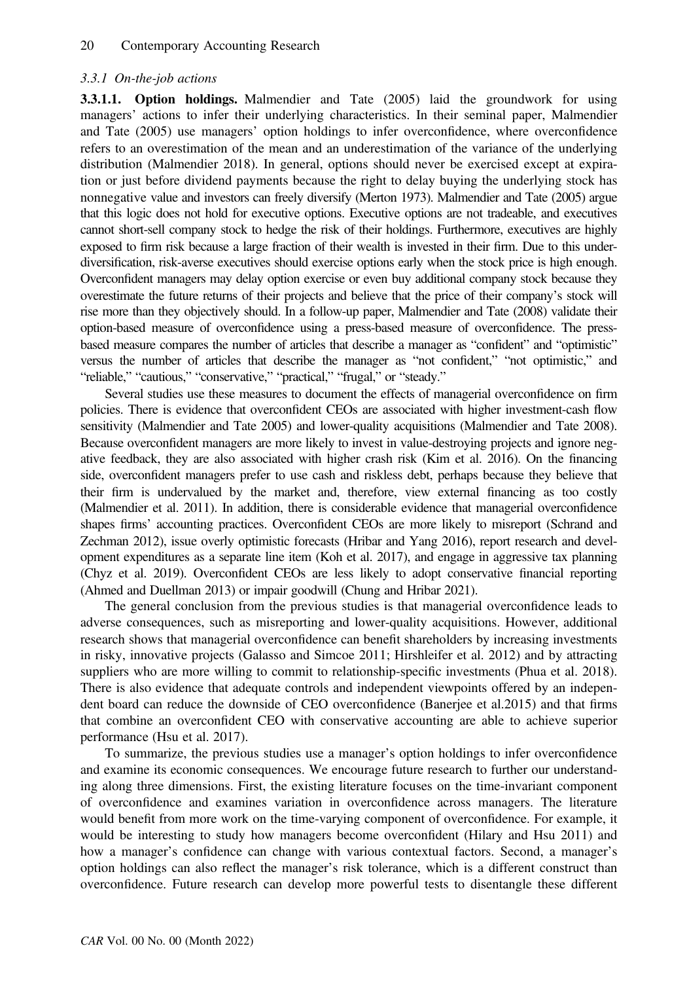#### 3.3.1 On-the-job actions

3.3.1.1. Option holdings. Malmendier and Tate (2005) laid the groundwork for using managers' actions to infer their underlying characteristics. In their seminal paper, Malmendier and Tate (2005) use managers' option holdings to infer overconfidence, where overconfidence refers to an overestimation of the mean and an underestimation of the variance of the underlying distribution (Malmendier 2018). In general, options should never be exercised except at expiration or just before dividend payments because the right to delay buying the underlying stock has nonnegative value and investors can freely diversify (Merton 1973). Malmendier and Tate (2005) argue that this logic does not hold for executive options. Executive options are not tradeable, and executives cannot short-sell company stock to hedge the risk of their holdings. Furthermore, executives are highly exposed to firm risk because a large fraction of their wealth is invested in their firm. Due to this underdiversification, risk-averse executives should exercise options early when the stock price is high enough. Overconfident managers may delay option exercise or even buy additional company stock because they overestimate the future returns of their projects and believe that the price of their company's stock will rise more than they objectively should. In a follow-up paper, Malmendier and Tate (2008) validate their option-based measure of overconfidence using a press-based measure of overconfidence. The pressbased measure compares the number of articles that describe a manager as "confident" and "optimistic" versus the number of articles that describe the manager as "not confident," "not optimistic," and "reliable," "cautious," "conservative," "practical," "frugal," or "steady."

Several studies use these measures to document the effects of managerial overconfidence on firm policies. There is evidence that overconfident CEOs are associated with higher investment-cash flow sensitivity (Malmendier and Tate 2005) and lower-quality acquisitions (Malmendier and Tate 2008). Because overconfident managers are more likely to invest in value-destroying projects and ignore negative feedback, they are also associated with higher crash risk (Kim et al. 2016). On the financing side, overconfident managers prefer to use cash and riskless debt, perhaps because they believe that their firm is undervalued by the market and, therefore, view external financing as too costly (Malmendier et al. 2011). In addition, there is considerable evidence that managerial overconfidence shapes firms' accounting practices. Overconfident CEOs are more likely to misreport (Schrand and Zechman 2012), issue overly optimistic forecasts (Hribar and Yang 2016), report research and development expenditures as a separate line item (Koh et al. 2017), and engage in aggressive tax planning (Chyz et al. 2019). Overconfident CEOs are less likely to adopt conservative financial reporting (Ahmed and Duellman 2013) or impair goodwill (Chung and Hribar 2021).

The general conclusion from the previous studies is that managerial overconfidence leads to adverse consequences, such as misreporting and lower-quality acquisitions. However, additional research shows that managerial overconfidence can benefit shareholders by increasing investments in risky, innovative projects (Galasso and Simcoe 2011; Hirshleifer et al. 2012) and by attracting suppliers who are more willing to commit to relationship-specific investments (Phua et al. 2018). There is also evidence that adequate controls and independent viewpoints offered by an independent board can reduce the downside of CEO overconfidence (Banerjee et al.2015) and that firms that combine an overconfident CEO with conservative accounting are able to achieve superior performance (Hsu et al. 2017).

To summarize, the previous studies use a manager's option holdings to infer overconfidence and examine its economic consequences. We encourage future research to further our understanding along three dimensions. First, the existing literature focuses on the time-invariant component of overconfidence and examines variation in overconfidence across managers. The literature would benefit from more work on the time-varying component of overconfidence. For example, it would be interesting to study how managers become overconfident (Hilary and Hsu 2011) and how a manager's confidence can change with various contextual factors. Second, a manager's option holdings can also reflect the manager's risk tolerance, which is a different construct than overconfidence. Future research can develop more powerful tests to disentangle these different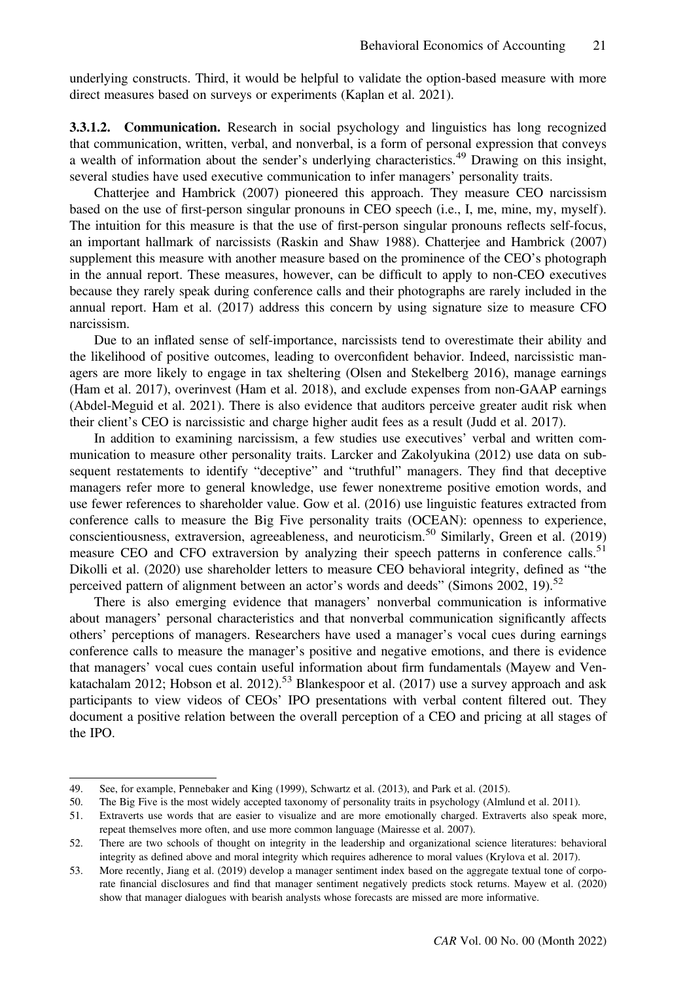underlying constructs. Third, it would be helpful to validate the option-based measure with more direct measures based on surveys or experiments (Kaplan et al. 2021).

3.3.1.2. Communication. Research in social psychology and linguistics has long recognized that communication, written, verbal, and nonverbal, is a form of personal expression that conveys a wealth of information about the sender's underlying characteristics.<sup>49</sup> Drawing on this insight, several studies have used executive communication to infer managers' personality traits.

Chatterjee and Hambrick (2007) pioneered this approach. They measure CEO narcissism based on the use of first-person singular pronouns in CEO speech (i.e., I, me, mine, my, myself). The intuition for this measure is that the use of first-person singular pronouns reflects self-focus, an important hallmark of narcissists (Raskin and Shaw 1988). Chatterjee and Hambrick (2007) supplement this measure with another measure based on the prominence of the CEO's photograph in the annual report. These measures, however, can be difficult to apply to non-CEO executives because they rarely speak during conference calls and their photographs are rarely included in the annual report. Ham et al. (2017) address this concern by using signature size to measure CFO narcissism.

Due to an inflated sense of self-importance, narcissists tend to overestimate their ability and the likelihood of positive outcomes, leading to overconfident behavior. Indeed, narcissistic managers are more likely to engage in tax sheltering (Olsen and Stekelberg 2016), manage earnings (Ham et al. 2017), overinvest (Ham et al. 2018), and exclude expenses from non-GAAP earnings (Abdel-Meguid et al. 2021). There is also evidence that auditors perceive greater audit risk when their client's CEO is narcissistic and charge higher audit fees as a result (Judd et al. 2017).

In addition to examining narcissism, a few studies use executives' verbal and written communication to measure other personality traits. Larcker and Zakolyukina (2012) use data on subsequent restatements to identify "deceptive" and "truthful" managers. They find that deceptive managers refer more to general knowledge, use fewer nonextreme positive emotion words, and use fewer references to shareholder value. Gow et al. (2016) use linguistic features extracted from conference calls to measure the Big Five personality traits (OCEAN): openness to experience, conscientiousness, extraversion, agreeableness, and neuroticism.<sup>50</sup> Similarly, Green et al. (2019) measure CEO and CFO extraversion by analyzing their speech patterns in conference calls.<sup>51</sup> Dikolli et al. (2020) use shareholder letters to measure CEO behavioral integrity, defined as "the perceived pattern of alignment between an actor's words and deeds" (Simons 2002, 19).<sup>52</sup>

There is also emerging evidence that managers' nonverbal communication is informative about managers' personal characteristics and that nonverbal communication significantly affects others' perceptions of managers. Researchers have used a manager's vocal cues during earnings conference calls to measure the manager's positive and negative emotions, and there is evidence that managers' vocal cues contain useful information about firm fundamentals (Mayew and Venkatachalam 2012; Hobson et al. 2012).<sup>53</sup> Blankespoor et al. (2017) use a survey approach and ask participants to view videos of CEOs' IPO presentations with verbal content filtered out. They document a positive relation between the overall perception of a CEO and pricing at all stages of the IPO.

<sup>49.</sup> See, for example, Pennebaker and King (1999), Schwartz et al. (2013), and Park et al. (2015).

<sup>50.</sup> The Big Five is the most widely accepted taxonomy of personality traits in psychology (Almlund et al. 2011).

<sup>51.</sup> Extraverts use words that are easier to visualize and are more emotionally charged. Extraverts also speak more, repeat themselves more often, and use more common language (Mairesse et al. 2007).

<sup>52.</sup> There are two schools of thought on integrity in the leadership and organizational science literatures: behavioral integrity as defined above and moral integrity which requires adherence to moral values (Krylova et al. 2017).

<sup>53.</sup> More recently, Jiang et al. (2019) develop a manager sentiment index based on the aggregate textual tone of corporate financial disclosures and find that manager sentiment negatively predicts stock returns. Mayew et al. (2020) show that manager dialogues with bearish analysts whose forecasts are missed are more informative.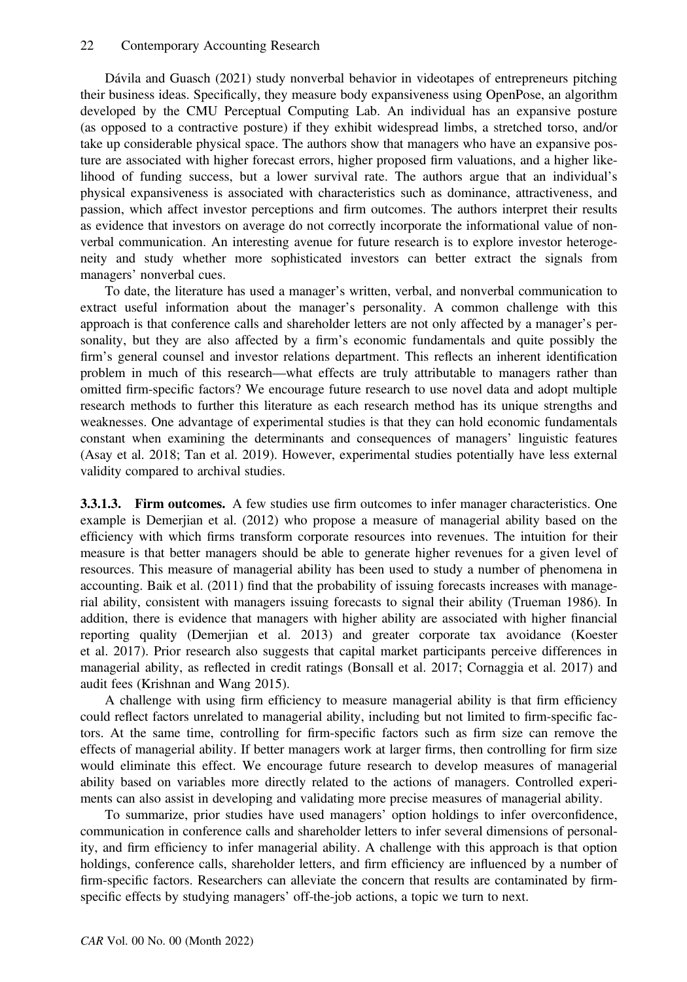Dávila and Guasch (2021) study nonverbal behavior in videotapes of entrepreneurs pitching their business ideas. Specifically, they measure body expansiveness using OpenPose, an algorithm developed by the CMU Perceptual Computing Lab. An individual has an expansive posture (as opposed to a contractive posture) if they exhibit widespread limbs, a stretched torso, and/or take up considerable physical space. The authors show that managers who have an expansive posture are associated with higher forecast errors, higher proposed firm valuations, and a higher likelihood of funding success, but a lower survival rate. The authors argue that an individual's physical expansiveness is associated with characteristics such as dominance, attractiveness, and passion, which affect investor perceptions and firm outcomes. The authors interpret their results as evidence that investors on average do not correctly incorporate the informational value of nonverbal communication. An interesting avenue for future research is to explore investor heterogeneity and study whether more sophisticated investors can better extract the signals from managers' nonverbal cues.

To date, the literature has used a manager's written, verbal, and nonverbal communication to extract useful information about the manager's personality. A common challenge with this approach is that conference calls and shareholder letters are not only affected by a manager's personality, but they are also affected by a firm's economic fundamentals and quite possibly the firm's general counsel and investor relations department. This reflects an inherent identification problem in much of this research—what effects are truly attributable to managers rather than omitted firm-specific factors? We encourage future research to use novel data and adopt multiple research methods to further this literature as each research method has its unique strengths and weaknesses. One advantage of experimental studies is that they can hold economic fundamentals constant when examining the determinants and consequences of managers' linguistic features (Asay et al. 2018; Tan et al. 2019). However, experimental studies potentially have less external validity compared to archival studies.

3.3.1.3. Firm outcomes. A few studies use firm outcomes to infer manager characteristics. One example is Demerjian et al. (2012) who propose a measure of managerial ability based on the efficiency with which firms transform corporate resources into revenues. The intuition for their measure is that better managers should be able to generate higher revenues for a given level of resources. This measure of managerial ability has been used to study a number of phenomena in accounting. Baik et al. (2011) find that the probability of issuing forecasts increases with managerial ability, consistent with managers issuing forecasts to signal their ability (Trueman 1986). In addition, there is evidence that managers with higher ability are associated with higher financial reporting quality (Demerjian et al. 2013) and greater corporate tax avoidance (Koester et al. 2017). Prior research also suggests that capital market participants perceive differences in managerial ability, as reflected in credit ratings (Bonsall et al. 2017; Cornaggia et al. 2017) and audit fees (Krishnan and Wang 2015).

A challenge with using firm efficiency to measure managerial ability is that firm efficiency could reflect factors unrelated to managerial ability, including but not limited to firm-specific factors. At the same time, controlling for firm-specific factors such as firm size can remove the effects of managerial ability. If better managers work at larger firms, then controlling for firm size would eliminate this effect. We encourage future research to develop measures of managerial ability based on variables more directly related to the actions of managers. Controlled experiments can also assist in developing and validating more precise measures of managerial ability.

To summarize, prior studies have used managers' option holdings to infer overconfidence, communication in conference calls and shareholder letters to infer several dimensions of personality, and firm efficiency to infer managerial ability. A challenge with this approach is that option holdings, conference calls, shareholder letters, and firm efficiency are influenced by a number of firm-specific factors. Researchers can alleviate the concern that results are contaminated by firmspecific effects by studying managers' off-the-job actions, a topic we turn to next.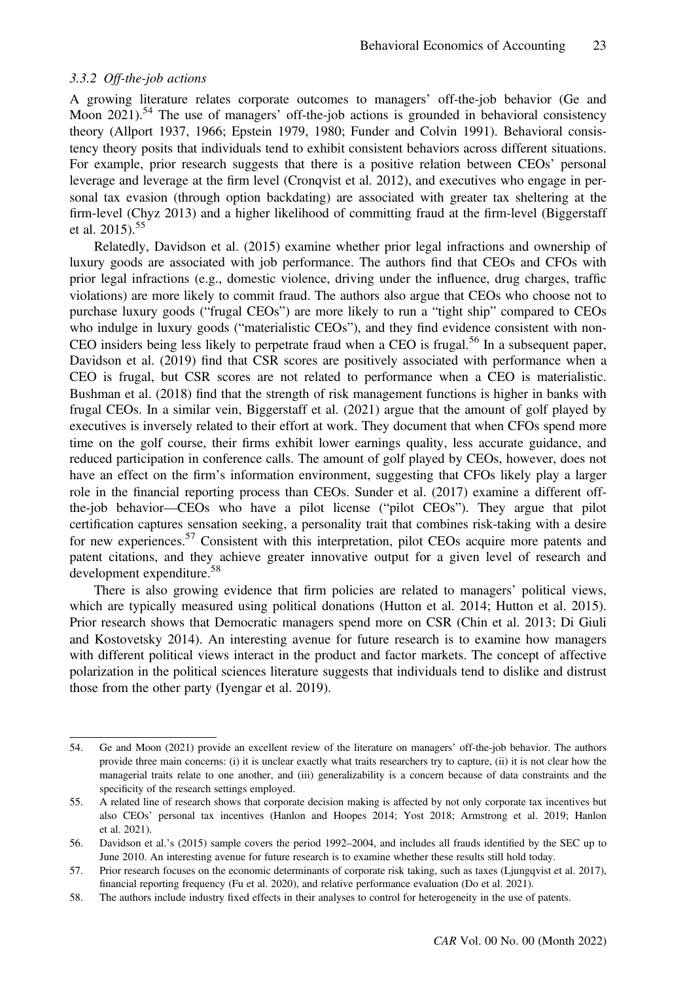#### 3.3.2 Off-the-job actions

A growing literature relates corporate outcomes to managers' off-the-job behavior (Ge and Moon 2021).<sup>54</sup> The use of managers' off-the-job actions is grounded in behavioral consistency theory (Allport 1937, 1966; Epstein 1979, 1980; Funder and Colvin 1991). Behavioral consistency theory posits that individuals tend to exhibit consistent behaviors across different situations. For example, prior research suggests that there is a positive relation between CEOs' personal leverage and leverage at the firm level (Cronqvist et al. 2012), and executives who engage in personal tax evasion (through option backdating) are associated with greater tax sheltering at the firm-level (Chyz 2013) and a higher likelihood of committing fraud at the firm-level (Biggerstaff et al. 2015).<sup>55</sup>

Relatedly, Davidson et al. (2015) examine whether prior legal infractions and ownership of luxury goods are associated with job performance. The authors find that CEOs and CFOs with prior legal infractions (e.g., domestic violence, driving under the influence, drug charges, traffic violations) are more likely to commit fraud. The authors also argue that CEOs who choose not to purchase luxury goods ("frugal CEOs") are more likely to run a "tight ship" compared to CEOs who indulge in luxury goods ("materialistic CEOs"), and they find evidence consistent with non-CEO insiders being less likely to perpetrate fraud when a CEO is frugal.<sup>56</sup> In a subsequent paper, Davidson et al. (2019) find that CSR scores are positively associated with performance when a CEO is frugal, but CSR scores are not related to performance when a CEO is materialistic. Bushman et al. (2018) find that the strength of risk management functions is higher in banks with frugal CEOs. In a similar vein, Biggerstaff et al. (2021) argue that the amount of golf played by executives is inversely related to their effort at work. They document that when CFOs spend more time on the golf course, their firms exhibit lower earnings quality, less accurate guidance, and reduced participation in conference calls. The amount of golf played by CEOs, however, does not have an effect on the firm's information environment, suggesting that CFOs likely play a larger role in the financial reporting process than CEOs. Sunder et al. (2017) examine a different offthe-job behavior—CEOs who have a pilot license ("pilot CEOs"). They argue that pilot certification captures sensation seeking, a personality trait that combines risk-taking with a desire for new experiences.<sup>57</sup> Consistent with this interpretation, pilot CEOs acquire more patents and patent citations, and they achieve greater innovative output for a given level of research and development expenditure.<sup>58</sup>

There is also growing evidence that firm policies are related to managers' political views, which are typically measured using political donations (Hutton et al. 2014; Hutton et al. 2015). Prior research shows that Democratic managers spend more on CSR (Chin et al. 2013; Di Giuli and Kostovetsky 2014). An interesting avenue for future research is to examine how managers with different political views interact in the product and factor markets. The concept of affective polarization in the political sciences literature suggests that individuals tend to dislike and distrust those from the other party (Iyengar et al. 2019).

<sup>54.</sup> Ge and Moon (2021) provide an excellent review of the literature on managers' off-the-job behavior. The authors provide three main concerns: (i) it is unclear exactly what traits researchers try to capture, (ii) it is not clear how the managerial traits relate to one another, and (iii) generalizability is a concern because of data constraints and the specificity of the research settings employed.

<sup>55.</sup> A related line of research shows that corporate decision making is affected by not only corporate tax incentives but also CEOs' personal tax incentives (Hanlon and Hoopes 2014; Yost 2018; Armstrong et al. 2019; Hanlon et al. 2021).

<sup>56.</sup> Davidson et al.'s (2015) sample covers the period 1992–2004, and includes all frauds identified by the SEC up to June 2010. An interesting avenue for future research is to examine whether these results still hold today.

<sup>57.</sup> Prior research focuses on the economic determinants of corporate risk taking, such as taxes (Ljungqvist et al. 2017), financial reporting frequency (Fu et al. 2020), and relative performance evaluation (Do et al. 2021).

<sup>58.</sup> The authors include industry fixed effects in their analyses to control for heterogeneity in the use of patents.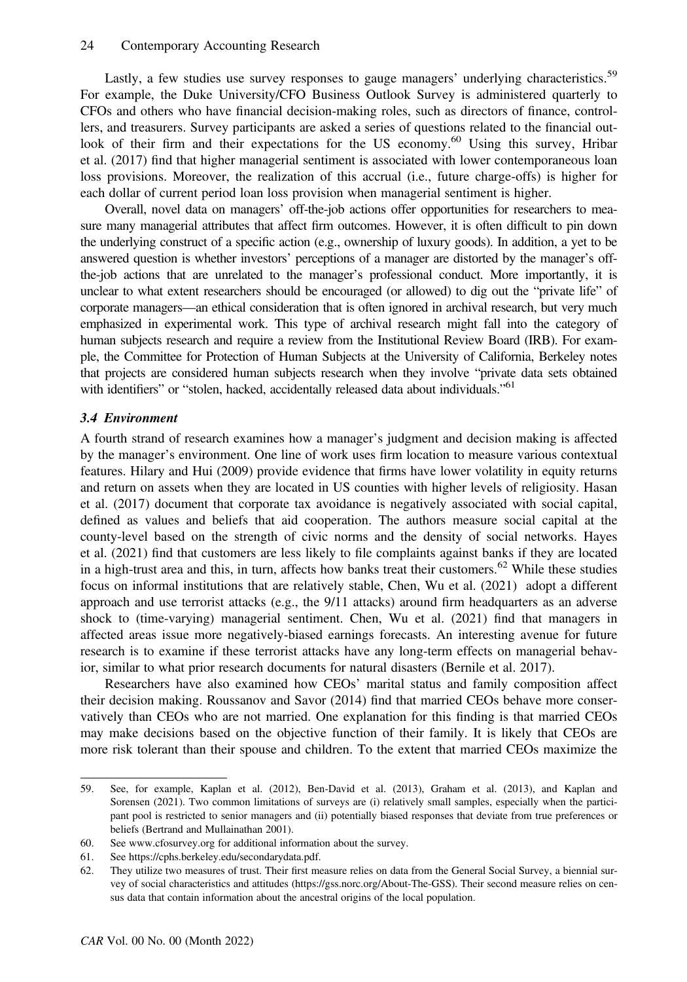Lastly, a few studies use survey responses to gauge managers' underlying characteristics.<sup>59</sup> For example, the Duke University/CFO Business Outlook Survey is administered quarterly to CFOs and others who have financial decision-making roles, such as directors of finance, controllers, and treasurers. Survey participants are asked a series of questions related to the financial outlook of their firm and their expectations for the US economy.<sup>60</sup> Using this survey, Hribar et al. (2017) find that higher managerial sentiment is associated with lower contemporaneous loan loss provisions. Moreover, the realization of this accrual (i.e., future charge-offs) is higher for each dollar of current period loan loss provision when managerial sentiment is higher.

Overall, novel data on managers' off-the-job actions offer opportunities for researchers to measure many managerial attributes that affect firm outcomes. However, it is often difficult to pin down the underlying construct of a specific action (e.g., ownership of luxury goods). In addition, a yet to be answered question is whether investors' perceptions of a manager are distorted by the manager's offthe-job actions that are unrelated to the manager's professional conduct. More importantly, it is unclear to what extent researchers should be encouraged (or allowed) to dig out the "private life" of corporate managers—an ethical consideration that is often ignored in archival research, but very much emphasized in experimental work. This type of archival research might fall into the category of human subjects research and require a review from the Institutional Review Board (IRB). For example, the Committee for Protection of Human Subjects at the University of California, Berkeley notes that projects are considered human subjects research when they involve "private data sets obtained with identifiers" or "stolen, hacked, accidentally released data about individuals."<sup>61</sup>

#### 3.4 Environment

A fourth strand of research examines how a manager's judgment and decision making is affected by the manager's environment. One line of work uses firm location to measure various contextual features. Hilary and Hui (2009) provide evidence that firms have lower volatility in equity returns and return on assets when they are located in US counties with higher levels of religiosity. Hasan et al. (2017) document that corporate tax avoidance is negatively associated with social capital, defined as values and beliefs that aid cooperation. The authors measure social capital at the county-level based on the strength of civic norms and the density of social networks. Hayes et al. (2021) find that customers are less likely to file complaints against banks if they are located in a high-trust area and this, in turn, affects how banks treat their customers.<sup>62</sup> While these studies focus on informal institutions that are relatively stable, Chen, Wu et al. (2021) adopt a different approach and use terrorist attacks (e.g., the 9/11 attacks) around firm headquarters as an adverse shock to (time-varying) managerial sentiment. Chen, Wu et al. (2021) find that managers in affected areas issue more negatively-biased earnings forecasts. An interesting avenue for future research is to examine if these terrorist attacks have any long-term effects on managerial behavior, similar to what prior research documents for natural disasters (Bernile et al. 2017).

Researchers have also examined how CEOs' marital status and family composition affect their decision making. Roussanov and Savor (2014) find that married CEOs behave more conservatively than CEOs who are not married. One explanation for this finding is that married CEOs may make decisions based on the objective function of their family. It is likely that CEOs are more risk tolerant than their spouse and children. To the extent that married CEOs maximize the

<sup>59.</sup> See, for example, Kaplan et al. (2012), Ben-David et al. (2013), Graham et al. (2013), and Kaplan and Sorensen (2021). Two common limitations of surveys are (i) relatively small samples, especially when the participant pool is restricted to senior managers and (ii) potentially biased responses that deviate from true preferences or beliefs (Bertrand and Mullainathan 2001).

<sup>60.</sup> See [www.cfosurvey.org](http://www.cfosurvey.org/) for additional information about the survey.

<sup>61.</sup> See [https://cphs.berkeley.edu/secondarydata.pdf.](https://cphs.berkeley.edu/secondarydata.pdf)

<sup>62.</sup> They utilize two measures of trust. Their first measure relies on data from the General Social Survey, a biennial survey of social characteristics and attitudes (<https://gss.norc.org/About-The-GSS>). Their second measure relies on census data that contain information about the ancestral origins of the local population.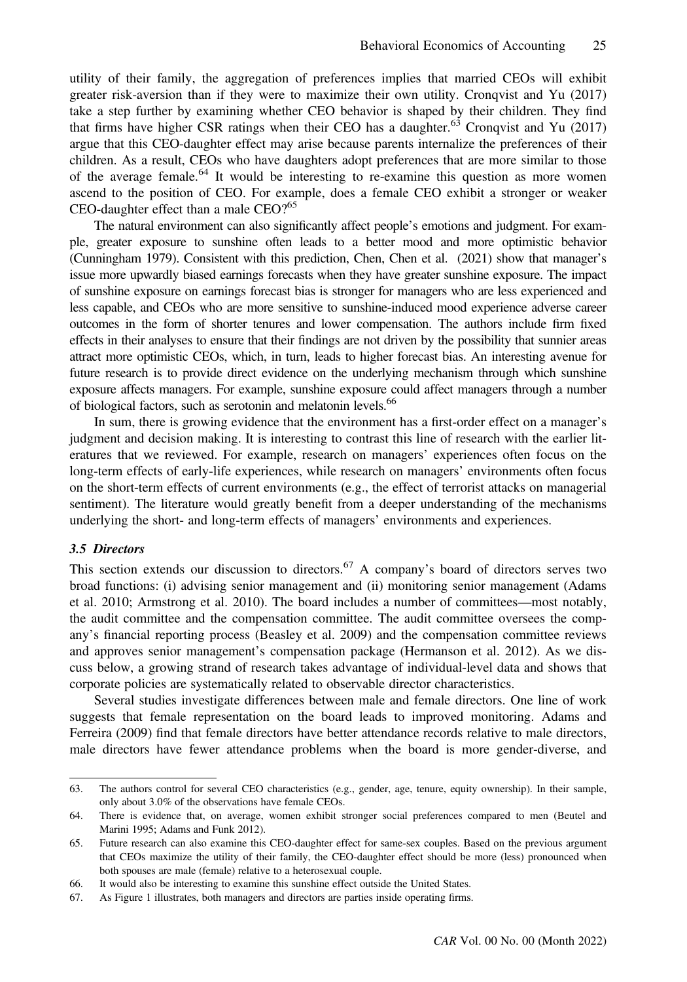utility of their family, the aggregation of preferences implies that married CEOs will exhibit greater risk-aversion than if they were to maximize their own utility. Cronqvist and Yu (2017) take a step further by examining whether CEO behavior is shaped by their children. They find that firms have higher CSR ratings when their CEO has a daughter.<sup>63</sup> Cronqvist and Yu (2017) argue that this CEO-daughter effect may arise because parents internalize the preferences of their children. As a result, CEOs who have daughters adopt preferences that are more similar to those of the average female.<sup>64</sup> It would be interesting to re-examine this question as more women ascend to the position of CEO. For example, does a female CEO exhibit a stronger or weaker CEO-daughter effect than a male  $CEO$ ?<sup>65</sup>

The natural environment can also significantly affect people's emotions and judgment. For example, greater exposure to sunshine often leads to a better mood and more optimistic behavior (Cunningham 1979). Consistent with this prediction, Chen, Chen et al. (2021) show that manager's issue more upwardly biased earnings forecasts when they have greater sunshine exposure. The impact of sunshine exposure on earnings forecast bias is stronger for managers who are less experienced and less capable, and CEOs who are more sensitive to sunshine-induced mood experience adverse career outcomes in the form of shorter tenures and lower compensation. The authors include firm fixed effects in their analyses to ensure that their findings are not driven by the possibility that sunnier areas attract more optimistic CEOs, which, in turn, leads to higher forecast bias. An interesting avenue for future research is to provide direct evidence on the underlying mechanism through which sunshine exposure affects managers. For example, sunshine exposure could affect managers through a number of biological factors, such as serotonin and melatonin levels.<sup>66</sup>

In sum, there is growing evidence that the environment has a first-order effect on a manager's judgment and decision making. It is interesting to contrast this line of research with the earlier literatures that we reviewed. For example, research on managers' experiences often focus on the long-term effects of early-life experiences, while research on managers' environments often focus on the short-term effects of current environments (e.g., the effect of terrorist attacks on managerial sentiment). The literature would greatly benefit from a deeper understanding of the mechanisms underlying the short- and long-term effects of managers' environments and experiences.

#### 3.5 Directors

This section extends our discussion to directors.<sup>67</sup> A company's board of directors serves two broad functions: (i) advising senior management and (ii) monitoring senior management (Adams et al. 2010; Armstrong et al. 2010). The board includes a number of committees—most notably, the audit committee and the compensation committee. The audit committee oversees the company's financial reporting process (Beasley et al. 2009) and the compensation committee reviews and approves senior management's compensation package (Hermanson et al. 2012). As we discuss below, a growing strand of research takes advantage of individual-level data and shows that corporate policies are systematically related to observable director characteristics.

Several studies investigate differences between male and female directors. One line of work suggests that female representation on the board leads to improved monitoring. Adams and Ferreira (2009) find that female directors have better attendance records relative to male directors, male directors have fewer attendance problems when the board is more gender-diverse, and

<sup>63.</sup> The authors control for several CEO characteristics (e.g., gender, age, tenure, equity ownership). In their sample, only about 3.0% of the observations have female CEOs.

<sup>64.</sup> There is evidence that, on average, women exhibit stronger social preferences compared to men (Beutel and Marini 1995; Adams and Funk 2012).

<sup>65.</sup> Future research can also examine this CEO-daughter effect for same-sex couples. Based on the previous argument that CEOs maximize the utility of their family, the CEO-daughter effect should be more (less) pronounced when both spouses are male (female) relative to a heterosexual couple.

<sup>66.</sup> It would also be interesting to examine this sunshine effect outside the United States.

<sup>67.</sup> As Figure 1 illustrates, both managers and directors are parties inside operating firms.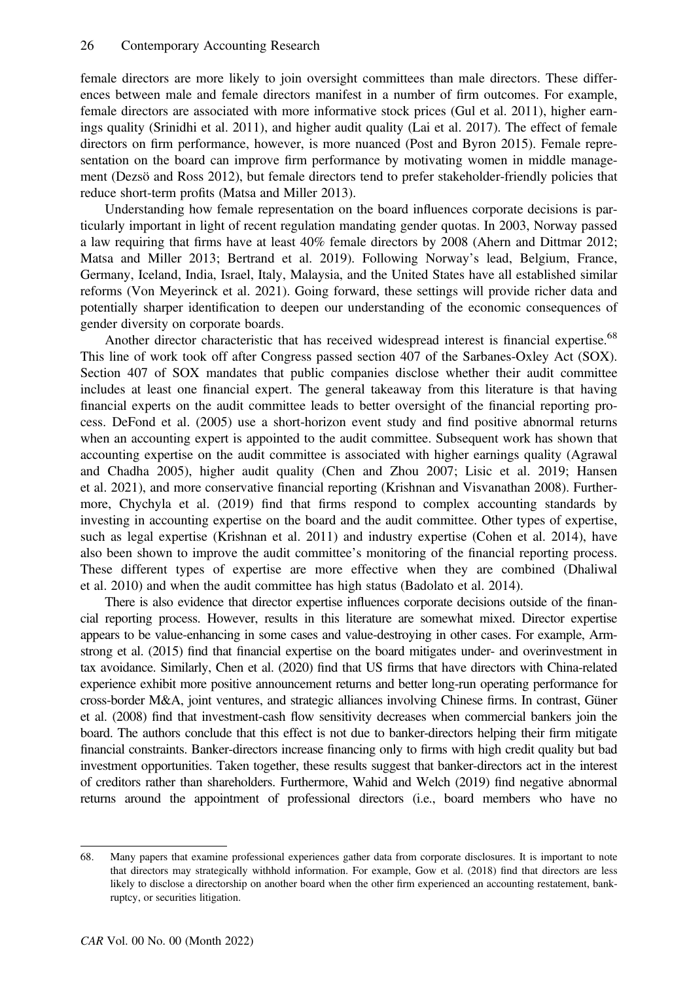female directors are more likely to join oversight committees than male directors. These differences between male and female directors manifest in a number of firm outcomes. For example, female directors are associated with more informative stock prices (Gul et al. 2011), higher earnings quality (Srinidhi et al. 2011), and higher audit quality (Lai et al. 2017). The effect of female directors on firm performance, however, is more nuanced (Post and Byron 2015). Female representation on the board can improve firm performance by motivating women in middle management (Dezsö and Ross 2012), but female directors tend to prefer stakeholder-friendly policies that reduce short-term profits (Matsa and Miller 2013).

Understanding how female representation on the board influences corporate decisions is particularly important in light of recent regulation mandating gender quotas. In 2003, Norway passed a law requiring that firms have at least 40% female directors by 2008 (Ahern and Dittmar 2012; Matsa and Miller 2013; Bertrand et al. 2019). Following Norway's lead, Belgium, France, Germany, Iceland, India, Israel, Italy, Malaysia, and the United States have all established similar reforms (Von Meyerinck et al. 2021). Going forward, these settings will provide richer data and potentially sharper identification to deepen our understanding of the economic consequences of gender diversity on corporate boards.

Another director characteristic that has received widespread interest is financial expertise.<sup>68</sup> This line of work took off after Congress passed section 407 of the Sarbanes-Oxley Act (SOX). Section 407 of SOX mandates that public companies disclose whether their audit committee includes at least one financial expert. The general takeaway from this literature is that having financial experts on the audit committee leads to better oversight of the financial reporting process. DeFond et al. (2005) use a short-horizon event study and find positive abnormal returns when an accounting expert is appointed to the audit committee. Subsequent work has shown that accounting expertise on the audit committee is associated with higher earnings quality (Agrawal and Chadha 2005), higher audit quality (Chen and Zhou 2007; Lisic et al. 2019; Hansen et al. 2021), and more conservative financial reporting (Krishnan and Visvanathan 2008). Furthermore, Chychyla et al. (2019) find that firms respond to complex accounting standards by investing in accounting expertise on the board and the audit committee. Other types of expertise, such as legal expertise (Krishnan et al. 2011) and industry expertise (Cohen et al. 2014), have also been shown to improve the audit committee's monitoring of the financial reporting process. These different types of expertise are more effective when they are combined (Dhaliwal et al. 2010) and when the audit committee has high status (Badolato et al. 2014).

There is also evidence that director expertise influences corporate decisions outside of the financial reporting process. However, results in this literature are somewhat mixed. Director expertise appears to be value-enhancing in some cases and value-destroying in other cases. For example, Armstrong et al. (2015) find that financial expertise on the board mitigates under- and overinvestment in tax avoidance. Similarly, Chen et al. (2020) find that US firms that have directors with China-related experience exhibit more positive announcement returns and better long-run operating performance for cross-border M&A, joint ventures, and strategic alliances involving Chinese firms. In contrast, Güner et al. (2008) find that investment-cash flow sensitivity decreases when commercial bankers join the board. The authors conclude that this effect is not due to banker-directors helping their firm mitigate financial constraints. Banker-directors increase financing only to firms with high credit quality but bad investment opportunities. Taken together, these results suggest that banker-directors act in the interest of creditors rather than shareholders. Furthermore, Wahid and Welch (2019) find negative abnormal returns around the appointment of professional directors (i.e., board members who have no

<sup>68.</sup> Many papers that examine professional experiences gather data from corporate disclosures. It is important to note that directors may strategically withhold information. For example, Gow et al. (2018) find that directors are less likely to disclose a directorship on another board when the other firm experienced an accounting restatement, bankruptcy, or securities litigation.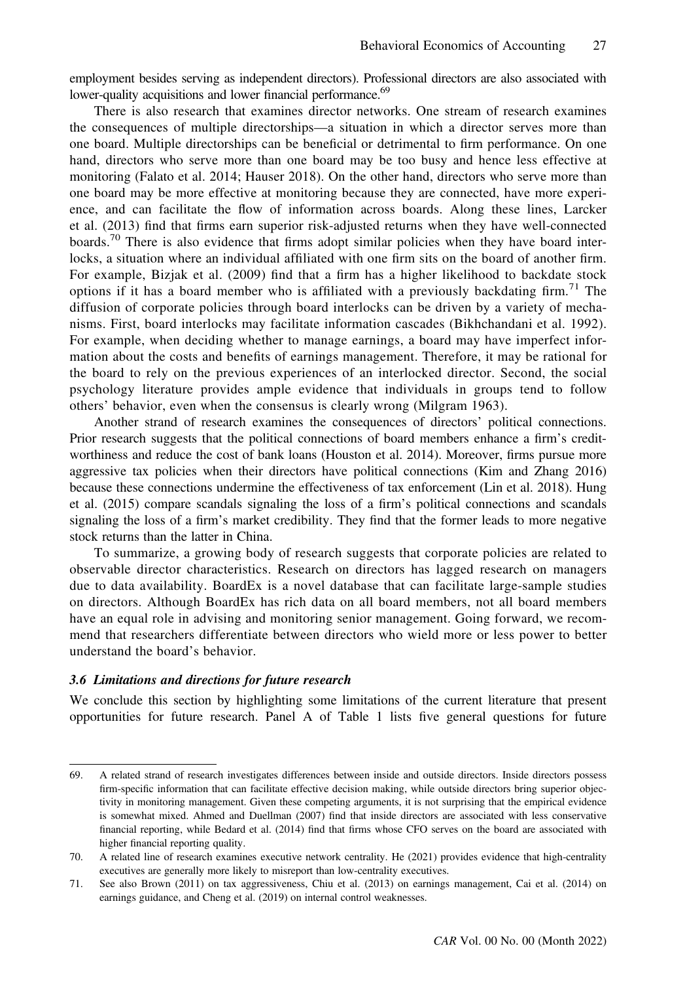employment besides serving as independent directors). Professional directors are also associated with lower-quality acquisitions and lower financial performance.<sup>69</sup>

There is also research that examines director networks. One stream of research examines the consequences of multiple directorships—a situation in which a director serves more than one board. Multiple directorships can be beneficial or detrimental to firm performance. On one hand, directors who serve more than one board may be too busy and hence less effective at monitoring (Falato et al. 2014; Hauser 2018). On the other hand, directors who serve more than one board may be more effective at monitoring because they are connected, have more experience, and can facilitate the flow of information across boards. Along these lines, Larcker et al. (2013) find that firms earn superior risk-adjusted returns when they have well-connected boards.<sup>70</sup> There is also evidence that firms adopt similar policies when they have board interlocks, a situation where an individual affiliated with one firm sits on the board of another firm. For example, Bizjak et al. (2009) find that a firm has a higher likelihood to backdate stock options if it has a board member who is affiliated with a previously backdating firm.<sup>71</sup> The diffusion of corporate policies through board interlocks can be driven by a variety of mechanisms. First, board interlocks may facilitate information cascades (Bikhchandani et al. 1992). For example, when deciding whether to manage earnings, a board may have imperfect information about the costs and benefits of earnings management. Therefore, it may be rational for the board to rely on the previous experiences of an interlocked director. Second, the social psychology literature provides ample evidence that individuals in groups tend to follow others' behavior, even when the consensus is clearly wrong (Milgram 1963).

Another strand of research examines the consequences of directors' political connections. Prior research suggests that the political connections of board members enhance a firm's creditworthiness and reduce the cost of bank loans (Houston et al. 2014). Moreover, firms pursue more aggressive tax policies when their directors have political connections (Kim and Zhang 2016) because these connections undermine the effectiveness of tax enforcement (Lin et al. 2018). Hung et al. (2015) compare scandals signaling the loss of a firm's political connections and scandals signaling the loss of a firm's market credibility. They find that the former leads to more negative stock returns than the latter in China.

To summarize, a growing body of research suggests that corporate policies are related to observable director characteristics. Research on directors has lagged research on managers due to data availability. BoardEx is a novel database that can facilitate large-sample studies on directors. Although BoardEx has rich data on all board members, not all board members have an equal role in advising and monitoring senior management. Going forward, we recommend that researchers differentiate between directors who wield more or less power to better understand the board's behavior.

#### 3.6 Limitations and directions for future research

We conclude this section by highlighting some limitations of the current literature that present opportunities for future research. Panel A of Table 1 lists five general questions for future

<sup>69.</sup> A related strand of research investigates differences between inside and outside directors. Inside directors possess firm-specific information that can facilitate effective decision making, while outside directors bring superior objectivity in monitoring management. Given these competing arguments, it is not surprising that the empirical evidence is somewhat mixed. Ahmed and Duellman (2007) find that inside directors are associated with less conservative financial reporting, while Bedard et al. (2014) find that firms whose CFO serves on the board are associated with higher financial reporting quality.

<sup>70.</sup> A related line of research examines executive network centrality. He (2021) provides evidence that high-centrality executives are generally more likely to misreport than low-centrality executives.

<sup>71.</sup> See also Brown (2011) on tax aggressiveness, Chiu et al. (2013) on earnings management, Cai et al. (2014) on earnings guidance, and Cheng et al. (2019) on internal control weaknesses.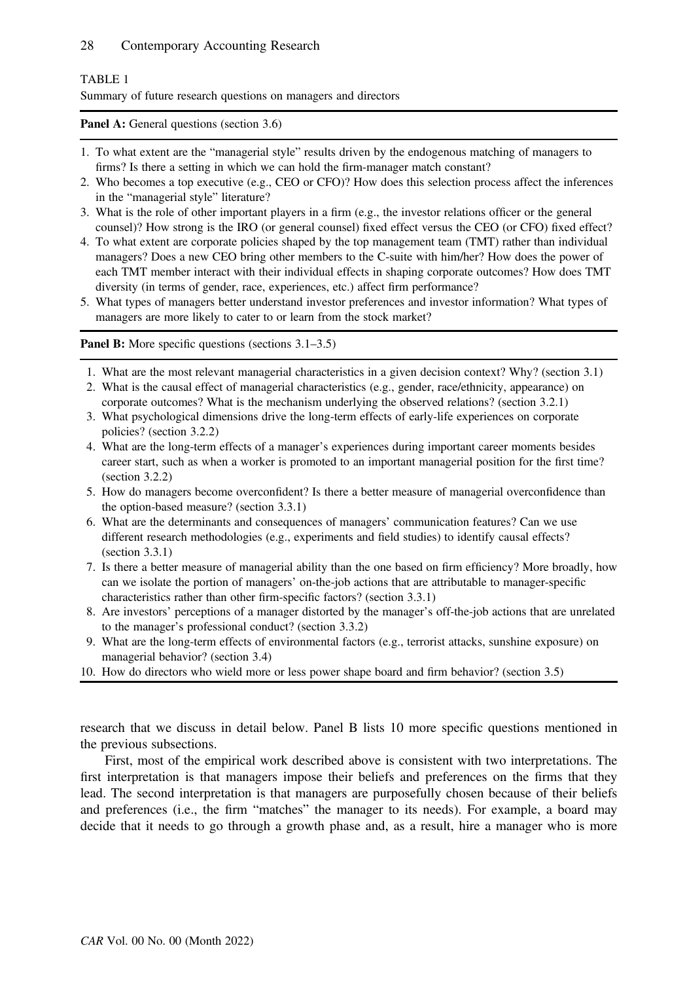# TABLE 1

Summary of future research questions on managers and directors

Panel A: General questions (section 3.6)

- 1. To what extent are the "managerial style" results driven by the endogenous matching of managers to firms? Is there a setting in which we can hold the firm-manager match constant?
- 2. Who becomes a top executive (e.g., CEO or CFO)? How does this selection process affect the inferences in the "managerial style" literature?
- 3. What is the role of other important players in a firm (e.g., the investor relations officer or the general counsel)? How strong is the IRO (or general counsel) fixed effect versus the CEO (or CFO) fixed effect?
- 4. To what extent are corporate policies shaped by the top management team (TMT) rather than individual managers? Does a new CEO bring other members to the C-suite with him/her? How does the power of each TMT member interact with their individual effects in shaping corporate outcomes? How does TMT diversity (in terms of gender, race, experiences, etc.) affect firm performance?
- 5. What types of managers better understand investor preferences and investor information? What types of managers are more likely to cater to or learn from the stock market?

Panel B: More specific questions (sections 3.1–3.5)

- 1. What are the most relevant managerial characteristics in a given decision context? Why? (section 3.1)
- 2. What is the causal effect of managerial characteristics (e.g., gender, race/ethnicity, appearance) on corporate outcomes? What is the mechanism underlying the observed relations? (section 3.2.1)
- 3. What psychological dimensions drive the long-term effects of early-life experiences on corporate policies? (section 3.2.2)
- 4. What are the long-term effects of a manager's experiences during important career moments besides career start, such as when a worker is promoted to an important managerial position for the first time? (section 3.2.2)
- 5. How do managers become overconfident? Is there a better measure of managerial overconfidence than the option-based measure? (section 3.3.1)
- 6. What are the determinants and consequences of managers' communication features? Can we use different research methodologies (e.g., experiments and field studies) to identify causal effects? (section 3.3.1)
- 7. Is there a better measure of managerial ability than the one based on firm efficiency? More broadly, how can we isolate the portion of managers' on-the-job actions that are attributable to manager-specific characteristics rather than other firm-specific factors? (section 3.3.1)
- 8. Are investors' perceptions of a manager distorted by the manager's off-the-job actions that are unrelated to the manager's professional conduct? (section 3.3.2)
- 9. What are the long-term effects of environmental factors (e.g., terrorist attacks, sunshine exposure) on managerial behavior? (section 3.4)
- 10. How do directors who wield more or less power shape board and firm behavior? (section 3.5)

research that we discuss in detail below. Panel B lists 10 more specific questions mentioned in the previous subsections.

First, most of the empirical work described above is consistent with two interpretations. The first interpretation is that managers impose their beliefs and preferences on the firms that they lead. The second interpretation is that managers are purposefully chosen because of their beliefs and preferences (i.e., the firm "matches" the manager to its needs). For example, a board may decide that it needs to go through a growth phase and, as a result, hire a manager who is more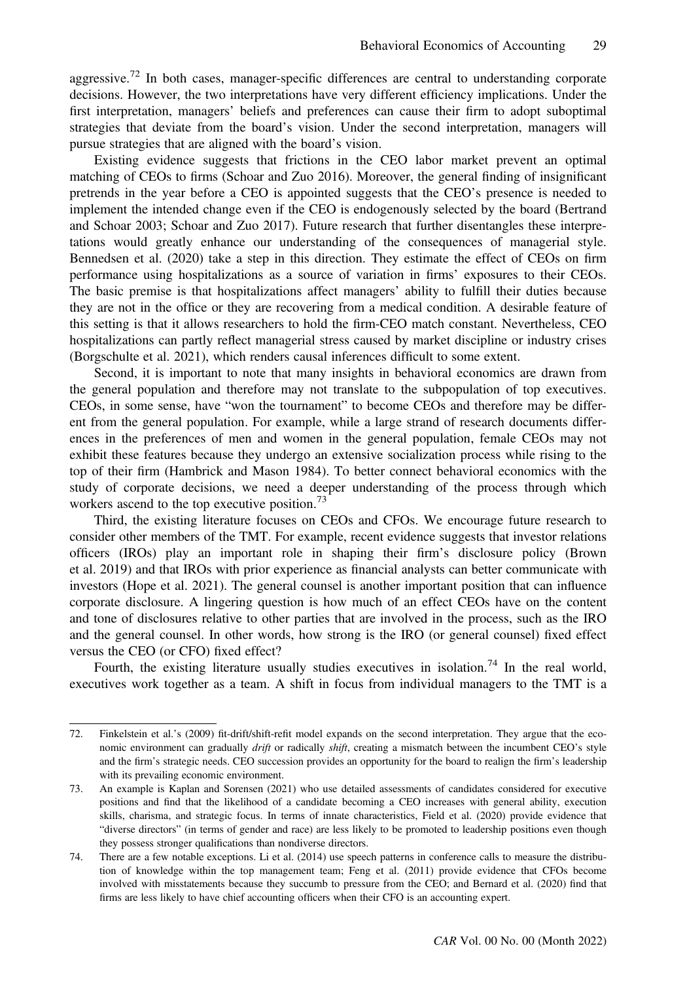aggressive.<sup>72</sup> In both cases, manager-specific differences are central to understanding corporate decisions. However, the two interpretations have very different efficiency implications. Under the first interpretation, managers' beliefs and preferences can cause their firm to adopt suboptimal strategies that deviate from the board's vision. Under the second interpretation, managers will pursue strategies that are aligned with the board's vision.

Existing evidence suggests that frictions in the CEO labor market prevent an optimal matching of CEOs to firms (Schoar and Zuo 2016). Moreover, the general finding of insignificant pretrends in the year before a CEO is appointed suggests that the CEO's presence is needed to implement the intended change even if the CEO is endogenously selected by the board (Bertrand and Schoar 2003; Schoar and Zuo 2017). Future research that further disentangles these interpretations would greatly enhance our understanding of the consequences of managerial style. Bennedsen et al. (2020) take a step in this direction. They estimate the effect of CEOs on firm performance using hospitalizations as a source of variation in firms' exposures to their CEOs. The basic premise is that hospitalizations affect managers' ability to fulfill their duties because they are not in the office or they are recovering from a medical condition. A desirable feature of this setting is that it allows researchers to hold the firm-CEO match constant. Nevertheless, CEO hospitalizations can partly reflect managerial stress caused by market discipline or industry crises (Borgschulte et al. 2021), which renders causal inferences difficult to some extent.

Second, it is important to note that many insights in behavioral economics are drawn from the general population and therefore may not translate to the subpopulation of top executives. CEOs, in some sense, have "won the tournament" to become CEOs and therefore may be different from the general population. For example, while a large strand of research documents differences in the preferences of men and women in the general population, female CEOs may not exhibit these features because they undergo an extensive socialization process while rising to the top of their firm (Hambrick and Mason 1984). To better connect behavioral economics with the study of corporate decisions, we need a deeper understanding of the process through which workers ascend to the top executive position.<sup>73</sup>

Third, the existing literature focuses on CEOs and CFOs. We encourage future research to consider other members of the TMT. For example, recent evidence suggests that investor relations officers (IROs) play an important role in shaping their firm's disclosure policy (Brown et al. 2019) and that IROs with prior experience as financial analysts can better communicate with investors (Hope et al. 2021). The general counsel is another important position that can influence corporate disclosure. A lingering question is how much of an effect CEOs have on the content and tone of disclosures relative to other parties that are involved in the process, such as the IRO and the general counsel. In other words, how strong is the IRO (or general counsel) fixed effect versus the CEO (or CFO) fixed effect?

Fourth, the existing literature usually studies executives in isolation.<sup>74</sup> In the real world, executives work together as a team. A shift in focus from individual managers to the TMT is a

<sup>72.</sup> Finkelstein et al.'s (2009) fit-drift/shift-refit model expands on the second interpretation. They argue that the economic environment can gradually drift or radically shift, creating a mismatch between the incumbent CEO's style and the firm's strategic needs. CEO succession provides an opportunity for the board to realign the firm's leadership with its prevailing economic environment.

<sup>73.</sup> An example is Kaplan and Sorensen (2021) who use detailed assessments of candidates considered for executive positions and find that the likelihood of a candidate becoming a CEO increases with general ability, execution skills, charisma, and strategic focus. In terms of innate characteristics, Field et al. (2020) provide evidence that "diverse directors" (in terms of gender and race) are less likely to be promoted to leadership positions even though they possess stronger qualifications than nondiverse directors.

<sup>74.</sup> There are a few notable exceptions. Li et al. (2014) use speech patterns in conference calls to measure the distribution of knowledge within the top management team; Feng et al. (2011) provide evidence that CFOs become involved with misstatements because they succumb to pressure from the CEO; and Bernard et al. (2020) find that firms are less likely to have chief accounting officers when their CFO is an accounting expert.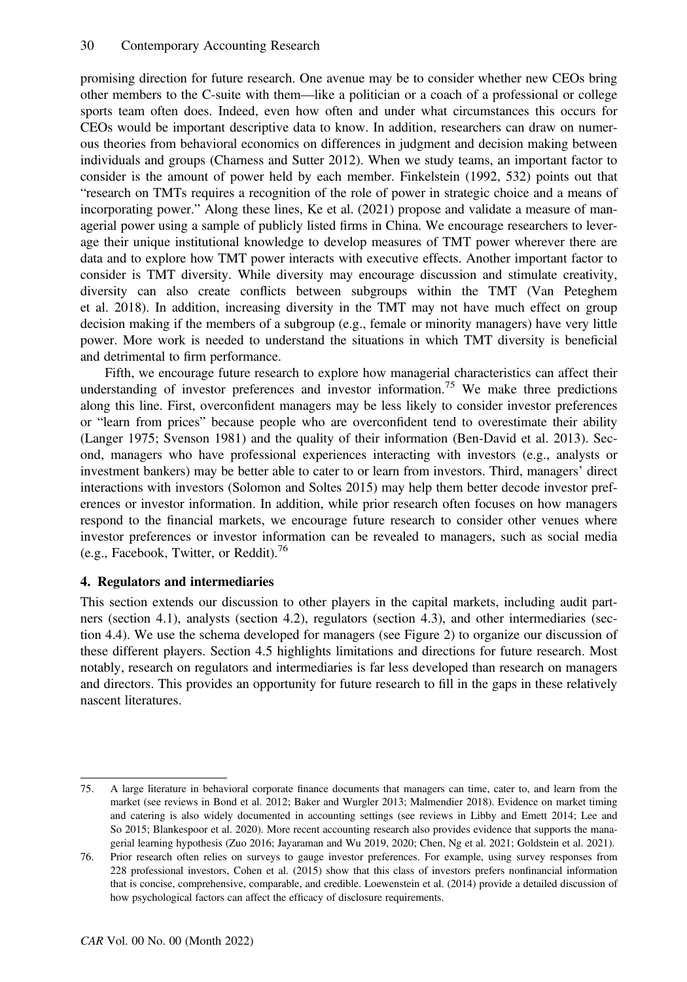promising direction for future research. One avenue may be to consider whether new CEOs bring other members to the C-suite with them—like a politician or a coach of a professional or college sports team often does. Indeed, even how often and under what circumstances this occurs for CEOs would be important descriptive data to know. In addition, researchers can draw on numerous theories from behavioral economics on differences in judgment and decision making between individuals and groups (Charness and Sutter 2012). When we study teams, an important factor to consider is the amount of power held by each member. Finkelstein (1992, 532) points out that "research on TMTs requires a recognition of the role of power in strategic choice and a means of incorporating power." Along these lines, Ke et al. (2021) propose and validate a measure of managerial power using a sample of publicly listed firms in China. We encourage researchers to leverage their unique institutional knowledge to develop measures of TMT power wherever there are data and to explore how TMT power interacts with executive effects. Another important factor to consider is TMT diversity. While diversity may encourage discussion and stimulate creativity, diversity can also create conflicts between subgroups within the TMT (Van Peteghem et al. 2018). In addition, increasing diversity in the TMT may not have much effect on group decision making if the members of a subgroup (e.g., female or minority managers) have very little power. More work is needed to understand the situations in which TMT diversity is beneficial and detrimental to firm performance.

Fifth, we encourage future research to explore how managerial characteristics can affect their understanding of investor preferences and investor information.<sup>75</sup> We make three predictions along this line. First, overconfident managers may be less likely to consider investor preferences or "learn from prices" because people who are overconfident tend to overestimate their ability (Langer 1975; Svenson 1981) and the quality of their information (Ben-David et al. 2013). Second, managers who have professional experiences interacting with investors (e.g., analysts or investment bankers) may be better able to cater to or learn from investors. Third, managers' direct interactions with investors (Solomon and Soltes 2015) may help them better decode investor preferences or investor information. In addition, while prior research often focuses on how managers respond to the financial markets, we encourage future research to consider other venues where investor preferences or investor information can be revealed to managers, such as social media (e.g., Facebook, Twitter, or Reddit).<sup>76</sup>

# 4. Regulators and intermediaries

This section extends our discussion to other players in the capital markets, including audit partners (section 4.1), analysts (section 4.2), regulators (section 4.3), and other intermediaries (section 4.4). We use the schema developed for managers (see Figure 2) to organize our discussion of these different players. Section 4.5 highlights limitations and directions for future research. Most notably, research on regulators and intermediaries is far less developed than research on managers and directors. This provides an opportunity for future research to fill in the gaps in these relatively nascent literatures.

<sup>75.</sup> A large literature in behavioral corporate finance documents that managers can time, cater to, and learn from the market (see reviews in Bond et al. 2012; Baker and Wurgler 2013; Malmendier 2018). Evidence on market timing and catering is also widely documented in accounting settings (see reviews in Libby and Emett 2014; Lee and So 2015; Blankespoor et al. 2020). More recent accounting research also provides evidence that supports the managerial learning hypothesis (Zuo 2016; Jayaraman and Wu 2019, 2020; Chen, Ng et al. 2021; Goldstein et al. 2021).

<sup>76.</sup> Prior research often relies on surveys to gauge investor preferences. For example, using survey responses from 228 professional investors, Cohen et al. (2015) show that this class of investors prefers nonfinancial information that is concise, comprehensive, comparable, and credible. Loewenstein et al. (2014) provide a detailed discussion of how psychological factors can affect the efficacy of disclosure requirements.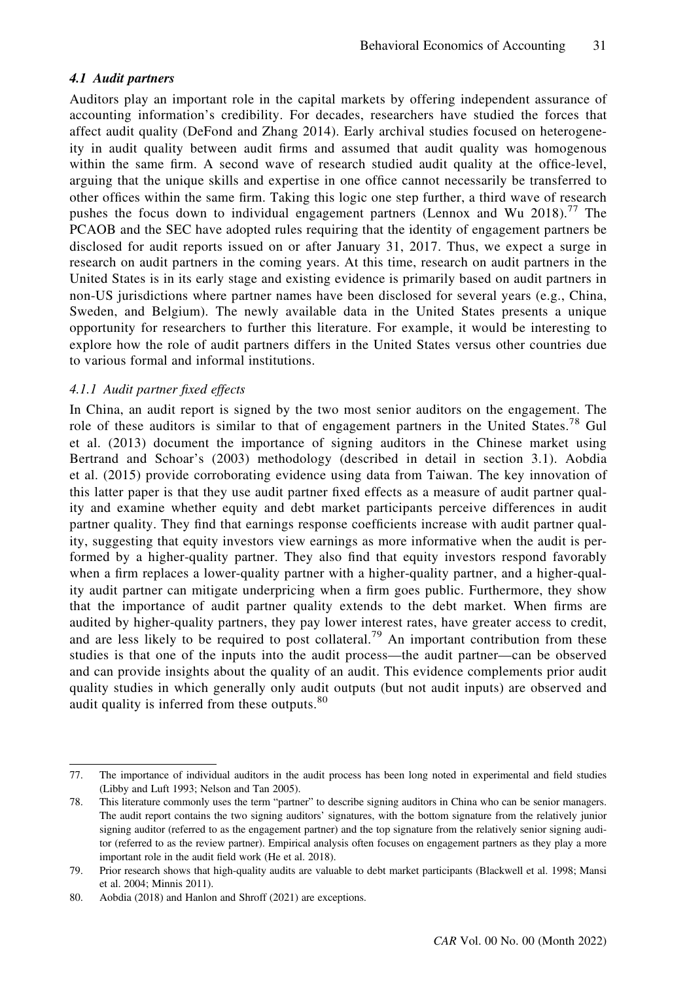#### 4.1 Audit partners

Auditors play an important role in the capital markets by offering independent assurance of accounting information's credibility. For decades, researchers have studied the forces that affect audit quality (DeFond and Zhang 2014). Early archival studies focused on heterogeneity in audit quality between audit firms and assumed that audit quality was homogenous within the same firm. A second wave of research studied audit quality at the office-level, arguing that the unique skills and expertise in one office cannot necessarily be transferred to other offices within the same firm. Taking this logic one step further, a third wave of research pushes the focus down to individual engagement partners (Lennox and Wu 2018).<sup>77</sup> The PCAOB and the SEC have adopted rules requiring that the identity of engagement partners be disclosed for audit reports issued on or after January 31, 2017. Thus, we expect a surge in research on audit partners in the coming years. At this time, research on audit partners in the United States is in its early stage and existing evidence is primarily based on audit partners in non-US jurisdictions where partner names have been disclosed for several years (e.g., China, Sweden, and Belgium). The newly available data in the United States presents a unique opportunity for researchers to further this literature. For example, it would be interesting to explore how the role of audit partners differs in the United States versus other countries due to various formal and informal institutions.

### 4.1.1 Audit partner fixed effects

In China, an audit report is signed by the two most senior auditors on the engagement. The role of these auditors is similar to that of engagement partners in the United States.<sup>78</sup> Gul et al. (2013) document the importance of signing auditors in the Chinese market using Bertrand and Schoar's (2003) methodology (described in detail in section 3.1). Aobdia et al. (2015) provide corroborating evidence using data from Taiwan. The key innovation of this latter paper is that they use audit partner fixed effects as a measure of audit partner quality and examine whether equity and debt market participants perceive differences in audit partner quality. They find that earnings response coefficients increase with audit partner quality, suggesting that equity investors view earnings as more informative when the audit is performed by a higher-quality partner. They also find that equity investors respond favorably when a firm replaces a lower-quality partner with a higher-quality partner, and a higher-quality audit partner can mitigate underpricing when a firm goes public. Furthermore, they show that the importance of audit partner quality extends to the debt market. When firms are audited by higher-quality partners, they pay lower interest rates, have greater access to credit, and are less likely to be required to post collateral.<sup>79</sup> An important contribution from these studies is that one of the inputs into the audit process—the audit partner—can be observed and can provide insights about the quality of an audit. This evidence complements prior audit quality studies in which generally only audit outputs (but not audit inputs) are observed and audit quality is inferred from these outputs.<sup>80</sup>

<sup>77.</sup> The importance of individual auditors in the audit process has been long noted in experimental and field studies (Libby and Luft 1993; Nelson and Tan 2005).

<sup>78.</sup> This literature commonly uses the term "partner" to describe signing auditors in China who can be senior managers. The audit report contains the two signing auditors' signatures, with the bottom signature from the relatively junior signing auditor (referred to as the engagement partner) and the top signature from the relatively senior signing auditor (referred to as the review partner). Empirical analysis often focuses on engagement partners as they play a more important role in the audit field work (He et al. 2018).

<sup>79.</sup> Prior research shows that high-quality audits are valuable to debt market participants (Blackwell et al. 1998; Mansi et al. 2004; Minnis 2011).

<sup>80.</sup> Aobdia (2018) and Hanlon and Shroff (2021) are exceptions.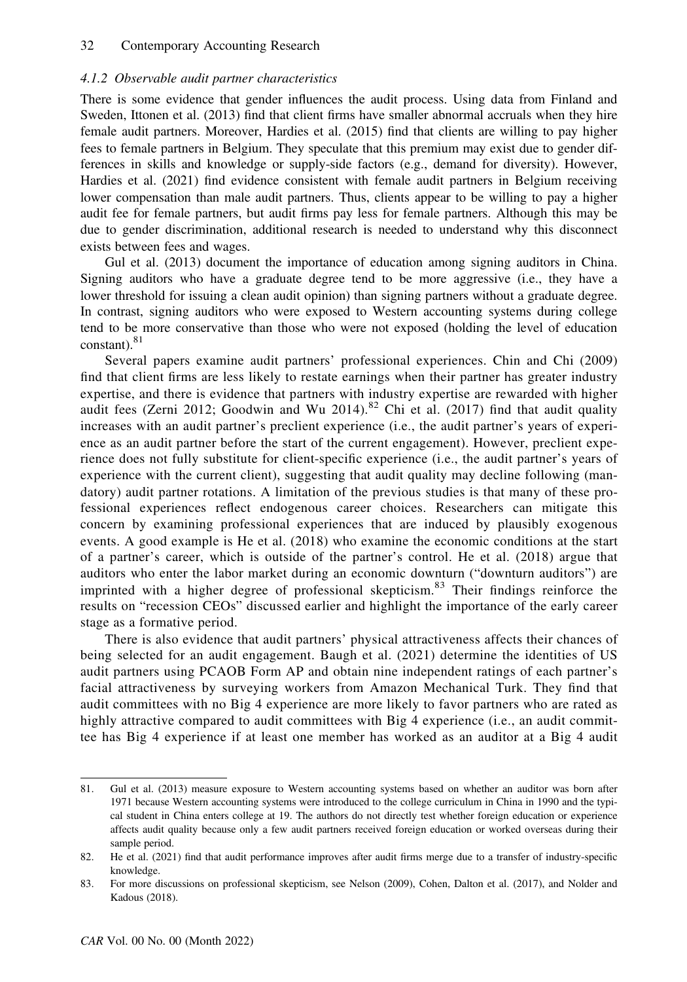#### 4.1.2 Observable audit partner characteristics

There is some evidence that gender influences the audit process. Using data from Finland and Sweden, Ittonen et al. (2013) find that client firms have smaller abnormal accruals when they hire female audit partners. Moreover, Hardies et al. (2015) find that clients are willing to pay higher fees to female partners in Belgium. They speculate that this premium may exist due to gender differences in skills and knowledge or supply-side factors (e.g., demand for diversity). However, Hardies et al. (2021) find evidence consistent with female audit partners in Belgium receiving lower compensation than male audit partners. Thus, clients appear to be willing to pay a higher audit fee for female partners, but audit firms pay less for female partners. Although this may be due to gender discrimination, additional research is needed to understand why this disconnect exists between fees and wages.

Gul et al. (2013) document the importance of education among signing auditors in China. Signing auditors who have a graduate degree tend to be more aggressive (i.e., they have a lower threshold for issuing a clean audit opinion) than signing partners without a graduate degree. In contrast, signing auditors who were exposed to Western accounting systems during college tend to be more conservative than those who were not exposed (holding the level of education constant). $81$ 

Several papers examine audit partners' professional experiences. Chin and Chi (2009) find that client firms are less likely to restate earnings when their partner has greater industry expertise, and there is evidence that partners with industry expertise are rewarded with higher audit fees (Zerni 2012; Goodwin and Wu 2014).<sup>82</sup> Chi et al. (2017) find that audit quality increases with an audit partner's preclient experience (i.e., the audit partner's years of experience as an audit partner before the start of the current engagement). However, preclient experience does not fully substitute for client-specific experience (i.e., the audit partner's years of experience with the current client), suggesting that audit quality may decline following (mandatory) audit partner rotations. A limitation of the previous studies is that many of these professional experiences reflect endogenous career choices. Researchers can mitigate this concern by examining professional experiences that are induced by plausibly exogenous events. A good example is He et al. (2018) who examine the economic conditions at the start of a partner's career, which is outside of the partner's control. He et al. (2018) argue that auditors who enter the labor market during an economic downturn ("downturn auditors") are imprinted with a higher degree of professional skepticism.<sup>83</sup> Their findings reinforce the results on "recession CEOs" discussed earlier and highlight the importance of the early career stage as a formative period.

There is also evidence that audit partners' physical attractiveness affects their chances of being selected for an audit engagement. Baugh et al. (2021) determine the identities of US audit partners using PCAOB Form AP and obtain nine independent ratings of each partner's facial attractiveness by surveying workers from Amazon Mechanical Turk. They find that audit committees with no Big 4 experience are more likely to favor partners who are rated as highly attractive compared to audit committees with Big 4 experience (i.e., an audit committee has Big 4 experience if at least one member has worked as an auditor at a Big 4 audit

<sup>81.</sup> Gul et al. (2013) measure exposure to Western accounting systems based on whether an auditor was born after 1971 because Western accounting systems were introduced to the college curriculum in China in 1990 and the typical student in China enters college at 19. The authors do not directly test whether foreign education or experience affects audit quality because only a few audit partners received foreign education or worked overseas during their sample period.

<sup>82.</sup> He et al. (2021) find that audit performance improves after audit firms merge due to a transfer of industry-specific knowledge.

<sup>83.</sup> For more discussions on professional skepticism, see Nelson (2009), Cohen, Dalton et al. (2017), and Nolder and Kadous (2018).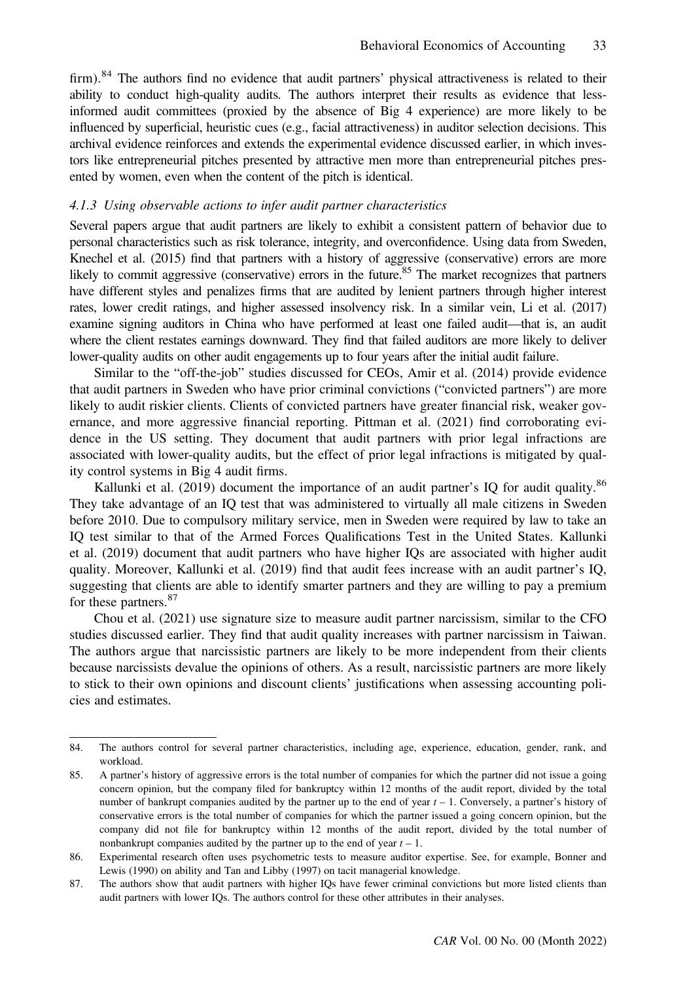firm).<sup>84</sup> The authors find no evidence that audit partners' physical attractiveness is related to their ability to conduct high-quality audits. The authors interpret their results as evidence that lessinformed audit committees (proxied by the absence of Big 4 experience) are more likely to be influenced by superficial, heuristic cues (e.g., facial attractiveness) in auditor selection decisions. This archival evidence reinforces and extends the experimental evidence discussed earlier, in which investors like entrepreneurial pitches presented by attractive men more than entrepreneurial pitches presented by women, even when the content of the pitch is identical.

#### 4.1.3 Using observable actions to infer audit partner characteristics

Several papers argue that audit partners are likely to exhibit a consistent pattern of behavior due to personal characteristics such as risk tolerance, integrity, and overconfidence. Using data from Sweden, Knechel et al. (2015) find that partners with a history of aggressive (conservative) errors are more likely to commit aggressive (conservative) errors in the future.<sup>85</sup> The market recognizes that partners have different styles and penalizes firms that are audited by lenient partners through higher interest rates, lower credit ratings, and higher assessed insolvency risk. In a similar vein, Li et al. (2017) examine signing auditors in China who have performed at least one failed audit—that is, an audit where the client restates earnings downward. They find that failed auditors are more likely to deliver lower-quality audits on other audit engagements up to four years after the initial audit failure.

Similar to the "off-the-job" studies discussed for CEOs, Amir et al. (2014) provide evidence that audit partners in Sweden who have prior criminal convictions ("convicted partners") are more likely to audit riskier clients. Clients of convicted partners have greater financial risk, weaker governance, and more aggressive financial reporting. Pittman et al. (2021) find corroborating evidence in the US setting. They document that audit partners with prior legal infractions are associated with lower-quality audits, but the effect of prior legal infractions is mitigated by quality control systems in Big 4 audit firms.

Kallunki et al. (2019) document the importance of an audit partner's IQ for audit quality.<sup>86</sup> They take advantage of an IQ test that was administered to virtually all male citizens in Sweden before 2010. Due to compulsory military service, men in Sweden were required by law to take an IQ test similar to that of the Armed Forces Qualifications Test in the United States. Kallunki et al. (2019) document that audit partners who have higher IQs are associated with higher audit quality. Moreover, Kallunki et al. (2019) find that audit fees increase with an audit partner's IQ, suggesting that clients are able to identify smarter partners and they are willing to pay a premium for these partners.<sup>87</sup>

Chou et al. (2021) use signature size to measure audit partner narcissism, similar to the CFO studies discussed earlier. They find that audit quality increases with partner narcissism in Taiwan. The authors argue that narcissistic partners are likely to be more independent from their clients because narcissists devalue the opinions of others. As a result, narcissistic partners are more likely to stick to their own opinions and discount clients' justifications when assessing accounting policies and estimates.

<sup>84.</sup> The authors control for several partner characteristics, including age, experience, education, gender, rank, and workload.

<sup>85.</sup> A partner's history of aggressive errors is the total number of companies for which the partner did not issue a going concern opinion, but the company filed for bankruptcy within 12 months of the audit report, divided by the total number of bankrupt companies audited by the partner up to the end of year  $t - 1$ . Conversely, a partner's history of conservative errors is the total number of companies for which the partner issued a going concern opinion, but the company did not file for bankruptcy within 12 months of the audit report, divided by the total number of nonbankrupt companies audited by the partner up to the end of year  $t - 1$ .

<sup>86.</sup> Experimental research often uses psychometric tests to measure auditor expertise. See, for example, Bonner and Lewis (1990) on ability and Tan and Libby (1997) on tacit managerial knowledge.

<sup>87.</sup> The authors show that audit partners with higher IQs have fewer criminal convictions but more listed clients than audit partners with lower IQs. The authors control for these other attributes in their analyses.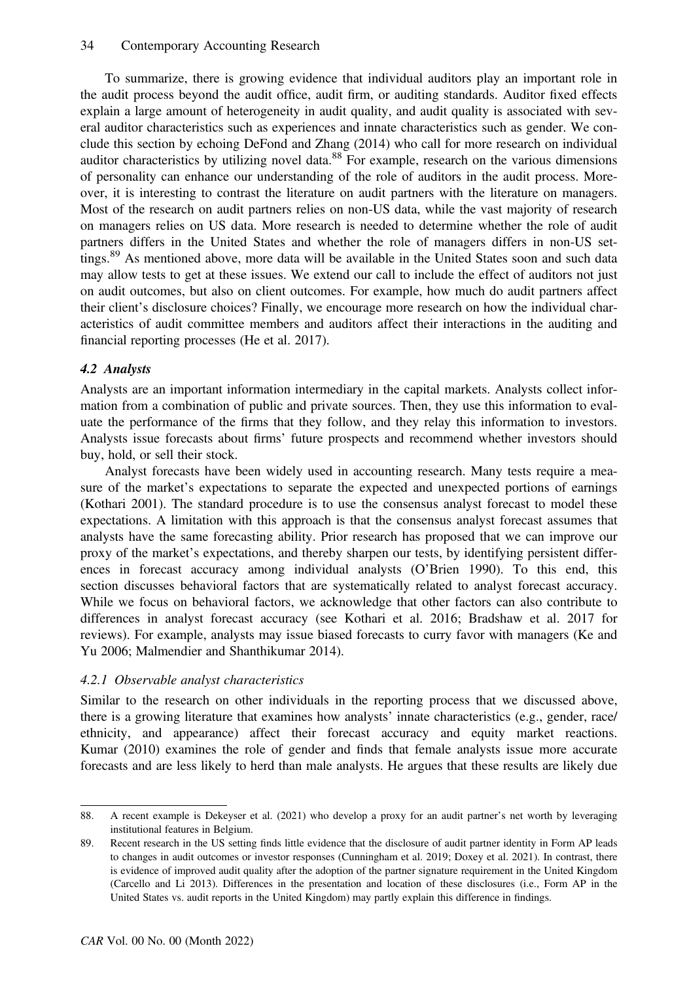To summarize, there is growing evidence that individual auditors play an important role in the audit process beyond the audit office, audit firm, or auditing standards. Auditor fixed effects explain a large amount of heterogeneity in audit quality, and audit quality is associated with several auditor characteristics such as experiences and innate characteristics such as gender. We conclude this section by echoing DeFond and Zhang (2014) who call for more research on individual auditor characteristics by utilizing novel data.<sup>88</sup> For example, research on the various dimensions of personality can enhance our understanding of the role of auditors in the audit process. Moreover, it is interesting to contrast the literature on audit partners with the literature on managers. Most of the research on audit partners relies on non-US data, while the vast majority of research on managers relies on US data. More research is needed to determine whether the role of audit partners differs in the United States and whether the role of managers differs in non-US settings.<sup>89</sup> As mentioned above, more data will be available in the United States soon and such data may allow tests to get at these issues. We extend our call to include the effect of auditors not just on audit outcomes, but also on client outcomes. For example, how much do audit partners affect their client's disclosure choices? Finally, we encourage more research on how the individual characteristics of audit committee members and auditors affect their interactions in the auditing and financial reporting processes (He et al. 2017).

# 4.2 Analysts

Analysts are an important information intermediary in the capital markets. Analysts collect information from a combination of public and private sources. Then, they use this information to evaluate the performance of the firms that they follow, and they relay this information to investors. Analysts issue forecasts about firms' future prospects and recommend whether investors should buy, hold, or sell their stock.

Analyst forecasts have been widely used in accounting research. Many tests require a measure of the market's expectations to separate the expected and unexpected portions of earnings (Kothari 2001). The standard procedure is to use the consensus analyst forecast to model these expectations. A limitation with this approach is that the consensus analyst forecast assumes that analysts have the same forecasting ability. Prior research has proposed that we can improve our proxy of the market's expectations, and thereby sharpen our tests, by identifying persistent differences in forecast accuracy among individual analysts (O'Brien 1990). To this end, this section discusses behavioral factors that are systematically related to analyst forecast accuracy. While we focus on behavioral factors, we acknowledge that other factors can also contribute to differences in analyst forecast accuracy (see Kothari et al. 2016; Bradshaw et al. 2017 for reviews). For example, analysts may issue biased forecasts to curry favor with managers (Ke and Yu 2006; Malmendier and Shanthikumar 2014).

# 4.2.1 Observable analyst characteristics

Similar to the research on other individuals in the reporting process that we discussed above, there is a growing literature that examines how analysts' innate characteristics (e.g., gender, race/ ethnicity, and appearance) affect their forecast accuracy and equity market reactions. Kumar (2010) examines the role of gender and finds that female analysts issue more accurate forecasts and are less likely to herd than male analysts. He argues that these results are likely due

<sup>88.</sup> A recent example is Dekeyser et al. (2021) who develop a proxy for an audit partner's net worth by leveraging institutional features in Belgium.

<sup>89.</sup> Recent research in the US setting finds little evidence that the disclosure of audit partner identity in Form AP leads to changes in audit outcomes or investor responses (Cunningham et al. 2019; Doxey et al. 2021). In contrast, there is evidence of improved audit quality after the adoption of the partner signature requirement in the United Kingdom (Carcello and Li 2013). Differences in the presentation and location of these disclosures (i.e., Form AP in the United States vs. audit reports in the United Kingdom) may partly explain this difference in findings.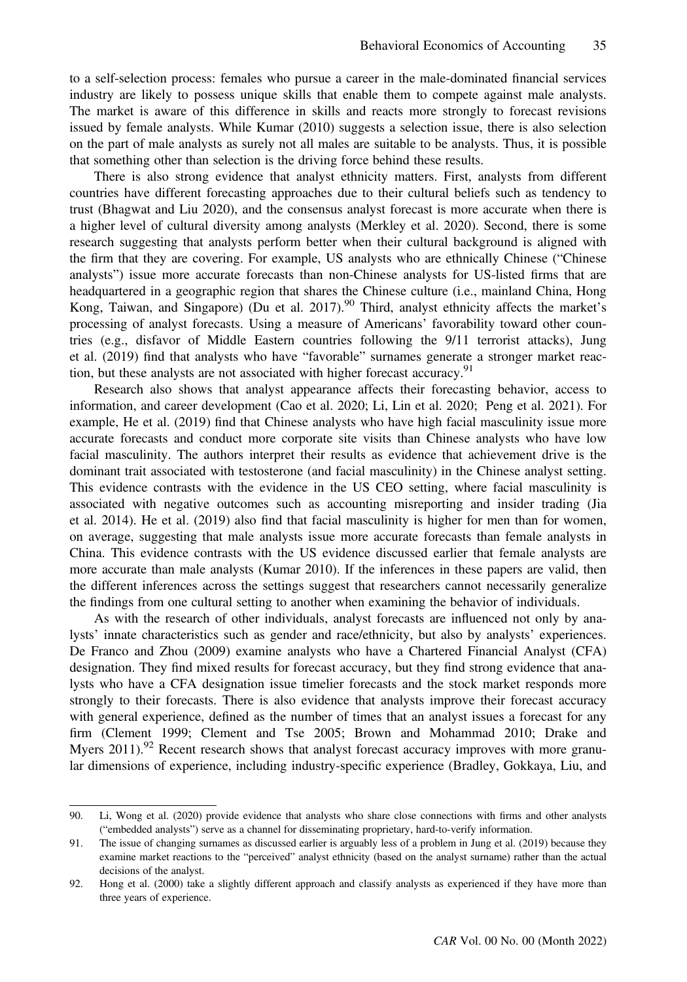to a self-selection process: females who pursue a career in the male-dominated financial services industry are likely to possess unique skills that enable them to compete against male analysts. The market is aware of this difference in skills and reacts more strongly to forecast revisions issued by female analysts. While Kumar (2010) suggests a selection issue, there is also selection on the part of male analysts as surely not all males are suitable to be analysts. Thus, it is possible that something other than selection is the driving force behind these results.

There is also strong evidence that analyst ethnicity matters. First, analysts from different countries have different forecasting approaches due to their cultural beliefs such as tendency to trust (Bhagwat and Liu 2020), and the consensus analyst forecast is more accurate when there is a higher level of cultural diversity among analysts (Merkley et al. 2020). Second, there is some research suggesting that analysts perform better when their cultural background is aligned with the firm that they are covering. For example, US analysts who are ethnically Chinese ("Chinese analysts") issue more accurate forecasts than non-Chinese analysts for US-listed firms that are headquartered in a geographic region that shares the Chinese culture (i.e., mainland China, Hong Kong, Taiwan, and Singapore) (Du et al. 2017).<sup>90</sup> Third, analyst ethnicity affects the market's processing of analyst forecasts. Using a measure of Americans' favorability toward other countries (e.g., disfavor of Middle Eastern countries following the 9/11 terrorist attacks), Jung et al. (2019) find that analysts who have "favorable" surnames generate a stronger market reaction, but these analysts are not associated with higher forecast accuracy.<sup>91</sup>

Research also shows that analyst appearance affects their forecasting behavior, access to information, and career development (Cao et al. 2020; Li, Lin et al. 2020; Peng et al. 2021). For example, He et al. (2019) find that Chinese analysts who have high facial masculinity issue more accurate forecasts and conduct more corporate site visits than Chinese analysts who have low facial masculinity. The authors interpret their results as evidence that achievement drive is the dominant trait associated with testosterone (and facial masculinity) in the Chinese analyst setting. This evidence contrasts with the evidence in the US CEO setting, where facial masculinity is associated with negative outcomes such as accounting misreporting and insider trading (Jia et al. 2014). He et al. (2019) also find that facial masculinity is higher for men than for women, on average, suggesting that male analysts issue more accurate forecasts than female analysts in China. This evidence contrasts with the US evidence discussed earlier that female analysts are more accurate than male analysts (Kumar 2010). If the inferences in these papers are valid, then the different inferences across the settings suggest that researchers cannot necessarily generalize the findings from one cultural setting to another when examining the behavior of individuals.

As with the research of other individuals, analyst forecasts are influenced not only by analysts' innate characteristics such as gender and race/ethnicity, but also by analysts' experiences. De Franco and Zhou (2009) examine analysts who have a Chartered Financial Analyst (CFA) designation. They find mixed results for forecast accuracy, but they find strong evidence that analysts who have a CFA designation issue timelier forecasts and the stock market responds more strongly to their forecasts. There is also evidence that analysts improve their forecast accuracy with general experience, defined as the number of times that an analyst issues a forecast for any firm (Clement 1999; Clement and Tse 2005; Brown and Mohammad 2010; Drake and Myers  $2011$ .<sup>92</sup> Recent research shows that analyst forecast accuracy improves with more granular dimensions of experience, including industry-specific experience (Bradley, Gokkaya, Liu, and

<sup>90.</sup> Li, Wong et al. (2020) provide evidence that analysts who share close connections with firms and other analysts ("embedded analysts") serve as a channel for disseminating proprietary, hard-to-verify information.

<sup>91.</sup> The issue of changing surnames as discussed earlier is arguably less of a problem in Jung et al. (2019) because they examine market reactions to the "perceived" analyst ethnicity (based on the analyst surname) rather than the actual decisions of the analyst.

<sup>92.</sup> Hong et al. (2000) take a slightly different approach and classify analysts as experienced if they have more than three years of experience.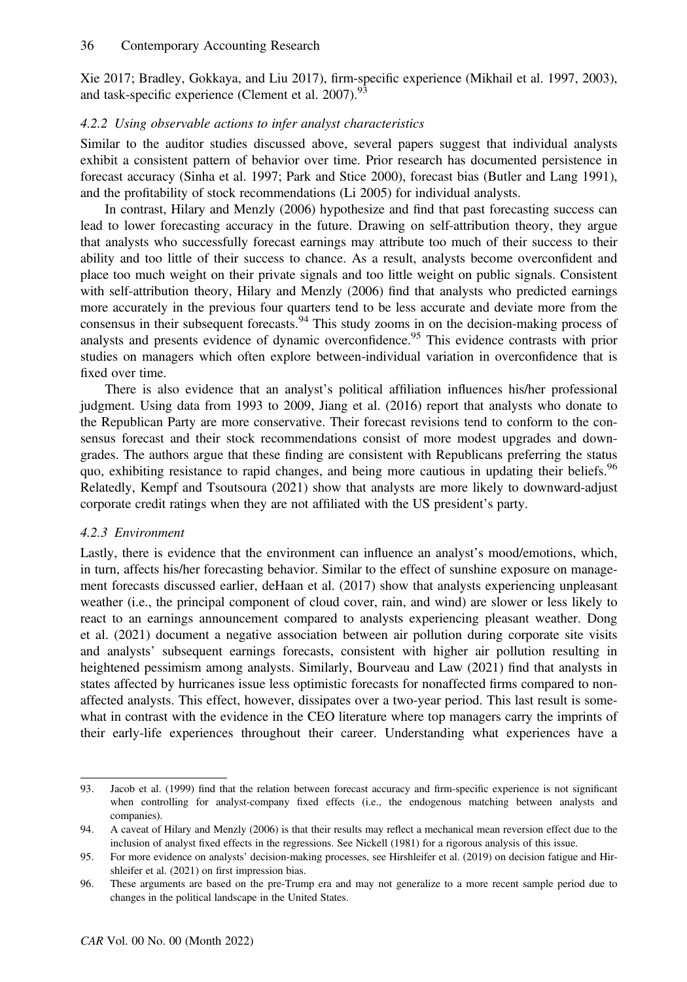Xie 2017; Bradley, Gokkaya, and Liu 2017), firm-specific experience (Mikhail et al. 1997, 2003), and task-specific experience (Clement et al. 2007).<sup>93</sup>

# 4.2.2 Using observable actions to infer analyst characteristics

Similar to the auditor studies discussed above, several papers suggest that individual analysts exhibit a consistent pattern of behavior over time. Prior research has documented persistence in forecast accuracy (Sinha et al. 1997; Park and Stice 2000), forecast bias (Butler and Lang 1991), and the profitability of stock recommendations (Li 2005) for individual analysts.

In contrast, Hilary and Menzly (2006) hypothesize and find that past forecasting success can lead to lower forecasting accuracy in the future. Drawing on self-attribution theory, they argue that analysts who successfully forecast earnings may attribute too much of their success to their ability and too little of their success to chance. As a result, analysts become overconfident and place too much weight on their private signals and too little weight on public signals. Consistent with self-attribution theory, Hilary and Menzly (2006) find that analysts who predicted earnings more accurately in the previous four quarters tend to be less accurate and deviate more from the consensus in their subsequent forecasts.<sup>94</sup> This study zooms in on the decision-making process of analysts and presents evidence of dynamic overconfidence.<sup>95</sup> This evidence contrasts with prior studies on managers which often explore between-individual variation in overconfidence that is fixed over time.

There is also evidence that an analyst's political affiliation influences his/her professional judgment. Using data from 1993 to 2009, Jiang et al. (2016) report that analysts who donate to the Republican Party are more conservative. Their forecast revisions tend to conform to the consensus forecast and their stock recommendations consist of more modest upgrades and downgrades. The authors argue that these finding are consistent with Republicans preferring the status quo, exhibiting resistance to rapid changes, and being more cautious in updating their beliefs.<sup>96</sup> Relatedly, Kempf and Tsoutsoura (2021) show that analysts are more likely to downward-adjust corporate credit ratings when they are not affiliated with the US president's party.

# 4.2.3 Environment

Lastly, there is evidence that the environment can influence an analyst's mood/emotions, which, in turn, affects his/her forecasting behavior. Similar to the effect of sunshine exposure on management forecasts discussed earlier, deHaan et al. (2017) show that analysts experiencing unpleasant weather (i.e., the principal component of cloud cover, rain, and wind) are slower or less likely to react to an earnings announcement compared to analysts experiencing pleasant weather. Dong et al. (2021) document a negative association between air pollution during corporate site visits and analysts' subsequent earnings forecasts, consistent with higher air pollution resulting in heightened pessimism among analysts. Similarly, Bourveau and Law (2021) find that analysts in states affected by hurricanes issue less optimistic forecasts for nonaffected firms compared to nonaffected analysts. This effect, however, dissipates over a two-year period. This last result is somewhat in contrast with the evidence in the CEO literature where top managers carry the imprints of their early-life experiences throughout their career. Understanding what experiences have a

<sup>93.</sup> Jacob et al. (1999) find that the relation between forecast accuracy and firm-specific experience is not significant when controlling for analyst-company fixed effects (i.e., the endogenous matching between analysts and companies).

<sup>94.</sup> A caveat of Hilary and Menzly (2006) is that their results may reflect a mechanical mean reversion effect due to the inclusion of analyst fixed effects in the regressions. See Nickell (1981) for a rigorous analysis of this issue.

<sup>95.</sup> For more evidence on analysts' decision-making processes, see Hirshleifer et al. (2019) on decision fatigue and Hirshleifer et al. (2021) on first impression bias.

<sup>96.</sup> These arguments are based on the pre-Trump era and may not generalize to a more recent sample period due to changes in the political landscape in the United States.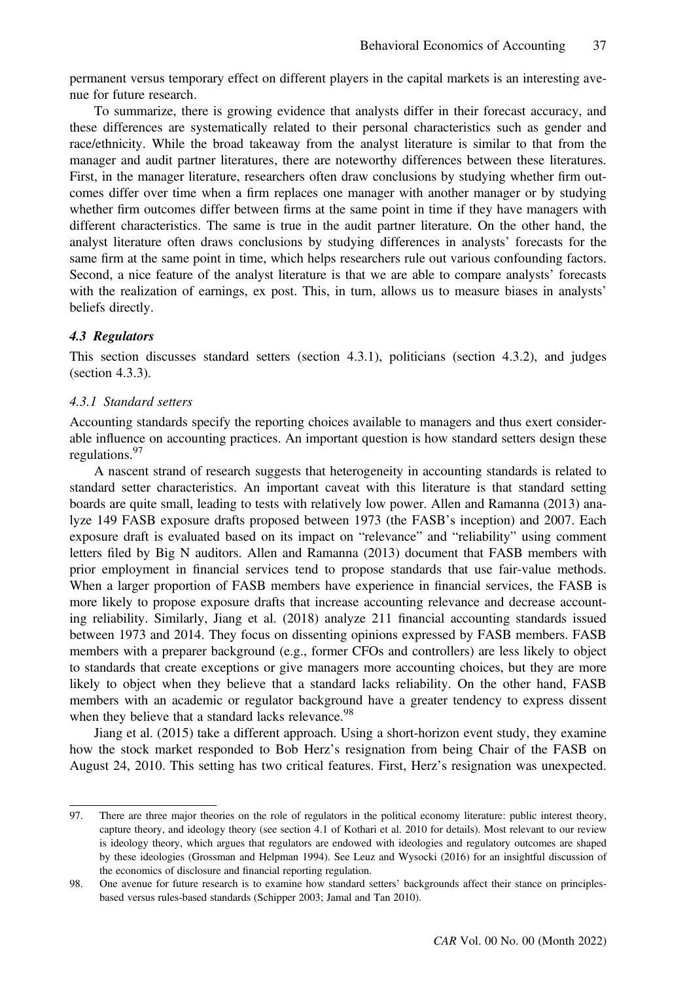permanent versus temporary effect on different players in the capital markets is an interesting avenue for future research.

To summarize, there is growing evidence that analysts differ in their forecast accuracy, and these differences are systematically related to their personal characteristics such as gender and race/ethnicity. While the broad takeaway from the analyst literature is similar to that from the manager and audit partner literatures, there are noteworthy differences between these literatures. First, in the manager literature, researchers often draw conclusions by studying whether firm outcomes differ over time when a firm replaces one manager with another manager or by studying whether firm outcomes differ between firms at the same point in time if they have managers with different characteristics. The same is true in the audit partner literature. On the other hand, the analyst literature often draws conclusions by studying differences in analysts' forecasts for the same firm at the same point in time, which helps researchers rule out various confounding factors. Second, a nice feature of the analyst literature is that we are able to compare analysts' forecasts with the realization of earnings, ex post. This, in turn, allows us to measure biases in analysts' beliefs directly.

#### 4.3 Regulators

This section discusses standard setters (section 4.3.1), politicians (section 4.3.2), and judges (section 4.3.3).

#### 4.3.1 Standard setters

Accounting standards specify the reporting choices available to managers and thus exert considerable influence on accounting practices. An important question is how standard setters design these regulations.<sup>97</sup>

A nascent strand of research suggests that heterogeneity in accounting standards is related to standard setter characteristics. An important caveat with this literature is that standard setting boards are quite small, leading to tests with relatively low power. Allen and Ramanna (2013) analyze 149 FASB exposure drafts proposed between 1973 (the FASB's inception) and 2007. Each exposure draft is evaluated based on its impact on "relevance" and "reliability" using comment letters filed by Big N auditors. Allen and Ramanna (2013) document that FASB members with prior employment in financial services tend to propose standards that use fair-value methods. When a larger proportion of FASB members have experience in financial services, the FASB is more likely to propose exposure drafts that increase accounting relevance and decrease accounting reliability. Similarly, Jiang et al. (2018) analyze 211 financial accounting standards issued between 1973 and 2014. They focus on dissenting opinions expressed by FASB members. FASB members with a preparer background (e.g., former CFOs and controllers) are less likely to object to standards that create exceptions or give managers more accounting choices, but they are more likely to object when they believe that a standard lacks reliability. On the other hand, FASB members with an academic or regulator background have a greater tendency to express dissent when they believe that a standard lacks relevance.<sup>98</sup>

Jiang et al. (2015) take a different approach. Using a short-horizon event study, they examine how the stock market responded to Bob Herz's resignation from being Chair of the FASB on August 24, 2010. This setting has two critical features. First, Herz's resignation was unexpected.

<sup>97.</sup> There are three major theories on the role of regulators in the political economy literature: public interest theory, capture theory, and ideology theory (see section 4.1 of Kothari et al. 2010 for details). Most relevant to our review is ideology theory, which argues that regulators are endowed with ideologies and regulatory outcomes are shaped by these ideologies (Grossman and Helpman 1994). See Leuz and Wysocki (2016) for an insightful discussion of the economics of disclosure and financial reporting regulation.

<sup>98.</sup> One avenue for future research is to examine how standard setters' backgrounds affect their stance on principlesbased versus rules-based standards (Schipper 2003; Jamal and Tan 2010).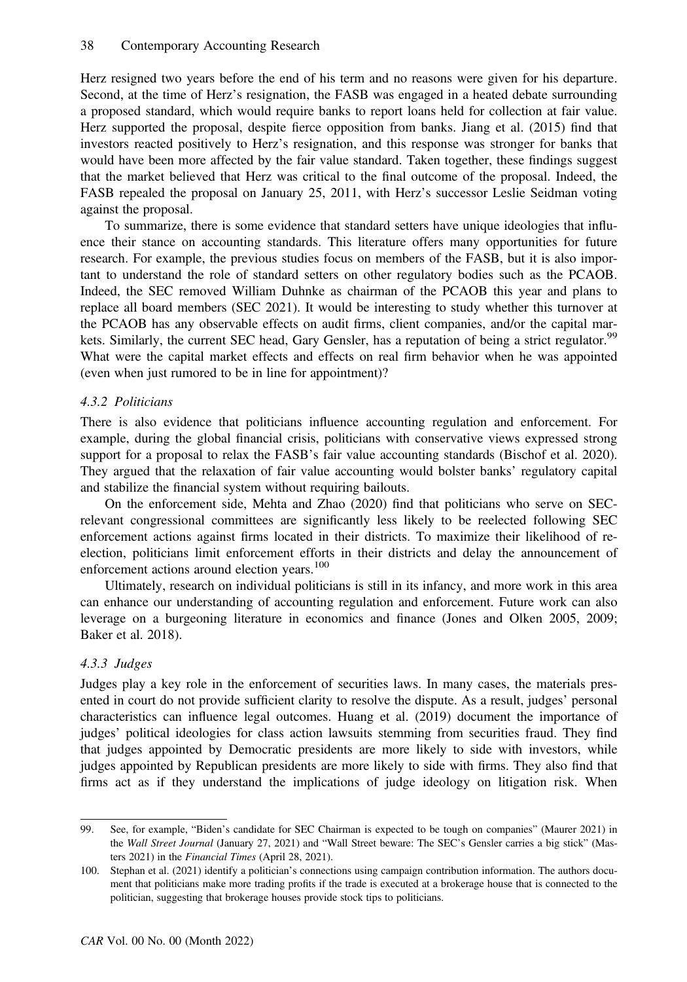Herz resigned two years before the end of his term and no reasons were given for his departure. Second, at the time of Herz's resignation, the FASB was engaged in a heated debate surrounding a proposed standard, which would require banks to report loans held for collection at fair value. Herz supported the proposal, despite fierce opposition from banks. Jiang et al. (2015) find that investors reacted positively to Herz's resignation, and this response was stronger for banks that would have been more affected by the fair value standard. Taken together, these findings suggest that the market believed that Herz was critical to the final outcome of the proposal. Indeed, the FASB repealed the proposal on January 25, 2011, with Herz's successor Leslie Seidman voting against the proposal.

To summarize, there is some evidence that standard setters have unique ideologies that influence their stance on accounting standards. This literature offers many opportunities for future research. For example, the previous studies focus on members of the FASB, but it is also important to understand the role of standard setters on other regulatory bodies such as the PCAOB. Indeed, the SEC removed William Duhnke as chairman of the PCAOB this year and plans to replace all board members (SEC 2021). It would be interesting to study whether this turnover at the PCAOB has any observable effects on audit firms, client companies, and/or the capital markets. Similarly, the current SEC head, Gary Gensler, has a reputation of being a strict regulator.<sup>99</sup> What were the capital market effects and effects on real firm behavior when he was appointed (even when just rumored to be in line for appointment)?

# 4.3.2 Politicians

There is also evidence that politicians influence accounting regulation and enforcement. For example, during the global financial crisis, politicians with conservative views expressed strong support for a proposal to relax the FASB's fair value accounting standards (Bischof et al. 2020). They argued that the relaxation of fair value accounting would bolster banks' regulatory capital and stabilize the financial system without requiring bailouts.

On the enforcement side, Mehta and Zhao (2020) find that politicians who serve on SECrelevant congressional committees are significantly less likely to be reelected following SEC enforcement actions against firms located in their districts. To maximize their likelihood of reelection, politicians limit enforcement efforts in their districts and delay the announcement of enforcement actions around election years.<sup>100</sup>

Ultimately, research on individual politicians is still in its infancy, and more work in this area can enhance our understanding of accounting regulation and enforcement. Future work can also leverage on a burgeoning literature in economics and finance (Jones and Olken 2005, 2009; Baker et al. 2018).

# 4.3.3 Judges

Judges play a key role in the enforcement of securities laws. In many cases, the materials presented in court do not provide sufficient clarity to resolve the dispute. As a result, judges' personal characteristics can influence legal outcomes. Huang et al. (2019) document the importance of judges' political ideologies for class action lawsuits stemming from securities fraud. They find that judges appointed by Democratic presidents are more likely to side with investors, while judges appointed by Republican presidents are more likely to side with firms. They also find that firms act as if they understand the implications of judge ideology on litigation risk. When

<sup>99.</sup> See, for example, "Biden's candidate for SEC Chairman is expected to be tough on companies" (Maurer 2021) in the Wall Street Journal (January 27, 2021) and "Wall Street beware: The SEC's Gensler carries a big stick" (Masters 2021) in the Financial Times (April 28, 2021).

<sup>100.</sup> Stephan et al. (2021) identify a politician's connections using campaign contribution information. The authors document that politicians make more trading profits if the trade is executed at a brokerage house that is connected to the politician, suggesting that brokerage houses provide stock tips to politicians.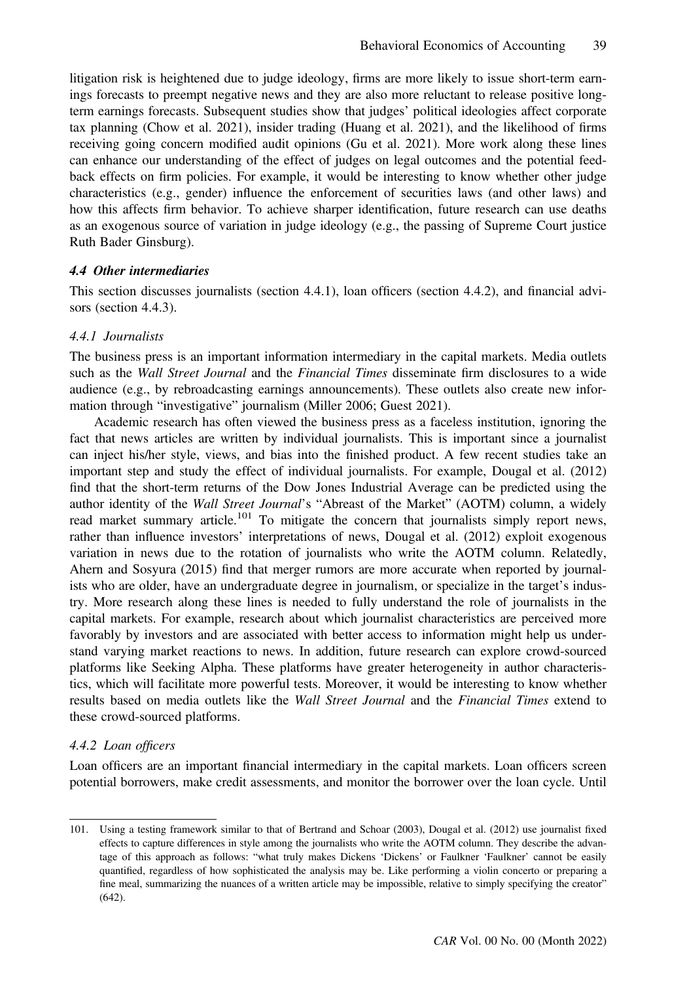litigation risk is heightened due to judge ideology, firms are more likely to issue short-term earnings forecasts to preempt negative news and they are also more reluctant to release positive longterm earnings forecasts. Subsequent studies show that judges' political ideologies affect corporate tax planning (Chow et al. 2021), insider trading (Huang et al. 2021), and the likelihood of firms receiving going concern modified audit opinions (Gu et al. 2021). More work along these lines can enhance our understanding of the effect of judges on legal outcomes and the potential feedback effects on firm policies. For example, it would be interesting to know whether other judge characteristics (e.g., gender) influence the enforcement of securities laws (and other laws) and how this affects firm behavior. To achieve sharper identification, future research can use deaths as an exogenous source of variation in judge ideology (e.g., the passing of Supreme Court justice Ruth Bader Ginsburg).

#### 4.4 Other intermediaries

This section discusses journalists (section 4.4.1), loan officers (section 4.4.2), and financial advisors (section 4.4.3).

#### 4.4.1 Journalists

The business press is an important information intermediary in the capital markets. Media outlets such as the Wall Street Journal and the Financial Times disseminate firm disclosures to a wide audience (e.g., by rebroadcasting earnings announcements). These outlets also create new information through "investigative" journalism (Miller 2006; Guest 2021).

Academic research has often viewed the business press as a faceless institution, ignoring the fact that news articles are written by individual journalists. This is important since a journalist can inject his/her style, views, and bias into the finished product. A few recent studies take an important step and study the effect of individual journalists. For example, Dougal et al. (2012) find that the short-term returns of the Dow Jones Industrial Average can be predicted using the author identity of the Wall Street Journal's "Abreast of the Market" (AOTM) column, a widely read market summary article.<sup>101</sup> To mitigate the concern that journalists simply report news, rather than influence investors' interpretations of news, Dougal et al. (2012) exploit exogenous variation in news due to the rotation of journalists who write the AOTM column. Relatedly, Ahern and Sosyura (2015) find that merger rumors are more accurate when reported by journalists who are older, have an undergraduate degree in journalism, or specialize in the target's industry. More research along these lines is needed to fully understand the role of journalists in the capital markets. For example, research about which journalist characteristics are perceived more favorably by investors and are associated with better access to information might help us understand varying market reactions to news. In addition, future research can explore crowd-sourced platforms like Seeking Alpha. These platforms have greater heterogeneity in author characteristics, which will facilitate more powerful tests. Moreover, it would be interesting to know whether results based on media outlets like the Wall Street Journal and the Financial Times extend to these crowd-sourced platforms.

#### 4.4.2 Loan officers

Loan officers are an important financial intermediary in the capital markets. Loan officers screen potential borrowers, make credit assessments, and monitor the borrower over the loan cycle. Until

<sup>101.</sup> Using a testing framework similar to that of Bertrand and Schoar (2003), Dougal et al. (2012) use journalist fixed effects to capture differences in style among the journalists who write the AOTM column. They describe the advantage of this approach as follows: "what truly makes Dickens 'Dickens' or Faulkner 'Faulkner' cannot be easily quantified, regardless of how sophisticated the analysis may be. Like performing a violin concerto or preparing a fine meal, summarizing the nuances of a written article may be impossible, relative to simply specifying the creator" (642).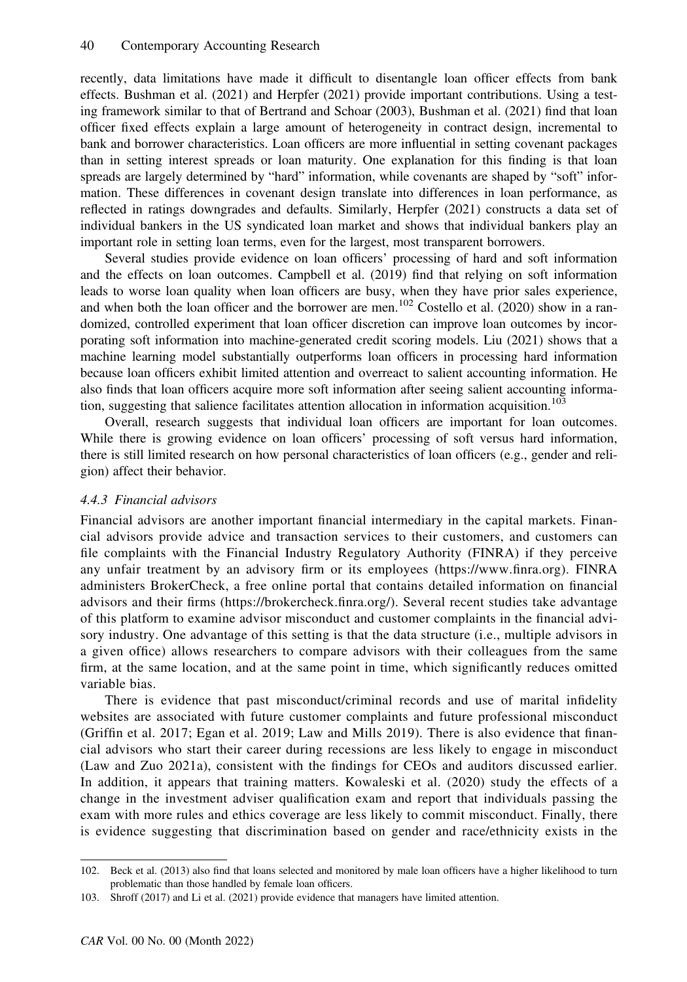recently, data limitations have made it difficult to disentangle loan officer effects from bank effects. Bushman et al. (2021) and Herpfer (2021) provide important contributions. Using a testing framework similar to that of Bertrand and Schoar (2003), Bushman et al. (2021) find that loan officer fixed effects explain a large amount of heterogeneity in contract design, incremental to bank and borrower characteristics. Loan officers are more influential in setting covenant packages than in setting interest spreads or loan maturity. One explanation for this finding is that loan spreads are largely determined by "hard" information, while covenants are shaped by "soft" information. These differences in covenant design translate into differences in loan performance, as reflected in ratings downgrades and defaults. Similarly, Herpfer (2021) constructs a data set of individual bankers in the US syndicated loan market and shows that individual bankers play an important role in setting loan terms, even for the largest, most transparent borrowers.

Several studies provide evidence on loan officers' processing of hard and soft information and the effects on loan outcomes. Campbell et al. (2019) find that relying on soft information leads to worse loan quality when loan officers are busy, when they have prior sales experience, and when both the loan officer and the borrower are men.<sup>102</sup> Costello et al. (2020) show in a randomized, controlled experiment that loan officer discretion can improve loan outcomes by incorporating soft information into machine-generated credit scoring models. Liu (2021) shows that a machine learning model substantially outperforms loan officers in processing hard information because loan officers exhibit limited attention and overreact to salient accounting information. He also finds that loan officers acquire more soft information after seeing salient accounting information, suggesting that salience facilitates attention allocation in information acquisition.<sup>103</sup>

Overall, research suggests that individual loan officers are important for loan outcomes. While there is growing evidence on loan officers' processing of soft versus hard information, there is still limited research on how personal characteristics of loan officers (e.g., gender and religion) affect their behavior.

#### 4.4.3 Financial advisors

Financial advisors are another important financial intermediary in the capital markets. Financial advisors provide advice and transaction services to their customers, and customers can file complaints with the Financial Industry Regulatory Authority (FINRA) if they perceive any unfair treatment by an advisory firm or its employees [\(https://www.](https://www.finra.org/)finra.org). FINRA administers BrokerCheck, a free online portal that contains detailed information on financial advisors and their firms ([https://brokercheck.](https://brokercheck.finra.org/)finra.org/). Several recent studies take advantage of this platform to examine advisor misconduct and customer complaints in the financial advisory industry. One advantage of this setting is that the data structure (i.e., multiple advisors in a given office) allows researchers to compare advisors with their colleagues from the same firm, at the same location, and at the same point in time, which significantly reduces omitted variable bias.

There is evidence that past misconduct/criminal records and use of marital infidelity websites are associated with future customer complaints and future professional misconduct (Griffin et al. 2017; Egan et al. 2019; Law and Mills 2019). There is also evidence that financial advisors who start their career during recessions are less likely to engage in misconduct (Law and Zuo 2021a), consistent with the findings for CEOs and auditors discussed earlier. In addition, it appears that training matters. Kowaleski et al. (2020) study the effects of a change in the investment adviser qualification exam and report that individuals passing the exam with more rules and ethics coverage are less likely to commit misconduct. Finally, there is evidence suggesting that discrimination based on gender and race/ethnicity exists in the

<sup>102.</sup> Beck et al. (2013) also find that loans selected and monitored by male loan officers have a higher likelihood to turn problematic than those handled by female loan officers.

<sup>103.</sup> Shroff (2017) and Li et al. (2021) provide evidence that managers have limited attention.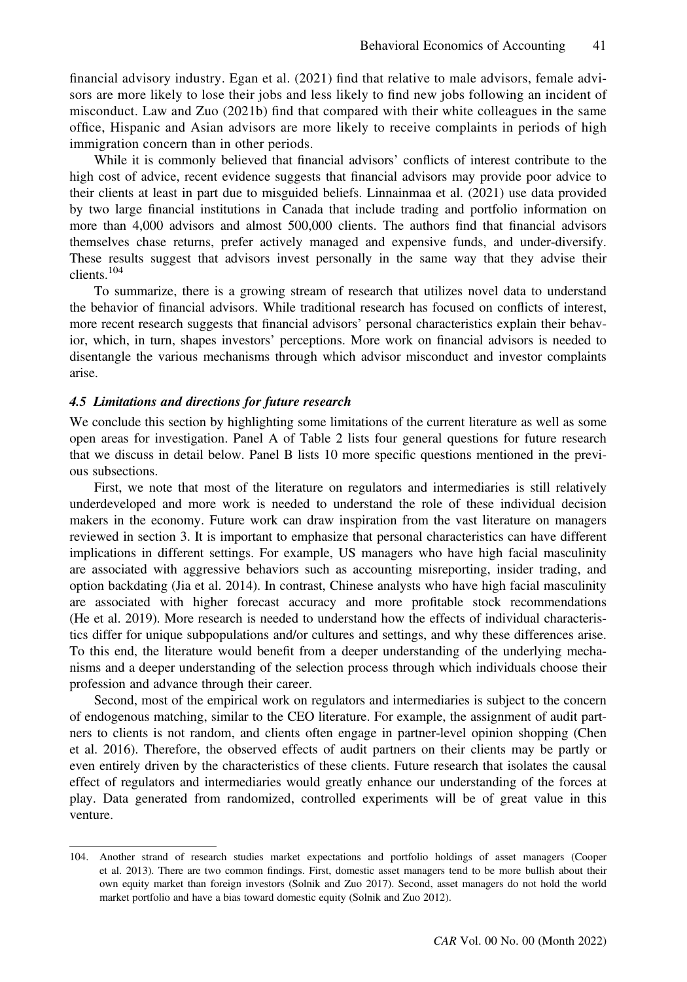financial advisory industry. Egan et al. (2021) find that relative to male advisors, female advisors are more likely to lose their jobs and less likely to find new jobs following an incident of misconduct. Law and Zuo (2021b) find that compared with their white colleagues in the same office, Hispanic and Asian advisors are more likely to receive complaints in periods of high immigration concern than in other periods.

While it is commonly believed that financial advisors' conflicts of interest contribute to the high cost of advice, recent evidence suggests that financial advisors may provide poor advice to their clients at least in part due to misguided beliefs. Linnainmaa et al. (2021) use data provided by two large financial institutions in Canada that include trading and portfolio information on more than 4,000 advisors and almost 500,000 clients. The authors find that financial advisors themselves chase returns, prefer actively managed and expensive funds, and under-diversify. These results suggest that advisors invest personally in the same way that they advise their clients.<sup>104</sup>

To summarize, there is a growing stream of research that utilizes novel data to understand the behavior of financial advisors. While traditional research has focused on conflicts of interest, more recent research suggests that financial advisors' personal characteristics explain their behavior, which, in turn, shapes investors' perceptions. More work on financial advisors is needed to disentangle the various mechanisms through which advisor misconduct and investor complaints arise.

#### 4.5 Limitations and directions for future research

We conclude this section by highlighting some limitations of the current literature as well as some open areas for investigation. Panel A of Table 2 lists four general questions for future research that we discuss in detail below. Panel B lists 10 more specific questions mentioned in the previous subsections.

First, we note that most of the literature on regulators and intermediaries is still relatively underdeveloped and more work is needed to understand the role of these individual decision makers in the economy. Future work can draw inspiration from the vast literature on managers reviewed in section 3. It is important to emphasize that personal characteristics can have different implications in different settings. For example, US managers who have high facial masculinity are associated with aggressive behaviors such as accounting misreporting, insider trading, and option backdating (Jia et al. 2014). In contrast, Chinese analysts who have high facial masculinity are associated with higher forecast accuracy and more profitable stock recommendations (He et al. 2019). More research is needed to understand how the effects of individual characteristics differ for unique subpopulations and/or cultures and settings, and why these differences arise. To this end, the literature would benefit from a deeper understanding of the underlying mechanisms and a deeper understanding of the selection process through which individuals choose their profession and advance through their career.

Second, most of the empirical work on regulators and intermediaries is subject to the concern of endogenous matching, similar to the CEO literature. For example, the assignment of audit partners to clients is not random, and clients often engage in partner-level opinion shopping (Chen et al. 2016). Therefore, the observed effects of audit partners on their clients may be partly or even entirely driven by the characteristics of these clients. Future research that isolates the causal effect of regulators and intermediaries would greatly enhance our understanding of the forces at play. Data generated from randomized, controlled experiments will be of great value in this venture.

<sup>104.</sup> Another strand of research studies market expectations and portfolio holdings of asset managers (Cooper et al. 2013). There are two common findings. First, domestic asset managers tend to be more bullish about their own equity market than foreign investors (Solnik and Zuo 2017). Second, asset managers do not hold the world market portfolio and have a bias toward domestic equity (Solnik and Zuo 2012).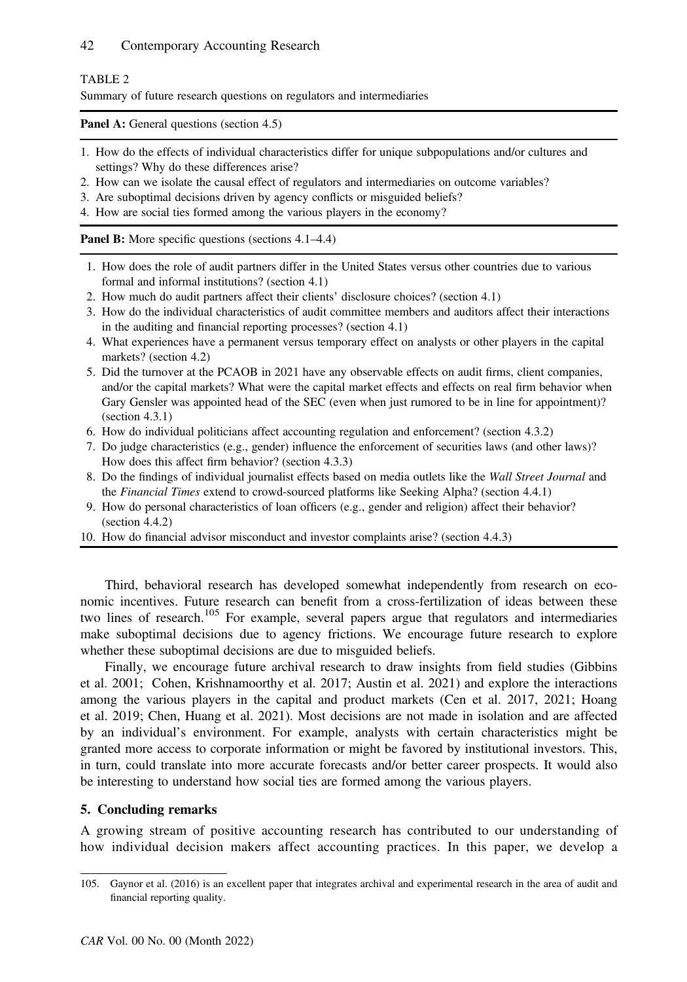### 42 Contemporary Accounting Research

#### TABLE 2

Summary of future research questions on regulators and intermediaries

Panel A: General questions (section 4.5)

- 1. How do the effects of individual characteristics differ for unique subpopulations and/or cultures and settings? Why do these differences arise?
- 2. How can we isolate the causal effect of regulators and intermediaries on outcome variables?
- 3. Are suboptimal decisions driven by agency conflicts or misguided beliefs?
- 4. How are social ties formed among the various players in the economy?

Panel B: More specific questions (sections 4.1–4.4)

- 1. How does the role of audit partners differ in the United States versus other countries due to various formal and informal institutions? (section 4.1)
- 2. How much do audit partners affect their clients' disclosure choices? (section 4.1)
- 3. How do the individual characteristics of audit committee members and auditors affect their interactions in the auditing and financial reporting processes? (section 4.1)
- 4. What experiences have a permanent versus temporary effect on analysts or other players in the capital markets? (section 4.2)
- 5. Did the turnover at the PCAOB in 2021 have any observable effects on audit firms, client companies, and/or the capital markets? What were the capital market effects and effects on real firm behavior when Gary Gensler was appointed head of the SEC (even when just rumored to be in line for appointment)? (section 4.3.1)
- 6. How do individual politicians affect accounting regulation and enforcement? (section 4.3.2)
- 7. Do judge characteristics (e.g., gender) influence the enforcement of securities laws (and other laws)? How does this affect firm behavior? (section 4.3.3)
- 8. Do the findings of individual journalist effects based on media outlets like the Wall Street Journal and the Financial Times extend to crowd-sourced platforms like Seeking Alpha? (section 4.4.1)
- 9. How do personal characteristics of loan officers (e.g., gender and religion) affect their behavior? (section 4.4.2)
- 10. How do financial advisor misconduct and investor complaints arise? (section 4.4.3)

Third, behavioral research has developed somewhat independently from research on economic incentives. Future research can benefit from a cross-fertilization of ideas between these two lines of research.<sup>105</sup> For example, several papers argue that regulators and intermediaries make suboptimal decisions due to agency frictions. We encourage future research to explore whether these suboptimal decisions are due to misguided beliefs.

Finally, we encourage future archival research to draw insights from field studies (Gibbins et al. 2001; Cohen, Krishnamoorthy et al. 2017; Austin et al. 2021) and explore the interactions among the various players in the capital and product markets (Cen et al. 2017, 2021; Hoang et al. 2019; Chen, Huang et al. 2021). Most decisions are not made in isolation and are affected by an individual's environment. For example, analysts with certain characteristics might be granted more access to corporate information or might be favored by institutional investors. This, in turn, could translate into more accurate forecasts and/or better career prospects. It would also be interesting to understand how social ties are formed among the various players.

# 5. Concluding remarks

A growing stream of positive accounting research has contributed to our understanding of how individual decision makers affect accounting practices. In this paper, we develop a

<sup>105.</sup> Gaynor et al. (2016) is an excellent paper that integrates archival and experimental research in the area of audit and financial reporting quality.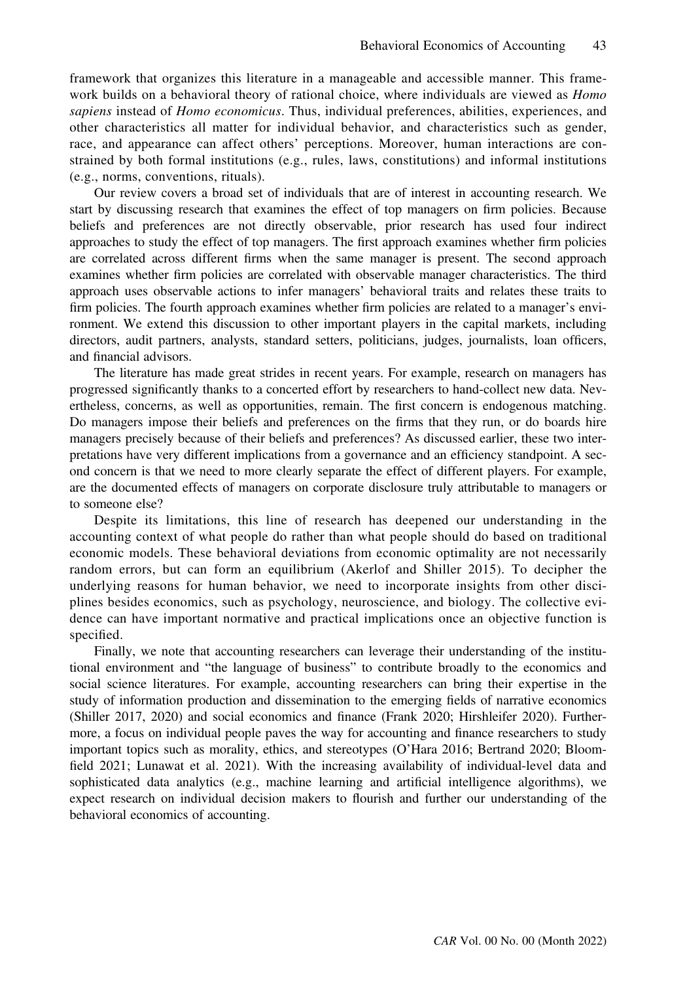framework that organizes this literature in a manageable and accessible manner. This framework builds on a behavioral theory of rational choice, where individuals are viewed as  $Homo$ sapiens instead of Homo economicus. Thus, individual preferences, abilities, experiences, and other characteristics all matter for individual behavior, and characteristics such as gender, race, and appearance can affect others' perceptions. Moreover, human interactions are constrained by both formal institutions (e.g., rules, laws, constitutions) and informal institutions (e.g., norms, conventions, rituals).

Our review covers a broad set of individuals that are of interest in accounting research. We start by discussing research that examines the effect of top managers on firm policies. Because beliefs and preferences are not directly observable, prior research has used four indirect approaches to study the effect of top managers. The first approach examines whether firm policies are correlated across different firms when the same manager is present. The second approach examines whether firm policies are correlated with observable manager characteristics. The third approach uses observable actions to infer managers' behavioral traits and relates these traits to firm policies. The fourth approach examines whether firm policies are related to a manager's environment. We extend this discussion to other important players in the capital markets, including directors, audit partners, analysts, standard setters, politicians, judges, journalists, loan officers, and financial advisors.

The literature has made great strides in recent years. For example, research on managers has progressed significantly thanks to a concerted effort by researchers to hand-collect new data. Nevertheless, concerns, as well as opportunities, remain. The first concern is endogenous matching. Do managers impose their beliefs and preferences on the firms that they run, or do boards hire managers precisely because of their beliefs and preferences? As discussed earlier, these two interpretations have very different implications from a governance and an efficiency standpoint. A second concern is that we need to more clearly separate the effect of different players. For example, are the documented effects of managers on corporate disclosure truly attributable to managers or to someone else?

Despite its limitations, this line of research has deepened our understanding in the accounting context of what people do rather than what people should do based on traditional economic models. These behavioral deviations from economic optimality are not necessarily random errors, but can form an equilibrium (Akerlof and Shiller 2015). To decipher the underlying reasons for human behavior, we need to incorporate insights from other disciplines besides economics, such as psychology, neuroscience, and biology. The collective evidence can have important normative and practical implications once an objective function is specified.

Finally, we note that accounting researchers can leverage their understanding of the institutional environment and "the language of business" to contribute broadly to the economics and social science literatures. For example, accounting researchers can bring their expertise in the study of information production and dissemination to the emerging fields of narrative economics (Shiller 2017, 2020) and social economics and finance (Frank 2020; Hirshleifer 2020). Furthermore, a focus on individual people paves the way for accounting and finance researchers to study important topics such as morality, ethics, and stereotypes (O'Hara 2016; Bertrand 2020; Bloomfield 2021; Lunawat et al. 2021). With the increasing availability of individual-level data and sophisticated data analytics (e.g., machine learning and artificial intelligence algorithms), we expect research on individual decision makers to flourish and further our understanding of the behavioral economics of accounting.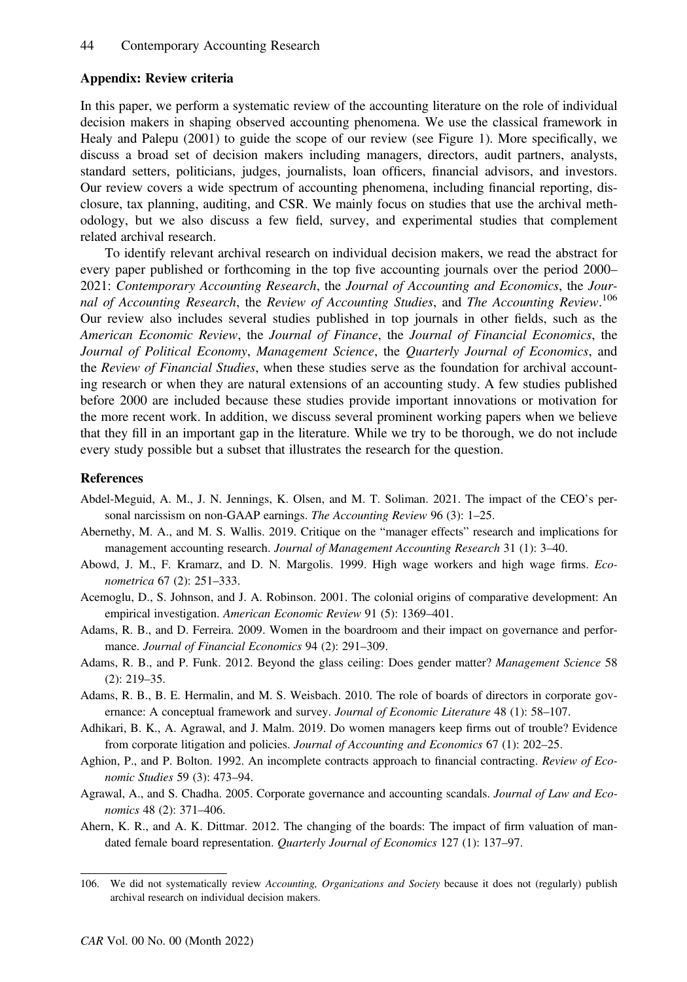# Appendix: Review criteria

In this paper, we perform a systematic review of the accounting literature on the role of individual decision makers in shaping observed accounting phenomena. We use the classical framework in Healy and Palepu (2001) to guide the scope of our review (see Figure 1). More specifically, we discuss a broad set of decision makers including managers, directors, audit partners, analysts, standard setters, politicians, judges, journalists, loan officers, financial advisors, and investors. Our review covers a wide spectrum of accounting phenomena, including financial reporting, disclosure, tax planning, auditing, and CSR. We mainly focus on studies that use the archival methodology, but we also discuss a few field, survey, and experimental studies that complement related archival research.

To identify relevant archival research on individual decision makers, we read the abstract for every paper published or forthcoming in the top five accounting journals over the period 2000– 2021: Contemporary Accounting Research, the Journal of Accounting and Economics, the Journal of Accounting Research, the Review of Accounting Studies, and The Accounting Review.<sup>106</sup> Our review also includes several studies published in top journals in other fields, such as the American Economic Review, the Journal of Finance, the Journal of Financial Economics, the Journal of Political Economy, Management Science, the Quarterly Journal of Economics, and the Review of Financial Studies, when these studies serve as the foundation for archival accounting research or when they are natural extensions of an accounting study. A few studies published before 2000 are included because these studies provide important innovations or motivation for the more recent work. In addition, we discuss several prominent working papers when we believe that they fill in an important gap in the literature. While we try to be thorough, we do not include every study possible but a subset that illustrates the research for the question.

### References

- Abdel-Meguid, A. M., J. N. Jennings, K. Olsen, and M. T. Soliman. 2021. The impact of the CEO's personal narcissism on non-GAAP earnings. The Accounting Review 96 (3): 1-25.
- Abernethy, M. A., and M. S. Wallis. 2019. Critique on the "manager effects" research and implications for management accounting research. Journal of Management Accounting Research 31 (1): 3-40.
- Abowd, J. M., F. Kramarz, and D. N. Margolis. 1999. High wage workers and high wage firms. Econometrica 67 (2): 251–333.
- Acemoglu, D., S. Johnson, and J. A. Robinson. 2001. The colonial origins of comparative development: An empirical investigation. American Economic Review 91 (5): 1369–401.
- Adams, R. B., and D. Ferreira. 2009. Women in the boardroom and their impact on governance and performance. Journal of Financial Economics 94 (2): 291–309.
- Adams, R. B., and P. Funk. 2012. Beyond the glass ceiling: Does gender matter? Management Science 58 (2): 219–35.
- Adams, R. B., B. E. Hermalin, and M. S. Weisbach. 2010. The role of boards of directors in corporate governance: A conceptual framework and survey. Journal of Economic Literature 48 (1): 58-107.
- Adhikari, B. K., A. Agrawal, and J. Malm. 2019. Do women managers keep firms out of trouble? Evidence from corporate litigation and policies. Journal of Accounting and Economics 67 (1): 202–25.
- Aghion, P., and P. Bolton. 1992. An incomplete contracts approach to financial contracting. Review of Economic Studies 59 (3): 473–94.
- Agrawal, A., and S. Chadha. 2005. Corporate governance and accounting scandals. Journal of Law and Economics 48 (2): 371–406.
- Ahern, K. R., and A. K. Dittmar. 2012. The changing of the boards: The impact of firm valuation of mandated female board representation. Quarterly Journal of Economics 127 (1): 137-97.

<sup>106.</sup> We did not systematically review Accounting, Organizations and Society because it does not (regularly) publish archival research on individual decision makers.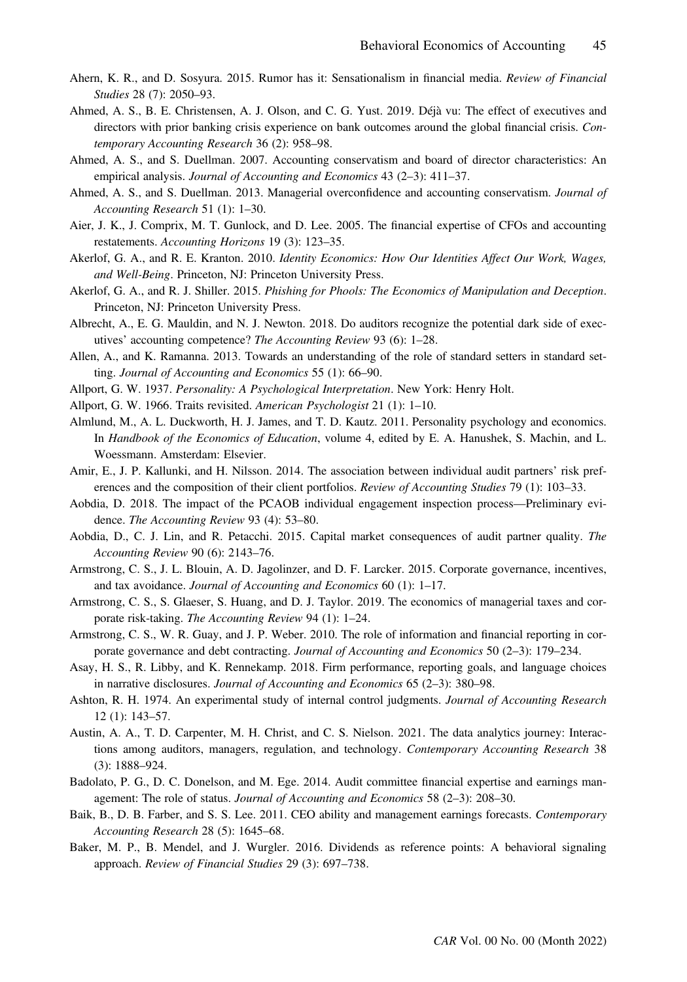- Ahern, K. R., and D. Sosyura. 2015. Rumor has it: Sensationalism in financial media. Review of Financial Studies 28 (7): 2050–93.
- Ahmed, A. S., B. E. Christensen, A. J. Olson, and C. G. Yust. 2019. Déjà vu: The effect of executives and directors with prior banking crisis experience on bank outcomes around the global financial crisis. Contemporary Accounting Research 36 (2): 958–98.
- Ahmed, A. S., and S. Duellman. 2007. Accounting conservatism and board of director characteristics: An empirical analysis. Journal of Accounting and Economics 43 (2–3): 411–37.
- Ahmed, A. S., and S. Duellman. 2013. Managerial overconfidence and accounting conservatism. Journal of Accounting Research 51 (1): 1–30.
- Aier, J. K., J. Comprix, M. T. Gunlock, and D. Lee. 2005. The financial expertise of CFOs and accounting restatements. Accounting Horizons 19 (3): 123–35.
- Akerlof, G. A., and R. E. Kranton. 2010. Identity Economics: How Our Identities Affect Our Work, Wages, and Well-Being. Princeton, NJ: Princeton University Press.
- Akerlof, G. A., and R. J. Shiller. 2015. Phishing for Phools: The Economics of Manipulation and Deception. Princeton, NJ: Princeton University Press.
- Albrecht, A., E. G. Mauldin, and N. J. Newton. 2018. Do auditors recognize the potential dark side of executives' accounting competence? The Accounting Review 93 (6): 1–28.
- Allen, A., and K. Ramanna. 2013. Towards an understanding of the role of standard setters in standard setting. Journal of Accounting and Economics 55 (1): 66–90.
- Allport, G. W. 1937. Personality: A Psychological Interpretation. New York: Henry Holt.
- Allport, G. W. 1966. Traits revisited. American Psychologist 21 (1): 1–10.
- Almlund, M., A. L. Duckworth, H. J. James, and T. D. Kautz. 2011. Personality psychology and economics. In Handbook of the Economics of Education, volume 4, edited by E. A. Hanushek, S. Machin, and L. Woessmann. Amsterdam: Elsevier.
- Amir, E., J. P. Kallunki, and H. Nilsson. 2014. The association between individual audit partners' risk preferences and the composition of their client portfolios. Review of Accounting Studies 79 (1): 103–33.
- Aobdia, D. 2018. The impact of the PCAOB individual engagement inspection process—Preliminary evidence. The Accounting Review 93 (4): 53–80.
- Aobdia, D., C. J. Lin, and R. Petacchi. 2015. Capital market consequences of audit partner quality. The Accounting Review 90 (6): 2143–76.
- Armstrong, C. S., J. L. Blouin, A. D. Jagolinzer, and D. F. Larcker. 2015. Corporate governance, incentives, and tax avoidance. Journal of Accounting and Economics 60 (1): 1–17.
- Armstrong, C. S., S. Glaeser, S. Huang, and D. J. Taylor. 2019. The economics of managerial taxes and corporate risk-taking. The Accounting Review 94 (1): 1–24.
- Armstrong, C. S., W. R. Guay, and J. P. Weber. 2010. The role of information and financial reporting in corporate governance and debt contracting. Journal of Accounting and Economics 50 (2–3): 179–234.
- Asay, H. S., R. Libby, and K. Rennekamp. 2018. Firm performance, reporting goals, and language choices in narrative disclosures. Journal of Accounting and Economics 65 (2–3): 380–98.
- Ashton, R. H. 1974. An experimental study of internal control judgments. Journal of Accounting Research 12 (1): 143–57.
- Austin, A. A., T. D. Carpenter, M. H. Christ, and C. S. Nielson. 2021. The data analytics journey: Interactions among auditors, managers, regulation, and technology. Contemporary Accounting Research 38 (3): 1888–924.
- Badolato, P. G., D. C. Donelson, and M. Ege. 2014. Audit committee financial expertise and earnings management: The role of status. Journal of Accounting and Economics 58 (2–3): 208–30.
- Baik, B., D. B. Farber, and S. S. Lee. 2011. CEO ability and management earnings forecasts. Contemporary Accounting Research 28 (5): 1645–68.
- Baker, M. P., B. Mendel, and J. Wurgler. 2016. Dividends as reference points: A behavioral signaling approach. Review of Financial Studies 29 (3): 697–738.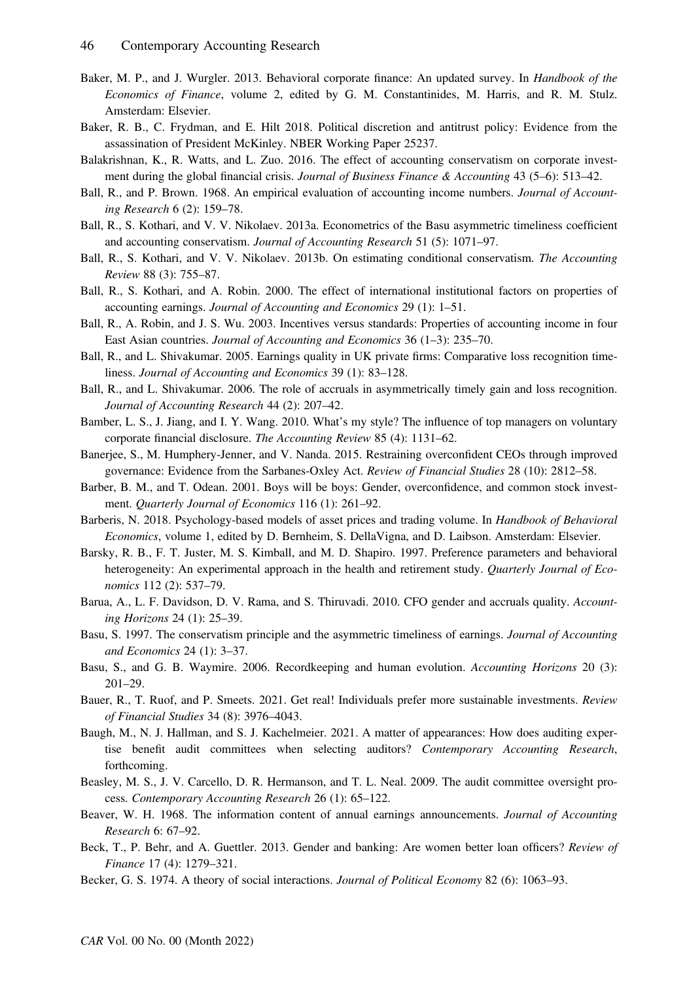- Baker, M. P., and J. Wurgler. 2013. Behavioral corporate finance: An updated survey. In *Handbook of the* Economics of Finance, volume 2, edited by G. M. Constantinides, M. Harris, and R. M. Stulz. Amsterdam: Elsevier.
- Baker, R. B., C. Frydman, and E. Hilt 2018. Political discretion and antitrust policy: Evidence from the assassination of President McKinley. NBER Working Paper 25237.
- Balakrishnan, K., R. Watts, and L. Zuo. 2016. The effect of accounting conservatism on corporate investment during the global financial crisis. Journal of Business Finance & Accounting 43 (5-6): 513-42.
- Ball, R., and P. Brown. 1968. An empirical evaluation of accounting income numbers. Journal of Accounting Research 6 (2): 159–78.
- Ball, R., S. Kothari, and V. V. Nikolaev. 2013a. Econometrics of the Basu asymmetric timeliness coefficient and accounting conservatism. Journal of Accounting Research 51 (5): 1071–97.
- Ball, R., S. Kothari, and V. V. Nikolaev. 2013b. On estimating conditional conservatism. The Accounting Review 88 (3): 755–87.
- Ball, R., S. Kothari, and A. Robin. 2000. The effect of international institutional factors on properties of accounting earnings. Journal of Accounting and Economics 29 (1): 1–51.
- Ball, R., A. Robin, and J. S. Wu. 2003. Incentives versus standards: Properties of accounting income in four East Asian countries. Journal of Accounting and Economics 36 (1–3): 235–70.
- Ball, R., and L. Shivakumar. 2005. Earnings quality in UK private firms: Comparative loss recognition timeliness. Journal of Accounting and Economics 39 (1): 83–128.
- Ball, R., and L. Shivakumar. 2006. The role of accruals in asymmetrically timely gain and loss recognition. Journal of Accounting Research 44 (2): 207–42.
- Bamber, L. S., J. Jiang, and I. Y. Wang. 2010. What's my style? The influence of top managers on voluntary corporate financial disclosure. The Accounting Review 85 (4): 1131–62.
- Banerjee, S., M. Humphery-Jenner, and V. Nanda. 2015. Restraining overconfident CEOs through improved governance: Evidence from the Sarbanes-Oxley Act. Review of Financial Studies 28 (10): 2812–58.
- Barber, B. M., and T. Odean. 2001. Boys will be boys: Gender, overconfidence, and common stock investment. Quarterly Journal of Economics 116 (1): 261–92.
- Barberis, N. 2018. Psychology-based models of asset prices and trading volume. In Handbook of Behavioral Economics, volume 1, edited by D. Bernheim, S. DellaVigna, and D. Laibson. Amsterdam: Elsevier.
- Barsky, R. B., F. T. Juster, M. S. Kimball, and M. D. Shapiro. 1997. Preference parameters and behavioral heterogeneity: An experimental approach in the health and retirement study. Quarterly Journal of Economics 112 (2): 537–79.
- Barua, A., L. F. Davidson, D. V. Rama, and S. Thiruvadi. 2010. CFO gender and accruals quality. Accounting Horizons 24 (1): 25–39.
- Basu, S. 1997. The conservatism principle and the asymmetric timeliness of earnings. Journal of Accounting and Economics 24 (1): 3–37.
- Basu, S., and G. B. Waymire. 2006. Recordkeeping and human evolution. Accounting Horizons 20 (3): 201–29.
- Bauer, R., T. Ruof, and P. Smeets. 2021. Get real! Individuals prefer more sustainable investments. Review of Financial Studies 34 (8): 3976–4043.
- Baugh, M., N. J. Hallman, and S. J. Kachelmeier. 2021. A matter of appearances: How does auditing expertise benefit audit committees when selecting auditors? Contemporary Accounting Research, forthcoming.
- Beasley, M. S., J. V. Carcello, D. R. Hermanson, and T. L. Neal. 2009. The audit committee oversight process. Contemporary Accounting Research 26 (1): 65–122.
- Beaver, W. H. 1968. The information content of annual earnings announcements. Journal of Accounting Research 6: 67–92.
- Beck, T., P. Behr, and A. Guettler. 2013. Gender and banking: Are women better loan officers? Review of Finance 17 (4): 1279–321.
- Becker, G. S. 1974. A theory of social interactions. Journal of Political Economy 82 (6): 1063–93.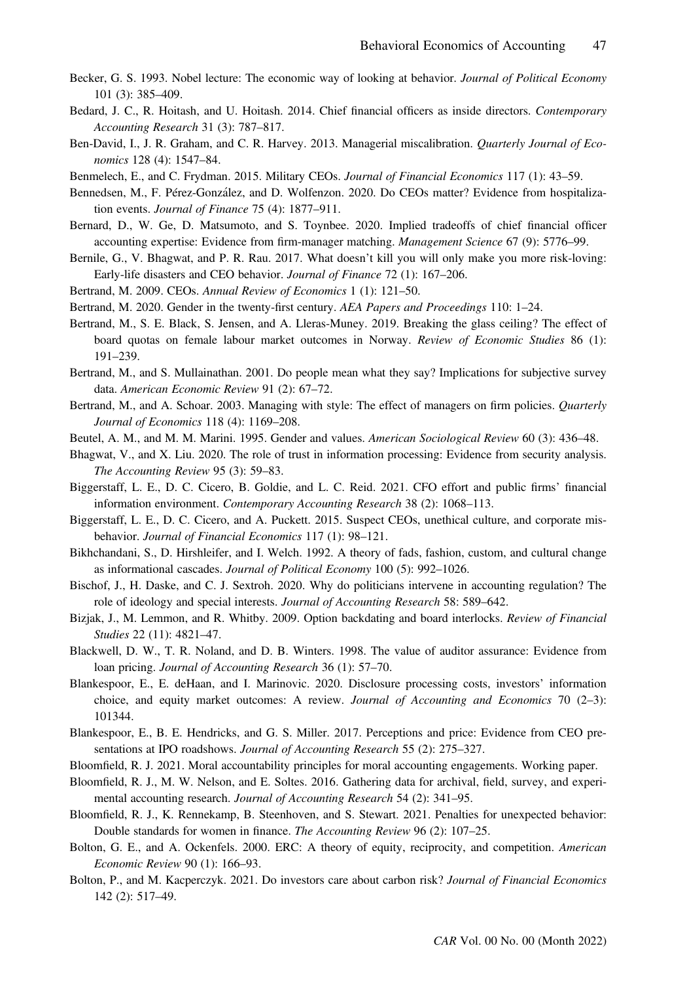- Becker, G. S. 1993. Nobel lecture: The economic way of looking at behavior. Journal of Political Economy 101 (3): 385–409.
- Bedard, J. C., R. Hoitash, and U. Hoitash. 2014. Chief financial officers as inside directors. Contemporary Accounting Research 31 (3): 787–817.
- Ben-David, I., J. R. Graham, and C. R. Harvey. 2013. Managerial miscalibration. Quarterly Journal of Economics 128 (4): 1547–84.
- Benmelech, E., and C. Frydman. 2015. Military CEOs. Journal of Financial Economics 117 (1): 43–59.
- Bennedsen, M., F. Pérez-Gonzalez, and D. Wolfenzon. 2020. Do CEOs matter? Evidence from hospitalization events. Journal of Finance 75 (4): 1877–911.
- Bernard, D., W. Ge, D. Matsumoto, and S. Toynbee. 2020. Implied tradeoffs of chief financial officer accounting expertise: Evidence from firm-manager matching. Management Science 67 (9): 5776–99.
- Bernile, G., V. Bhagwat, and P. R. Rau. 2017. What doesn't kill you will only make you more risk-loving: Early-life disasters and CEO behavior. Journal of Finance 72 (1): 167–206.
- Bertrand, M. 2009. CEOs. Annual Review of Economics 1 (1): 121–50.
- Bertrand, M. 2020. Gender in the twenty-first century. AEA Papers and Proceedings 110: 1–24.
- Bertrand, M., S. E. Black, S. Jensen, and A. Lleras-Muney. 2019. Breaking the glass ceiling? The effect of board quotas on female labour market outcomes in Norway. Review of Economic Studies 86 (1): 191–239.
- Bertrand, M., and S. Mullainathan. 2001. Do people mean what they say? Implications for subjective survey data. American Economic Review 91 (2): 67–72.
- Bertrand, M., and A. Schoar. 2003. Managing with style: The effect of managers on firm policies. Quarterly Journal of Economics 118 (4): 1169–208.
- Beutel, A. M., and M. M. Marini. 1995. Gender and values. American Sociological Review 60 (3): 436–48.
- Bhagwat, V., and X. Liu. 2020. The role of trust in information processing: Evidence from security analysis. The Accounting Review 95 (3): 59–83.
- Biggerstaff, L. E., D. C. Cicero, B. Goldie, and L. C. Reid. 2021. CFO effort and public firms' financial information environment. Contemporary Accounting Research 38 (2): 1068–113.
- Biggerstaff, L. E., D. C. Cicero, and A. Puckett. 2015. Suspect CEOs, unethical culture, and corporate misbehavior. Journal of Financial Economics 117 (1): 98-121.
- Bikhchandani, S., D. Hirshleifer, and I. Welch. 1992. A theory of fads, fashion, custom, and cultural change as informational cascades. Journal of Political Economy 100 (5): 992–1026.
- Bischof, J., H. Daske, and C. J. Sextroh. 2020. Why do politicians intervene in accounting regulation? The role of ideology and special interests. Journal of Accounting Research 58: 589–642.
- Bizjak, J., M. Lemmon, and R. Whitby. 2009. Option backdating and board interlocks. Review of Financial Studies 22 (11): 4821–47.
- Blackwell, D. W., T. R. Noland, and D. B. Winters. 1998. The value of auditor assurance: Evidence from loan pricing. Journal of Accounting Research 36 (1): 57–70.
- Blankespoor, E., E. deHaan, and I. Marinovic. 2020. Disclosure processing costs, investors' information choice, and equity market outcomes: A review. Journal of Accounting and Economics 70 (2-3): 101344.
- Blankespoor, E., B. E. Hendricks, and G. S. Miller. 2017. Perceptions and price: Evidence from CEO presentations at IPO roadshows. Journal of Accounting Research 55 (2): 275–327.
- Bloomfield, R. J. 2021. Moral accountability principles for moral accounting engagements. Working paper.
- Bloomfield, R. J., M. W. Nelson, and E. Soltes. 2016. Gathering data for archival, field, survey, and experimental accounting research. *Journal of Accounting Research* 54 (2): 341–95.
- Bloomfield, R. J., K. Rennekamp, B. Steenhoven, and S. Stewart. 2021. Penalties for unexpected behavior: Double standards for women in finance. The Accounting Review 96 (2): 107–25.
- Bolton, G. E., and A. Ockenfels. 2000. ERC: A theory of equity, reciprocity, and competition. American Economic Review 90 (1): 166–93.
- Bolton, P., and M. Kacperczyk. 2021. Do investors care about carbon risk? Journal of Financial Economics 142 (2): 517–49.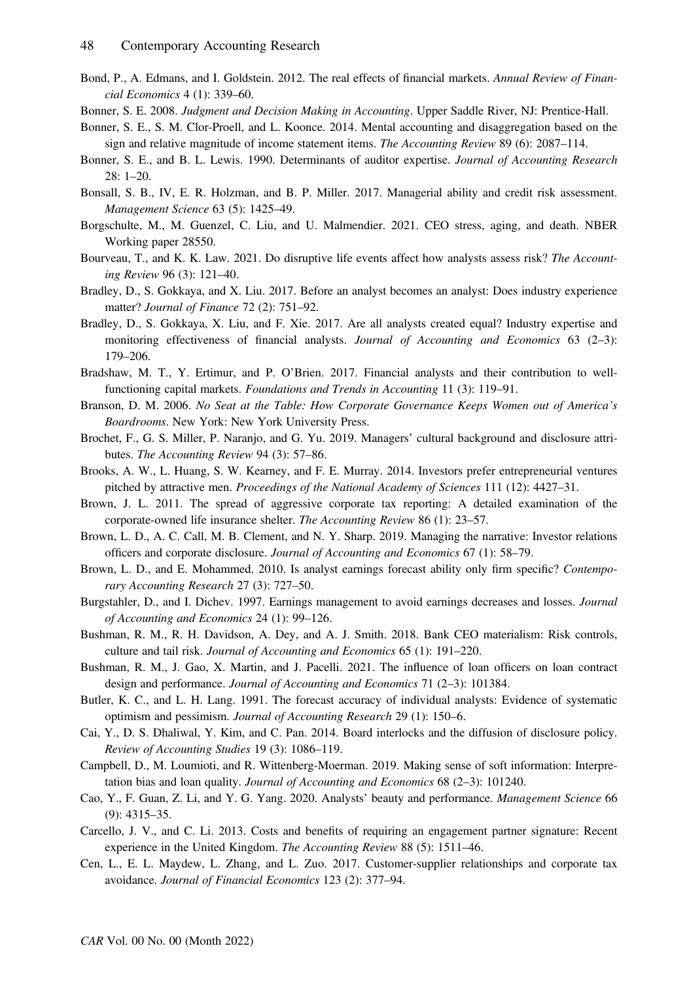- Bond, P., A. Edmans, and I. Goldstein. 2012. The real effects of financial markets. Annual Review of Financial Economics 4 (1): 339–60.
- Bonner, S. E. 2008. Judgment and Decision Making in Accounting. Upper Saddle River, NJ: Prentice-Hall.
- Bonner, S. E., S. M. Clor-Proell, and L. Koonce. 2014. Mental accounting and disaggregation based on the sign and relative magnitude of income statement items. The Accounting Review 89 (6): 2087–114.
- Bonner, S. E., and B. L. Lewis. 1990. Determinants of auditor expertise. Journal of Accounting Research 28: 1–20.
- Bonsall, S. B., IV, E. R. Holzman, and B. P. Miller. 2017. Managerial ability and credit risk assessment. Management Science 63 (5): 1425–49.
- Borgschulte, M., M. Guenzel, C. Liu, and U. Malmendier. 2021. CEO stress, aging, and death. NBER Working paper 28550.
- Bourveau, T., and K. K. Law. 2021. Do disruptive life events affect how analysts assess risk? The Accounting Review 96 (3): 121–40.
- Bradley, D., S. Gokkaya, and X. Liu. 2017. Before an analyst becomes an analyst: Does industry experience matter? Journal of Finance 72 (2): 751–92.
- Bradley, D., S. Gokkaya, X. Liu, and F. Xie. 2017. Are all analysts created equal? Industry expertise and monitoring effectiveness of financial analysts. Journal of Accounting and Economics 63 (2-3): 179–206.
- Bradshaw, M. T., Y. Ertimur, and P. O'Brien. 2017. Financial analysts and their contribution to wellfunctioning capital markets. Foundations and Trends in Accounting 11 (3): 119–91.
- Branson, D. M. 2006. No Seat at the Table: How Corporate Governance Keeps Women out of America's Boardrooms. New York: New York University Press.
- Brochet, F., G. S. Miller, P. Naranjo, and G. Yu. 2019. Managers' cultural background and disclosure attributes. The Accounting Review 94 (3): 57–86.
- Brooks, A. W., L. Huang, S. W. Kearney, and F. E. Murray. 2014. Investors prefer entrepreneurial ventures pitched by attractive men. Proceedings of the National Academy of Sciences 111 (12): 4427–31.
- Brown, J. L. 2011. The spread of aggressive corporate tax reporting: A detailed examination of the corporate-owned life insurance shelter. The Accounting Review 86 (1): 23–57.
- Brown, L. D., A. C. Call, M. B. Clement, and N. Y. Sharp. 2019. Managing the narrative: Investor relations officers and corporate disclosure. Journal of Accounting and Economics 67 (1): 58–79.
- Brown, L. D., and E. Mohammed. 2010. Is analyst earnings forecast ability only firm specific? Contemporary Accounting Research 27 (3): 727–50.
- Burgstahler, D., and I. Dichev. 1997. Earnings management to avoid earnings decreases and losses. Journal of Accounting and Economics 24 (1): 99–126.
- Bushman, R. M., R. H. Davidson, A. Dey, and A. J. Smith. 2018. Bank CEO materialism: Risk controls, culture and tail risk. Journal of Accounting and Economics 65 (1): 191–220.
- Bushman, R. M., J. Gao, X. Martin, and J. Pacelli. 2021. The influence of loan officers on loan contract design and performance. Journal of Accounting and Economics 71 (2–3): 101384.
- Butler, K. C., and L. H. Lang. 1991. The forecast accuracy of individual analysts: Evidence of systematic optimism and pessimism. Journal of Accounting Research 29 (1): 150–6.
- Cai, Y., D. S. Dhaliwal, Y. Kim, and C. Pan. 2014. Board interlocks and the diffusion of disclosure policy. Review of Accounting Studies 19 (3): 1086–119.
- Campbell, D., M. Loumioti, and R. Wittenberg-Moerman. 2019. Making sense of soft information: Interpretation bias and loan quality. Journal of Accounting and Economics 68 (2–3): 101240.
- Cao, Y., F. Guan, Z. Li, and Y. G. Yang. 2020. Analysts' beauty and performance. Management Science 66 (9): 4315–35.
- Carcello, J. V., and C. Li. 2013. Costs and benefits of requiring an engagement partner signature: Recent experience in the United Kingdom. The Accounting Review 88 (5): 1511–46.
- Cen, L., E. L. Maydew, L. Zhang, and L. Zuo. 2017. Customer-supplier relationships and corporate tax avoidance. Journal of Financial Economics 123 (2): 377–94.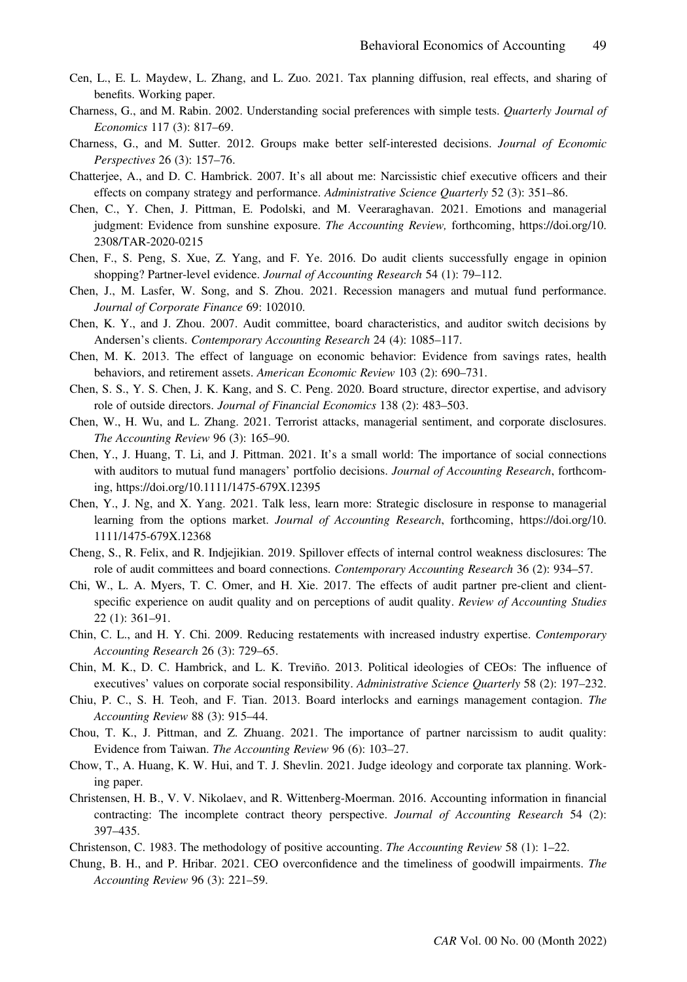- Cen, L., E. L. Maydew, L. Zhang, and L. Zuo. 2021. Tax planning diffusion, real effects, and sharing of benefits. Working paper.
- Charness, G., and M. Rabin. 2002. Understanding social preferences with simple tests. Quarterly Journal of Economics 117 (3): 817–69.
- Charness, G., and M. Sutter. 2012. Groups make better self-interested decisions. Journal of Economic Perspectives 26 (3): 157–76.
- Chatterjee, A., and D. C. Hambrick. 2007. It's all about me: Narcissistic chief executive officers and their effects on company strategy and performance. Administrative Science Quarterly 52 (3): 351–86.
- Chen, C., Y. Chen, J. Pittman, E. Podolski, and M. Veeraraghavan. 2021. Emotions and managerial judgment: Evidence from sunshine exposure. The Accounting Review, forthcoming, [https://doi.org/10.](https://doi.org/10.2308/TAR-2020-0215) [2308/TAR-2020-0215](https://doi.org/10.2308/TAR-2020-0215)
- Chen, F., S. Peng, S. Xue, Z. Yang, and F. Ye. 2016. Do audit clients successfully engage in opinion shopping? Partner-level evidence. Journal of Accounting Research 54 (1): 79–112.
- Chen, J., M. Lasfer, W. Song, and S. Zhou. 2021. Recession managers and mutual fund performance. Journal of Corporate Finance 69: 102010.
- Chen, K. Y., and J. Zhou. 2007. Audit committee, board characteristics, and auditor switch decisions by Andersen's clients. Contemporary Accounting Research 24 (4): 1085–117.
- Chen, M. K. 2013. The effect of language on economic behavior: Evidence from savings rates, health behaviors, and retirement assets. American Economic Review 103 (2): 690-731.
- Chen, S. S., Y. S. Chen, J. K. Kang, and S. C. Peng. 2020. Board structure, director expertise, and advisory role of outside directors. *Journal of Financial Economics* 138 (2): 483–503.
- Chen, W., H. Wu, and L. Zhang. 2021. Terrorist attacks, managerial sentiment, and corporate disclosures. The Accounting Review 96 (3): 165–90.
- Chen, Y., J. Huang, T. Li, and J. Pittman. 2021. It's a small world: The importance of social connections with auditors to mutual fund managers' portfolio decisions. Journal of Accounting Research, forthcoming,<https://doi.org/10.1111/1475-679X.12395>
- Chen, Y., J. Ng, and X. Yang. 2021. Talk less, learn more: Strategic disclosure in response to managerial learning from the options market. Journal of Accounting Research, forthcoming, [https://doi.org/10.](https://doi.org/10.1111/1475-679X.12368) [1111/1475-679X.12368](https://doi.org/10.1111/1475-679X.12368)
- Cheng, S., R. Felix, and R. Indjejikian. 2019. Spillover effects of internal control weakness disclosures: The role of audit committees and board connections. Contemporary Accounting Research 36 (2): 934–57.
- Chi, W., L. A. Myers, T. C. Omer, and H. Xie. 2017. The effects of audit partner pre-client and clientspecific experience on audit quality and on perceptions of audit quality. Review of Accounting Studies 22 (1): 361–91.
- Chin, C. L., and H. Y. Chi. 2009. Reducing restatements with increased industry expertise. Contemporary Accounting Research 26 (3): 729–65.
- Chin, M. K., D. C. Hambrick, and L. K. Treviño. 2013. Political ideologies of CEOs: The influence of executives' values on corporate social responsibility. Administrative Science Quarterly 58 (2): 197–232.
- Chiu, P. C., S. H. Teoh, and F. Tian. 2013. Board interlocks and earnings management contagion. The Accounting Review 88 (3): 915–44.
- Chou, T. K., J. Pittman, and Z. Zhuang. 2021. The importance of partner narcissism to audit quality: Evidence from Taiwan. The Accounting Review 96 (6): 103–27.
- Chow, T., A. Huang, K. W. Hui, and T. J. Shevlin. 2021. Judge ideology and corporate tax planning. Working paper.
- Christensen, H. B., V. V. Nikolaev, and R. Wittenberg-Moerman. 2016. Accounting information in financial contracting: The incomplete contract theory perspective. Journal of Accounting Research 54 (2): 397–435.
- Christenson, C. 1983. The methodology of positive accounting. The Accounting Review 58 (1): 1–22.
- Chung, B. H., and P. Hribar. 2021. CEO overconfidence and the timeliness of goodwill impairments. The Accounting Review 96 (3): 221–59.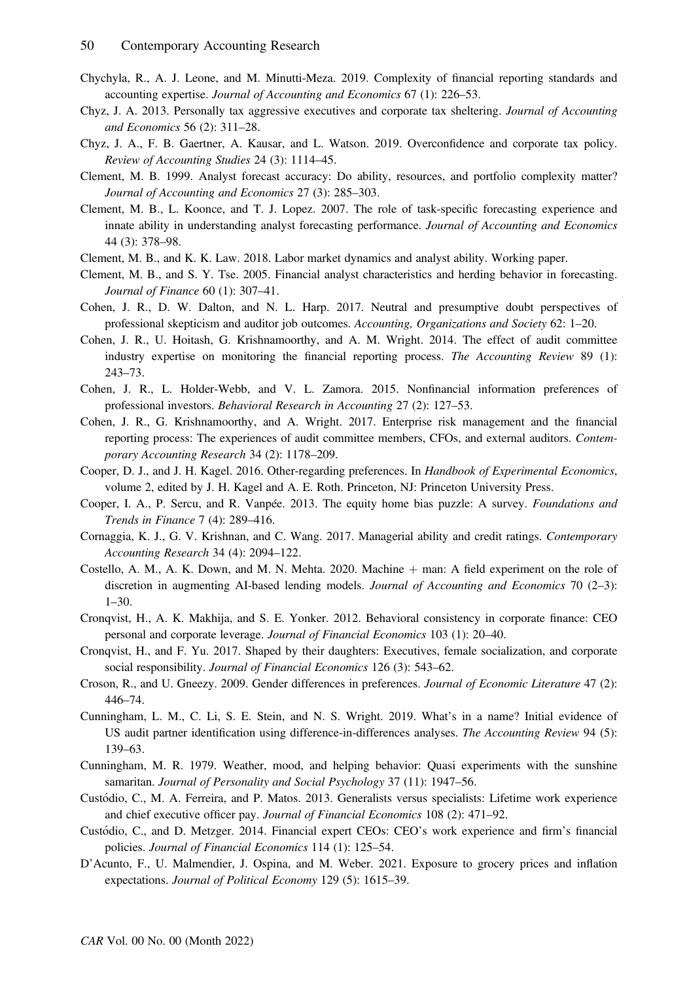- Chychyla, R., A. J. Leone, and M. Minutti-Meza. 2019. Complexity of financial reporting standards and accounting expertise. Journal of Accounting and Economics 67 (1): 226–53.
- Chyz, J. A. 2013. Personally tax aggressive executives and corporate tax sheltering. Journal of Accounting and Economics 56 (2): 311–28.
- Chyz, J. A., F. B. Gaertner, A. Kausar, and L. Watson. 2019. Overconfidence and corporate tax policy. Review of Accounting Studies 24 (3): 1114–45.
- Clement, M. B. 1999. Analyst forecast accuracy: Do ability, resources, and portfolio complexity matter? Journal of Accounting and Economics 27 (3): 285–303.
- Clement, M. B., L. Koonce, and T. J. Lopez. 2007. The role of task-specific forecasting experience and innate ability in understanding analyst forecasting performance. Journal of Accounting and Economics 44 (3): 378–98.
- Clement, M. B., and K. K. Law. 2018. Labor market dynamics and analyst ability. Working paper.
- Clement, M. B., and S. Y. Tse. 2005. Financial analyst characteristics and herding behavior in forecasting. Journal of Finance 60 (1): 307–41.
- Cohen, J. R., D. W. Dalton, and N. L. Harp. 2017. Neutral and presumptive doubt perspectives of professional skepticism and auditor job outcomes. Accounting, Organizations and Society 62: 1–20.
- Cohen, J. R., U. Hoitash, G. Krishnamoorthy, and A. M. Wright. 2014. The effect of audit committee industry expertise on monitoring the financial reporting process. The Accounting Review 89 (1): 243–73.
- Cohen, J. R., L. Holder-Webb, and V. L. Zamora. 2015. Nonfinancial information preferences of professional investors. Behavioral Research in Accounting 27 (2): 127–53.
- Cohen, J. R., G. Krishnamoorthy, and A. Wright. 2017. Enterprise risk management and the financial reporting process: The experiences of audit committee members, CFOs, and external auditors. Contemporary Accounting Research 34 (2): 1178–209.
- Cooper, D. J., and J. H. Kagel. 2016. Other-regarding preferences. In Handbook of Experimental Economics, volume 2, edited by J. H. Kagel and A. E. Roth. Princeton, NJ: Princeton University Press.
- Cooper, I. A., P. Sercu, and R. Vanpée. 2013. The equity home bias puzzle: A survey. Foundations and Trends in Finance 7 (4): 289–416.
- Cornaggia, K. J., G. V. Krishnan, and C. Wang. 2017. Managerial ability and credit ratings. Contemporary Accounting Research 34 (4): 2094–122.
- Costello, A. M., A. K. Down, and M. N. Mehta. 2020. Machine + man: A field experiment on the role of discretion in augmenting AI-based lending models. Journal of Accounting and Economics 70 (2–3): 1–30.
- Cronqvist, H., A. K. Makhija, and S. E. Yonker. 2012. Behavioral consistency in corporate finance: CEO personal and corporate leverage. Journal of Financial Economics 103 (1): 20–40.
- Cronqvist, H., and F. Yu. 2017. Shaped by their daughters: Executives, female socialization, and corporate social responsibility. Journal of Financial Economics 126 (3): 543–62.
- Croson, R., and U. Gneezy. 2009. Gender differences in preferences. Journal of Economic Literature 47 (2): 446–74.
- Cunningham, L. M., C. Li, S. E. Stein, and N. S. Wright. 2019. What's in a name? Initial evidence of US audit partner identification using difference-in-differences analyses. The Accounting Review 94 (5): 139–63.
- Cunningham, M. R. 1979. Weather, mood, and helping behavior: Quasi experiments with the sunshine samaritan. Journal of Personality and Social Psychology 37 (11): 1947–56.
- Custodio, C., M. A. Ferreira, and P. Matos. 2013. Generalists versus specialists: Lifetime work experience and chief executive officer pay. Journal of Financial Economics 108 (2): 471–92.
- Custodio, C., and D. Metzger. 2014. Financial expert CEOs: CEO's work experience and firm's financial policies. Journal of Financial Economics 114 (1): 125–54.
- D'Acunto, F., U. Malmendier, J. Ospina, and M. Weber. 2021. Exposure to grocery prices and inflation expectations. Journal of Political Economy 129 (5): 1615–39.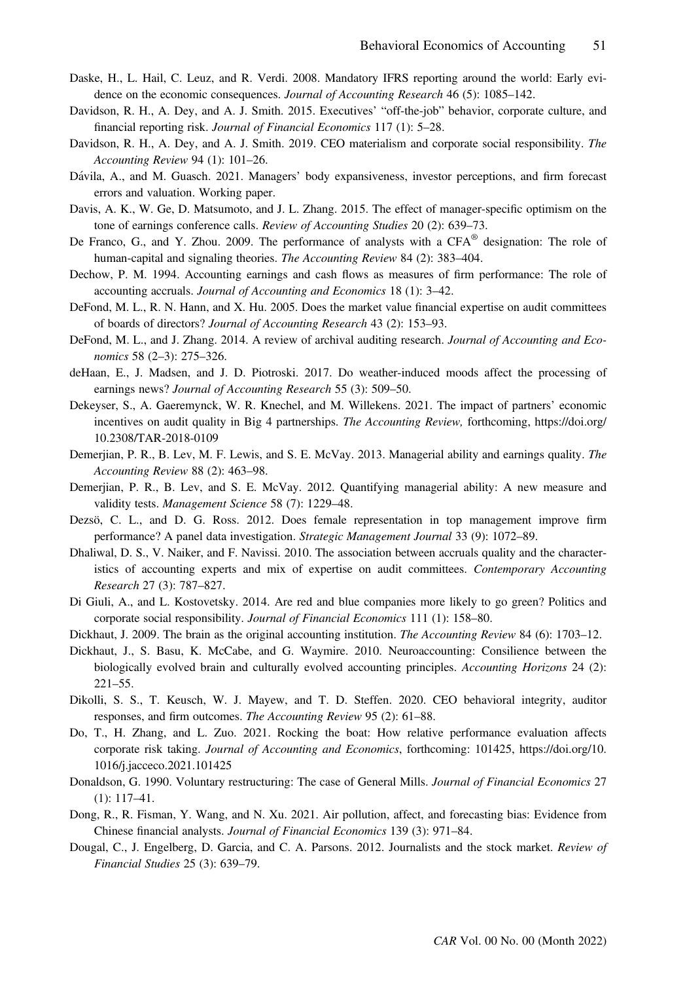- Daske, H., L. Hail, C. Leuz, and R. Verdi. 2008. Mandatory IFRS reporting around the world: Early evidence on the economic consequences. Journal of Accounting Research 46 (5): 1085–142.
- Davidson, R. H., A. Dey, and A. J. Smith. 2015. Executives' "off-the-job" behavior, corporate culture, and financial reporting risk. Journal of Financial Economics 117 (1): 5–28.
- Davidson, R. H., A. Dey, and A. J. Smith. 2019. CEO materialism and corporate social responsibility. The Accounting Review 94 (1): 101–26.
- Dávila, A., and M. Guasch. 2021. Managers' body expansiveness, investor perceptions, and firm forecast errors and valuation. Working paper.
- Davis, A. K., W. Ge, D. Matsumoto, and J. L. Zhang. 2015. The effect of manager-specific optimism on the tone of earnings conference calls. Review of Accounting Studies 20 (2): 639–73.
- De Franco, G., and Y. Zhou. 2009. The performance of analysts with a CFA® designation: The role of human-capital and signaling theories. The Accounting Review 84 (2): 383–404.
- Dechow, P. M. 1994. Accounting earnings and cash flows as measures of firm performance: The role of accounting accruals. Journal of Accounting and Economics 18 (1): 3–42.
- DeFond, M. L., R. N. Hann, and X. Hu. 2005. Does the market value financial expertise on audit committees of boards of directors? Journal of Accounting Research 43 (2): 153–93.
- DeFond, M. L., and J. Zhang. 2014. A review of archival auditing research. Journal of Accounting and Economics 58 (2–3): 275–326.
- deHaan, E., J. Madsen, and J. D. Piotroski. 2017. Do weather-induced moods affect the processing of earnings news? Journal of Accounting Research 55 (3): 509–50.
- Dekeyser, S., A. Gaeremynck, W. R. Knechel, and M. Willekens. 2021. The impact of partners' economic incentives on audit quality in Big 4 partnerships. The Accounting Review, forthcoming, [https://doi.org/](https://doi.org/10.2308/TAR-2018-0109) [10.2308/TAR-2018-0109](https://doi.org/10.2308/TAR-2018-0109)
- Demerjian, P. R., B. Lev, M. F. Lewis, and S. E. McVay. 2013. Managerial ability and earnings quality. The Accounting Review 88 (2): 463–98.
- Demerjian, P. R., B. Lev, and S. E. McVay. 2012. Quantifying managerial ability: A new measure and validity tests. Management Science 58 (7): 1229–48.
- Dezsö, C. L., and D. G. Ross. 2012. Does female representation in top management improve firm performance? A panel data investigation. Strategic Management Journal 33 (9): 1072–89.
- Dhaliwal, D. S., V. Naiker, and F. Navissi. 2010. The association between accruals quality and the characteristics of accounting experts and mix of expertise on audit committees. Contemporary Accounting Research 27 (3): 787–827.
- Di Giuli, A., and L. Kostovetsky. 2014. Are red and blue companies more likely to go green? Politics and corporate social responsibility. Journal of Financial Economics 111 (1): 158–80.
- Dickhaut, J. 2009. The brain as the original accounting institution. The Accounting Review 84 (6): 1703–12.
- Dickhaut, J., S. Basu, K. McCabe, and G. Waymire. 2010. Neuroaccounting: Consilience between the biologically evolved brain and culturally evolved accounting principles. Accounting Horizons 24 (2): 221–55.
- Dikolli, S. S., T. Keusch, W. J. Mayew, and T. D. Steffen. 2020. CEO behavioral integrity, auditor responses, and firm outcomes. The Accounting Review 95 (2): 61–88.
- Do, T., H. Zhang, and L. Zuo. 2021. Rocking the boat: How relative performance evaluation affects corporate risk taking. Journal of Accounting and Economics, forthcoming: 101425, [https://doi.org/10.](https://doi.org/10.1016/j.jacceco.2021.101425) [1016/j.jacceco.2021.101425](https://doi.org/10.1016/j.jacceco.2021.101425)
- Donaldson, G. 1990. Voluntary restructuring: The case of General Mills. Journal of Financial Economics 27 (1): 117–41.
- Dong, R., R. Fisman, Y. Wang, and N. Xu. 2021. Air pollution, affect, and forecasting bias: Evidence from Chinese financial analysts. Journal of Financial Economics 139 (3): 971–84.
- Dougal, C., J. Engelberg, D. Garcia, and C. A. Parsons. 2012. Journalists and the stock market. Review of Financial Studies 25 (3): 639–79.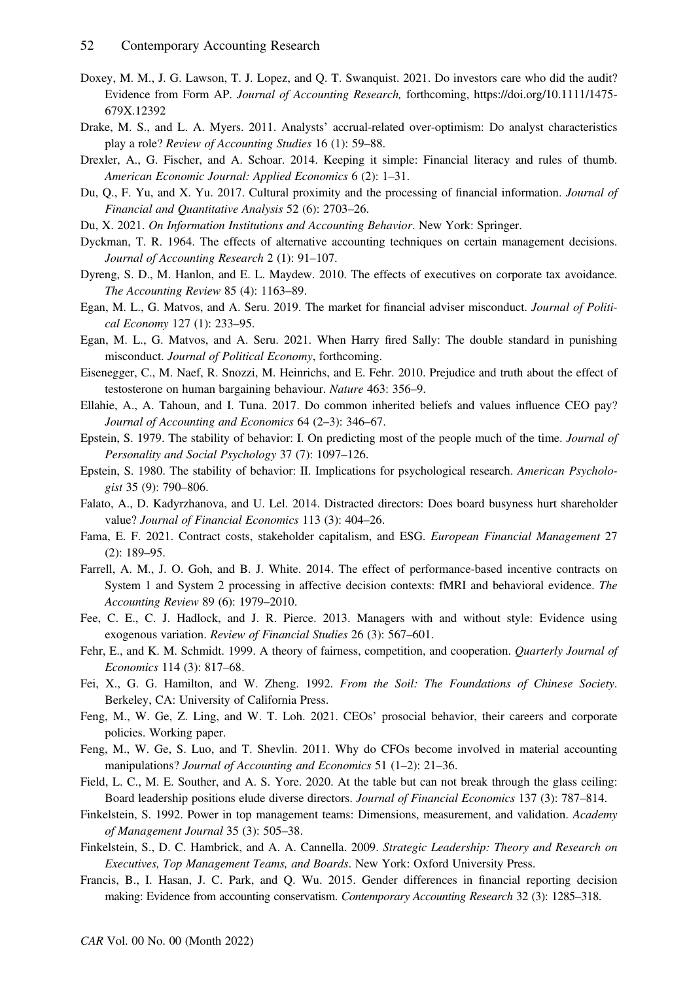- Doxey, M. M., J. G. Lawson, T. J. Lopez, and Q. T. Swanquist. 2021. Do investors care who did the audit? Evidence from Form AP. Journal of Accounting Research, forthcoming, [https://doi.org/10.1111/1475-](https://doi.org/10.1111/1475-679X.12392) [679X.12392](https://doi.org/10.1111/1475-679X.12392)
- Drake, M. S., and L. A. Myers. 2011. Analysts' accrual-related over-optimism: Do analyst characteristics play a role? Review of Accounting Studies 16 (1): 59–88.
- Drexler, A., G. Fischer, and A. Schoar. 2014. Keeping it simple: Financial literacy and rules of thumb. American Economic Journal: Applied Economics 6 (2): 1–31.
- Du, Q., F. Yu, and X. Yu. 2017. Cultural proximity and the processing of financial information. Journal of Financial and Quantitative Analysis 52 (6): 2703–26.
- Du, X. 2021. On Information Institutions and Accounting Behavior. New York: Springer.
- Dyckman, T. R. 1964. The effects of alternative accounting techniques on certain management decisions. Journal of Accounting Research 2 (1): 91–107.
- Dyreng, S. D., M. Hanlon, and E. L. Maydew. 2010. The effects of executives on corporate tax avoidance. The Accounting Review 85 (4): 1163–89.
- Egan, M. L., G. Matvos, and A. Seru. 2019. The market for financial adviser misconduct. Journal of Political Economy 127 (1): 233–95.
- Egan, M. L., G. Matvos, and A. Seru. 2021. When Harry fired Sally: The double standard in punishing misconduct. Journal of Political Economy, forthcoming.
- Eisenegger, C., M. Naef, R. Snozzi, M. Heinrichs, and E. Fehr. 2010. Prejudice and truth about the effect of testosterone on human bargaining behaviour. Nature 463: 356–9.
- Ellahie, A., A. Tahoun, and I. Tuna. 2017. Do common inherited beliefs and values influence CEO pay? Journal of Accounting and Economics 64 (2–3): 346–67.
- Epstein, S. 1979. The stability of behavior: I. On predicting most of the people much of the time. Journal of Personality and Social Psychology 37 (7): 1097–126.
- Epstein, S. 1980. The stability of behavior: II. Implications for psychological research. American Psychologist 35 (9): 790–806.
- Falato, A., D. Kadyrzhanova, and U. Lel. 2014. Distracted directors: Does board busyness hurt shareholder value? Journal of Financial Economics 113 (3): 404–26.
- Fama, E. F. 2021. Contract costs, stakeholder capitalism, and ESG. European Financial Management 27 (2): 189–95.
- Farrell, A. M., J. O. Goh, and B. J. White. 2014. The effect of performance-based incentive contracts on System 1 and System 2 processing in affective decision contexts: fMRI and behavioral evidence. The Accounting Review 89 (6): 1979–2010.
- Fee, C. E., C. J. Hadlock, and J. R. Pierce. 2013. Managers with and without style: Evidence using exogenous variation. Review of Financial Studies 26 (3): 567–601.
- Fehr, E., and K. M. Schmidt. 1999. A theory of fairness, competition, and cooperation. *Quarterly Journal of* Economics 114 (3): 817–68.
- Fei, X., G. G. Hamilton, and W. Zheng. 1992. From the Soil: The Foundations of Chinese Society. Berkeley, CA: University of California Press.
- Feng, M., W. Ge, Z. Ling, and W. T. Loh. 2021. CEOs' prosocial behavior, their careers and corporate policies. Working paper.
- Feng, M., W. Ge, S. Luo, and T. Shevlin. 2011. Why do CFOs become involved in material accounting manipulations? *Journal of Accounting and Economics* 51 (1–2): 21–36.
- Field, L. C., M. E. Souther, and A. S. Yore. 2020. At the table but can not break through the glass ceiling: Board leadership positions elude diverse directors. Journal of Financial Economics 137 (3): 787–814.
- Finkelstein, S. 1992. Power in top management teams: Dimensions, measurement, and validation. Academy of Management Journal 35 (3): 505–38.
- Finkelstein, S., D. C. Hambrick, and A. A. Cannella. 2009. Strategic Leadership: Theory and Research on Executives, Top Management Teams, and Boards. New York: Oxford University Press.
- Francis, B., I. Hasan, J. C. Park, and Q. Wu. 2015. Gender differences in financial reporting decision making: Evidence from accounting conservatism. Contemporary Accounting Research 32 (3): 1285–318.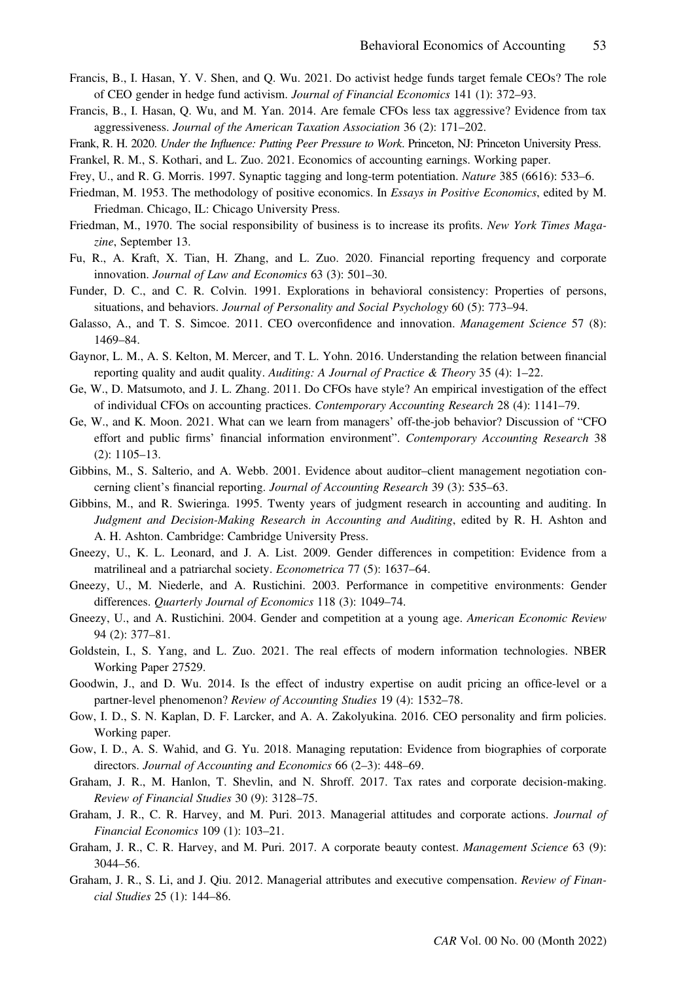- Francis, B., I. Hasan, Y. V. Shen, and Q. Wu. 2021. Do activist hedge funds target female CEOs? The role of CEO gender in hedge fund activism. Journal of Financial Economics 141 (1): 372–93.
- Francis, B., I. Hasan, Q. Wu, and M. Yan. 2014. Are female CFOs less tax aggressive? Evidence from tax aggressiveness. Journal of the American Taxation Association 36 (2): 171–202.
- Frank, R. H. 2020. Under the Influence: Putting Peer Pressure to Work. Princeton, NJ: Princeton University Press.
- Frankel, R. M., S. Kothari, and L. Zuo. 2021. Economics of accounting earnings. Working paper.
- Frey, U., and R. G. Morris. 1997. Synaptic tagging and long-term potentiation. Nature 385 (6616): 533–6.
- Friedman, M. 1953. The methodology of positive economics. In Essays in Positive Economics, edited by M. Friedman. Chicago, IL: Chicago University Press.
- Friedman, M., 1970. The social responsibility of business is to increase its profits. New York Times Magazine, September 13.
- Fu, R., A. Kraft, X. Tian, H. Zhang, and L. Zuo. 2020. Financial reporting frequency and corporate innovation. Journal of Law and Economics 63 (3): 501–30.
- Funder, D. C., and C. R. Colvin. 1991. Explorations in behavioral consistency: Properties of persons, situations, and behaviors. Journal of Personality and Social Psychology 60 (5): 773–94.
- Galasso, A., and T. S. Simcoe. 2011. CEO overconfidence and innovation. Management Science 57 (8): 1469–84.
- Gaynor, L. M., A. S. Kelton, M. Mercer, and T. L. Yohn. 2016. Understanding the relation between financial reporting quality and audit quality. Auditing: A Journal of Practice & Theory 35 (4):  $1-22$ .
- Ge, W., D. Matsumoto, and J. L. Zhang. 2011. Do CFOs have style? An empirical investigation of the effect of individual CFOs on accounting practices. Contemporary Accounting Research 28 (4): 1141–79.
- Ge, W., and K. Moon. 2021. What can we learn from managers' off-the-job behavior? Discussion of "CFO effort and public firms' financial information environment". Contemporary Accounting Research 38 (2): 1105–13.
- Gibbins, M., S. Salterio, and A. Webb. 2001. Evidence about auditor–client management negotiation concerning client's financial reporting. Journal of Accounting Research 39 (3): 535–63.
- Gibbins, M., and R. Swieringa. 1995. Twenty years of judgment research in accounting and auditing. In Judgment and Decision-Making Research in Accounting and Auditing, edited by R. H. Ashton and A. H. Ashton. Cambridge: Cambridge University Press.
- Gneezy, U., K. L. Leonard, and J. A. List. 2009. Gender differences in competition: Evidence from a matrilineal and a patriarchal society. Econometrica 77 (5): 1637–64.
- Gneezy, U., M. Niederle, and A. Rustichini. 2003. Performance in competitive environments: Gender differences. Quarterly Journal of Economics 118 (3): 1049–74.
- Gneezy, U., and A. Rustichini. 2004. Gender and competition at a young age. American Economic Review 94 (2): 377–81.
- Goldstein, I., S. Yang, and L. Zuo. 2021. The real effects of modern information technologies. NBER Working Paper 27529.
- Goodwin, J., and D. Wu. 2014. Is the effect of industry expertise on audit pricing an office-level or a partner-level phenomenon? Review of Accounting Studies 19 (4): 1532–78.
- Gow, I. D., S. N. Kaplan, D. F. Larcker, and A. A. Zakolyukina. 2016. CEO personality and firm policies. Working paper.
- Gow, I. D., A. S. Wahid, and G. Yu. 2018. Managing reputation: Evidence from biographies of corporate directors. Journal of Accounting and Economics 66 (2–3): 448–69.
- Graham, J. R., M. Hanlon, T. Shevlin, and N. Shroff. 2017. Tax rates and corporate decision-making. Review of Financial Studies 30 (9): 3128–75.
- Graham, J. R., C. R. Harvey, and M. Puri. 2013. Managerial attitudes and corporate actions. Journal of Financial Economics 109 (1): 103–21.
- Graham, J. R., C. R. Harvey, and M. Puri. 2017. A corporate beauty contest. Management Science 63 (9): 3044–56.
- Graham, J. R., S. Li, and J. Qiu. 2012. Managerial attributes and executive compensation. Review of Financial Studies 25 (1): 144–86.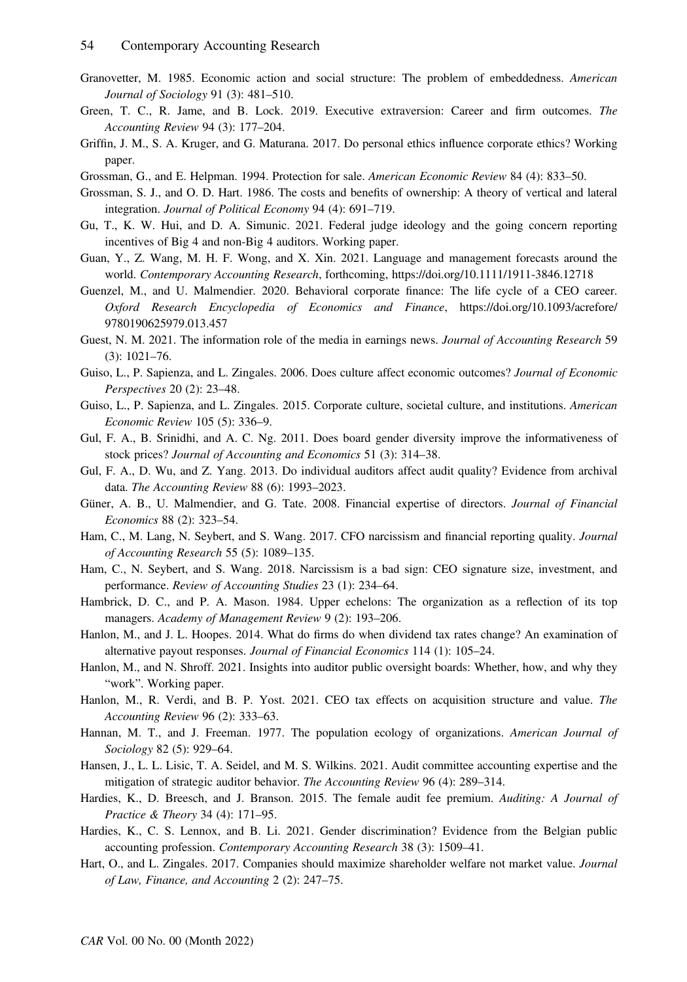- Granovetter, M. 1985. Economic action and social structure: The problem of embeddedness. American Journal of Sociology 91 (3): 481–510.
- Green, T. C., R. Jame, and B. Lock. 2019. Executive extraversion: Career and firm outcomes. The Accounting Review 94 (3): 177–204.
- Griffin, J. M., S. A. Kruger, and G. Maturana. 2017. Do personal ethics influence corporate ethics? Working paper.
- Grossman, G., and E. Helpman. 1994. Protection for sale. American Economic Review 84 (4): 833–50.
- Grossman, S. J., and O. D. Hart. 1986. The costs and benefits of ownership: A theory of vertical and lateral integration. Journal of Political Economy 94 (4): 691–719.
- Gu, T., K. W. Hui, and D. A. Simunic. 2021. Federal judge ideology and the going concern reporting incentives of Big 4 and non-Big 4 auditors. Working paper.
- Guan, Y., Z. Wang, M. H. F. Wong, and X. Xin. 2021. Language and management forecasts around the world. Contemporary Accounting Research, forthcoming,<https://doi.org/10.1111/1911-3846.12718>
- Guenzel, M., and U. Malmendier. 2020. Behavioral corporate finance: The life cycle of a CEO career. Oxford Research Encyclopedia of Economics and Finance, [https://doi.org/10.1093/acrefore/](https://doi.org/10.1093/acrefore/9780190625979.013.457) [9780190625979.013.457](https://doi.org/10.1093/acrefore/9780190625979.013.457)
- Guest, N. M. 2021. The information role of the media in earnings news. Journal of Accounting Research 59 (3): 1021–76.
- Guiso, L., P. Sapienza, and L. Zingales. 2006. Does culture affect economic outcomes? Journal of Economic Perspectives 20 (2): 23–48.
- Guiso, L., P. Sapienza, and L. Zingales. 2015. Corporate culture, societal culture, and institutions. American Economic Review 105 (5): 336–9.
- Gul, F. A., B. Srinidhi, and A. C. Ng. 2011. Does board gender diversity improve the informativeness of stock prices? Journal of Accounting and Economics 51 (3): 314–38.
- Gul, F. A., D. Wu, and Z. Yang. 2013. Do individual auditors affect audit quality? Evidence from archival data. The Accounting Review 88 (6): 1993–2023.
- Güner, A. B., U. Malmendier, and G. Tate. 2008. Financial expertise of directors. Journal of Financial Economics 88 (2): 323–54.
- Ham, C., M. Lang, N. Seybert, and S. Wang. 2017. CFO narcissism and financial reporting quality. *Journal* of Accounting Research 55 (5): 1089–135.
- Ham, C., N. Seybert, and S. Wang. 2018. Narcissism is a bad sign: CEO signature size, investment, and performance. Review of Accounting Studies 23 (1): 234–64.
- Hambrick, D. C., and P. A. Mason. 1984. Upper echelons: The organization as a reflection of its top managers. Academy of Management Review 9 (2): 193-206.
- Hanlon, M., and J. L. Hoopes. 2014. What do firms do when dividend tax rates change? An examination of alternative payout responses. Journal of Financial Economics 114 (1): 105–24.
- Hanlon, M., and N. Shroff. 2021. Insights into auditor public oversight boards: Whether, how, and why they "work". Working paper.
- Hanlon, M., R. Verdi, and B. P. Yost. 2021. CEO tax effects on acquisition structure and value. The Accounting Review 96 (2): 333–63.
- Hannan, M. T., and J. Freeman. 1977. The population ecology of organizations. American Journal of Sociology 82 (5): 929–64.
- Hansen, J., L. L. Lisic, T. A. Seidel, and M. S. Wilkins. 2021. Audit committee accounting expertise and the mitigation of strategic auditor behavior. The Accounting Review 96 (4): 289–314.
- Hardies, K., D. Breesch, and J. Branson. 2015. The female audit fee premium. Auditing: A Journal of Practice & Theory 34 (4): 171–95.
- Hardies, K., C. S. Lennox, and B. Li. 2021. Gender discrimination? Evidence from the Belgian public accounting profession. Contemporary Accounting Research 38 (3): 1509–41.
- Hart, O., and L. Zingales. 2017. Companies should maximize shareholder welfare not market value. Journal of Law, Finance, and Accounting 2 (2): 247–75.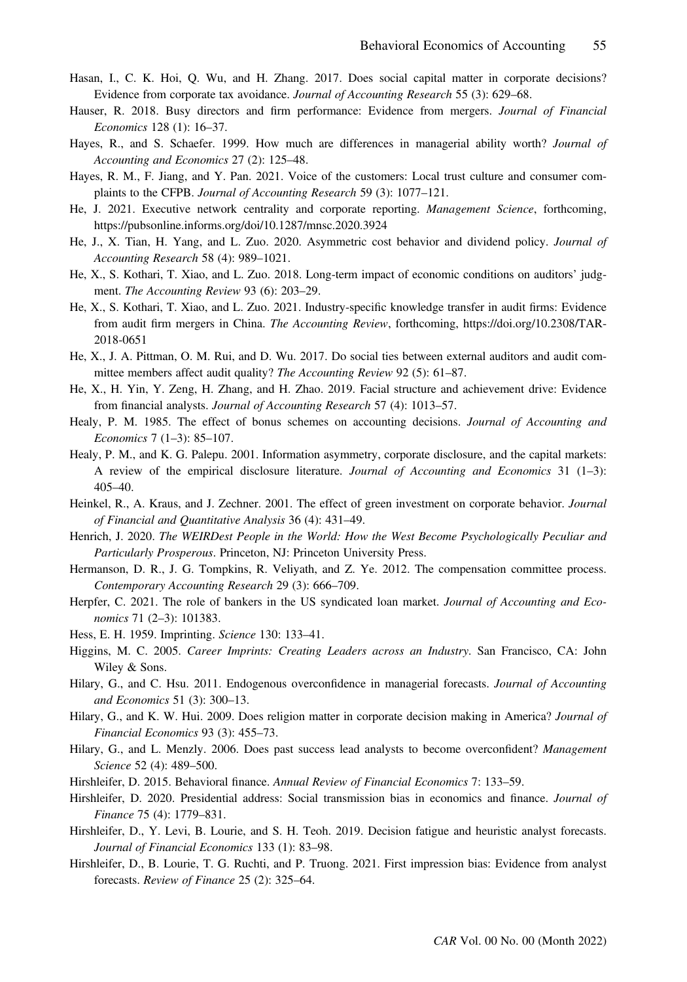- Hasan, I., C. K. Hoi, Q. Wu, and H. Zhang. 2017. Does social capital matter in corporate decisions? Evidence from corporate tax avoidance. Journal of Accounting Research 55 (3): 629–68.
- Hauser, R. 2018. Busy directors and firm performance: Evidence from mergers. Journal of Financial Economics 128 (1): 16–37.
- Hayes, R., and S. Schaefer. 1999. How much are differences in managerial ability worth? Journal of Accounting and Economics 27 (2): 125–48.
- Hayes, R. M., F. Jiang, and Y. Pan. 2021. Voice of the customers: Local trust culture and consumer complaints to the CFPB. Journal of Accounting Research 59 (3): 1077–121.
- He, J. 2021. Executive network centrality and corporate reporting. Management Science, forthcoming, <https://pubsonline.informs.org/doi/10.1287/mnsc.2020.3924>
- He, J., X. Tian, H. Yang, and L. Zuo. 2020. Asymmetric cost behavior and dividend policy. Journal of Accounting Research 58 (4): 989–1021.
- He, X., S. Kothari, T. Xiao, and L. Zuo. 2018. Long-term impact of economic conditions on auditors' judgment. The Accounting Review 93 (6): 203–29.
- He, X., S. Kothari, T. Xiao, and L. Zuo. 2021. Industry-specific knowledge transfer in audit firms: Evidence from audit firm mergers in China. The Accounting Review, forthcoming, [https://doi.org/10.2308/TAR-](https://doi.org/10.2308/TAR-2018-0651)[2018-0651](https://doi.org/10.2308/TAR-2018-0651)
- He, X., J. A. Pittman, O. M. Rui, and D. Wu. 2017. Do social ties between external auditors and audit committee members affect audit quality? The Accounting Review 92 (5): 61–87.
- He, X., H. Yin, Y. Zeng, H. Zhang, and H. Zhao. 2019. Facial structure and achievement drive: Evidence from financial analysts. Journal of Accounting Research 57 (4): 1013–57.
- Healy, P. M. 1985. The effect of bonus schemes on accounting decisions. Journal of Accounting and Economics 7 (1–3): 85–107.
- Healy, P. M., and K. G. Palepu. 2001. Information asymmetry, corporate disclosure, and the capital markets: A review of the empirical disclosure literature. Journal of Accounting and Economics 31  $(1-3)$ : 405–40.
- Heinkel, R., A. Kraus, and J. Zechner. 2001. The effect of green investment on corporate behavior. Journal of Financial and Quantitative Analysis 36 (4): 431–49.
- Henrich, J. 2020. The WEIRDest People in the World: How the West Become Psychologically Peculiar and Particularly Prosperous. Princeton, NJ: Princeton University Press.
- Hermanson, D. R., J. G. Tompkins, R. Veliyath, and Z. Ye. 2012. The compensation committee process. Contemporary Accounting Research 29 (3): 666–709.
- Herpfer, C. 2021. The role of bankers in the US syndicated loan market. Journal of Accounting and Economics 71 (2–3): 101383.
- Hess, E. H. 1959. Imprinting. Science 130: 133–41.
- Higgins, M. C. 2005. Career Imprints: Creating Leaders across an Industry. San Francisco, CA: John Wiley & Sons.
- Hilary, G., and C. Hsu. 2011. Endogenous overconfidence in managerial forecasts. Journal of Accounting and Economics 51 (3): 300–13.
- Hilary, G., and K. W. Hui. 2009. Does religion matter in corporate decision making in America? Journal of Financial Economics 93 (3): 455–73.
- Hilary, G., and L. Menzly. 2006. Does past success lead analysts to become overconfident? Management Science 52 (4): 489–500.
- Hirshleifer, D. 2015. Behavioral finance. Annual Review of Financial Economics 7: 133–59.
- Hirshleifer, D. 2020. Presidential address: Social transmission bias in economics and finance. Journal of Finance 75 (4): 1779–831.
- Hirshleifer, D., Y. Levi, B. Lourie, and S. H. Teoh. 2019. Decision fatigue and heuristic analyst forecasts. Journal of Financial Economics 133 (1): 83–98.
- Hirshleifer, D., B. Lourie, T. G. Ruchti, and P. Truong. 2021. First impression bias: Evidence from analyst forecasts. Review of Finance 25 (2): 325–64.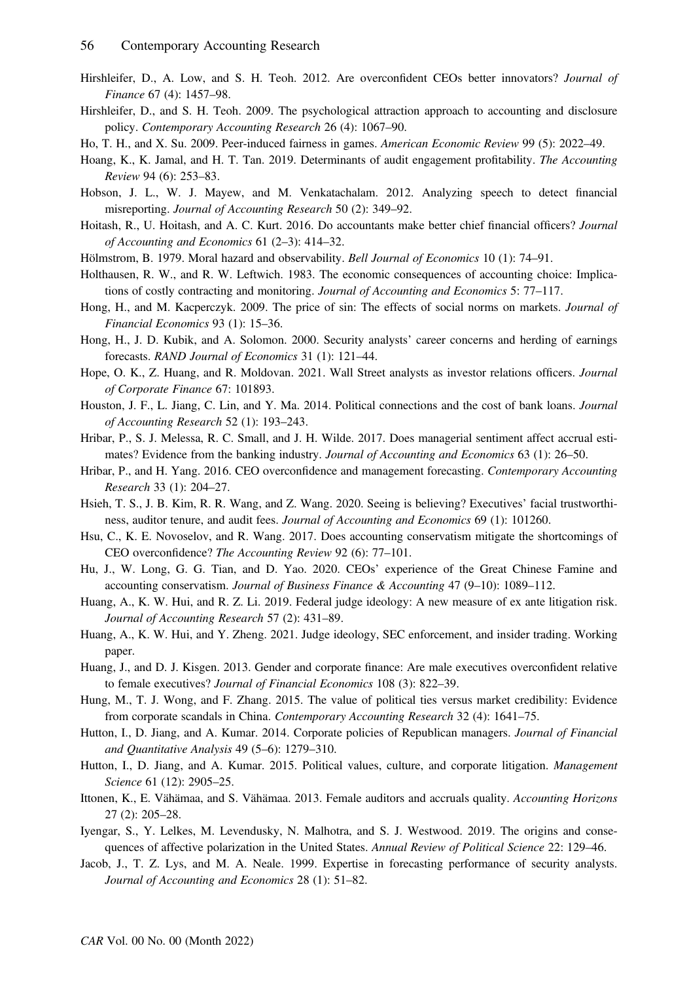- Hirshleifer, D., A. Low, and S. H. Teoh. 2012. Are overconfident CEOs better innovators? Journal of Finance 67 (4): 1457–98.
- Hirshleifer, D., and S. H. Teoh. 2009. The psychological attraction approach to accounting and disclosure policy. Contemporary Accounting Research 26 (4): 1067–90.
- Ho, T. H., and X. Su. 2009. Peer-induced fairness in games. American Economic Review 99 (5): 2022–49.
- Hoang, K., K. Jamal, and H. T. Tan. 2019. Determinants of audit engagement profitability. The Accounting Review 94 (6): 253–83.
- Hobson, J. L., W. J. Mayew, and M. Venkatachalam. 2012. Analyzing speech to detect financial misreporting. Journal of Accounting Research 50 (2): 349–92.
- Hoitash, R., U. Hoitash, and A. C. Kurt. 2016. Do accountants make better chief financial officers? Journal of Accounting and Economics 61 (2–3): 414–32.
- Hölmstrom, B. 1979. Moral hazard and observability. Bell Journal of Economics 10 (1): 74–91.
- Holthausen, R. W., and R. W. Leftwich. 1983. The economic consequences of accounting choice: Implications of costly contracting and monitoring. Journal of Accounting and Economics 5: 77–117.
- Hong, H., and M. Kacperczyk. 2009. The price of sin: The effects of social norms on markets. Journal of Financial Economics 93 (1): 15–36.
- Hong, H., J. D. Kubik, and A. Solomon. 2000. Security analysts' career concerns and herding of earnings forecasts. RAND Journal of Economics 31 (1): 121–44.
- Hope, O. K., Z. Huang, and R. Moldovan. 2021. Wall Street analysts as investor relations officers. Journal of Corporate Finance 67: 101893.
- Houston, J. F., L. Jiang, C. Lin, and Y. Ma. 2014. Political connections and the cost of bank loans. Journal of Accounting Research 52 (1): 193–243.
- Hribar, P., S. J. Melessa, R. C. Small, and J. H. Wilde. 2017. Does managerial sentiment affect accrual estimates? Evidence from the banking industry. Journal of Accounting and Economics 63 (1): 26–50.
- Hribar, P., and H. Yang. 2016. CEO overconfidence and management forecasting. Contemporary Accounting Research 33 (1): 204–27.
- Hsieh, T. S., J. B. Kim, R. R. Wang, and Z. Wang. 2020. Seeing is believing? Executives' facial trustworthiness, auditor tenure, and audit fees. Journal of Accounting and Economics 69 (1): 101260.
- Hsu, C., K. E. Novoselov, and R. Wang. 2017. Does accounting conservatism mitigate the shortcomings of CEO overconfidence? The Accounting Review 92 (6): 77–101.
- Hu, J., W. Long, G. G. Tian, and D. Yao. 2020. CEOs' experience of the Great Chinese Famine and accounting conservatism. Journal of Business Finance & Accounting 47 (9–10): 1089–112.
- Huang, A., K. W. Hui, and R. Z. Li. 2019. Federal judge ideology: A new measure of ex ante litigation risk. Journal of Accounting Research 57 (2): 431–89.
- Huang, A., K. W. Hui, and Y. Zheng. 2021. Judge ideology, SEC enforcement, and insider trading. Working paper.
- Huang, J., and D. J. Kisgen. 2013. Gender and corporate finance: Are male executives overconfident relative to female executives? Journal of Financial Economics 108 (3): 822–39.
- Hung, M., T. J. Wong, and F. Zhang. 2015. The value of political ties versus market credibility: Evidence from corporate scandals in China. Contemporary Accounting Research 32 (4): 1641–75.
- Hutton, I., D. Jiang, and A. Kumar. 2014. Corporate policies of Republican managers. Journal of Financial and Quantitative Analysis 49 (5–6): 1279–310.
- Hutton, I., D. Jiang, and A. Kumar. 2015. Political values, culture, and corporate litigation. *Management* Science 61 (12): 2905–25.
- Ittonen, K., E. Vähämaa, and S. Vähämaa. 2013. Female auditors and accruals quality. Accounting Horizons 27 (2): 205–28.
- Iyengar, S., Y. Lelkes, M. Levendusky, N. Malhotra, and S. J. Westwood. 2019. The origins and consequences of affective polarization in the United States. Annual Review of Political Science 22: 129–46.
- Jacob, J., T. Z. Lys, and M. A. Neale. 1999. Expertise in forecasting performance of security analysts. Journal of Accounting and Economics 28 (1): 51–82.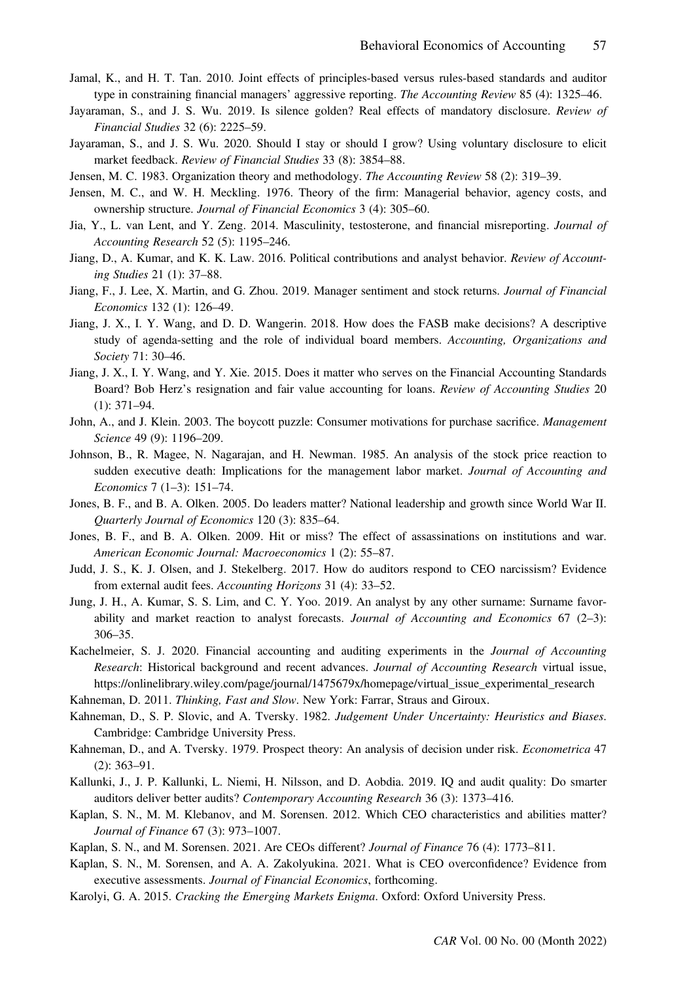- Jamal, K., and H. T. Tan. 2010. Joint effects of principles-based versus rules-based standards and auditor type in constraining financial managers' aggressive reporting. The Accounting Review 85 (4): 1325–46.
- Jayaraman, S., and J. S. Wu. 2019. Is silence golden? Real effects of mandatory disclosure. Review of Financial Studies 32 (6): 2225–59.
- Jayaraman, S., and J. S. Wu. 2020. Should I stay or should I grow? Using voluntary disclosure to elicit market feedback. Review of Financial Studies 33 (8): 3854–88.
- Jensen, M. C. 1983. Organization theory and methodology. The Accounting Review 58 (2): 319–39.
- Jensen, M. C., and W. H. Meckling. 1976. Theory of the firm: Managerial behavior, agency costs, and ownership structure. Journal of Financial Economics 3 (4): 305–60.
- Jia, Y., L. van Lent, and Y. Zeng. 2014. Masculinity, testosterone, and financial misreporting. Journal of Accounting Research 52 (5): 1195–246.
- Jiang, D., A. Kumar, and K. K. Law. 2016. Political contributions and analyst behavior. Review of Accounting Studies 21 (1): 37–88.
- Jiang, F., J. Lee, X. Martin, and G. Zhou. 2019. Manager sentiment and stock returns. Journal of Financial Economics 132 (1): 126–49.
- Jiang, J. X., I. Y. Wang, and D. D. Wangerin. 2018. How does the FASB make decisions? A descriptive study of agenda-setting and the role of individual board members. Accounting, Organizations and Society 71: 30–46.
- Jiang, J. X., I. Y. Wang, and Y. Xie. 2015. Does it matter who serves on the Financial Accounting Standards Board? Bob Herz's resignation and fair value accounting for loans. Review of Accounting Studies 20 (1): 371–94.
- John, A., and J. Klein. 2003. The boycott puzzle: Consumer motivations for purchase sacrifice. *Management* Science 49 (9): 1196–209.
- Johnson, B., R. Magee, N. Nagarajan, and H. Newman. 1985. An analysis of the stock price reaction to sudden executive death: Implications for the management labor market. Journal of Accounting and Economics 7 (1–3): 151–74.
- Jones, B. F., and B. A. Olken. 2005. Do leaders matter? National leadership and growth since World War II. Quarterly Journal of Economics 120 (3): 835–64.
- Jones, B. F., and B. A. Olken. 2009. Hit or miss? The effect of assassinations on institutions and war. American Economic Journal: Macroeconomics 1 (2): 55–87.
- Judd, J. S., K. J. Olsen, and J. Stekelberg. 2017. How do auditors respond to CEO narcissism? Evidence from external audit fees. Accounting Horizons 31 (4): 33–52.
- Jung, J. H., A. Kumar, S. S. Lim, and C. Y. Yoo. 2019. An analyst by any other surname: Surname favorability and market reaction to analyst forecasts. Journal of Accounting and Economics  $67$  (2–3): 306–35.
- Kachelmeier, S. J. 2020. Financial accounting and auditing experiments in the Journal of Accounting Research: Historical background and recent advances. Journal of Accounting Research virtual issue, [https://onlinelibrary.wiley.com/page/journal/1475679x/homepage/virtual\\_issue\\_experimental\\_research](https://onlinelibrary.wiley.com/page/journal/1475679x/homepage/virtual_issue_experimental_research)
- Kahneman, D. 2011. *Thinking, Fast and Slow*. New York: Farrar, Straus and Giroux.
- Kahneman, D., S. P. Slovic, and A. Tversky. 1982. Judgement Under Uncertainty: Heuristics and Biases. Cambridge: Cambridge University Press.
- Kahneman, D., and A. Tversky. 1979. Prospect theory: An analysis of decision under risk. *Econometrica* 47 (2): 363–91.
- Kallunki, J., J. P. Kallunki, L. Niemi, H. Nilsson, and D. Aobdia. 2019. IQ and audit quality: Do smarter auditors deliver better audits? Contemporary Accounting Research 36 (3): 1373–416.
- Kaplan, S. N., M. M. Klebanov, and M. Sorensen. 2012. Which CEO characteristics and abilities matter? Journal of Finance 67 (3): 973–1007.
- Kaplan, S. N., and M. Sorensen. 2021. Are CEOs different? *Journal of Finance* 76 (4): 1773–811.
- Kaplan, S. N., M. Sorensen, and A. A. Zakolyukina. 2021. What is CEO overconfidence? Evidence from executive assessments. Journal of Financial Economics, forthcoming.
- Karolyi, G. A. 2015. Cracking the Emerging Markets Enigma. Oxford: Oxford University Press.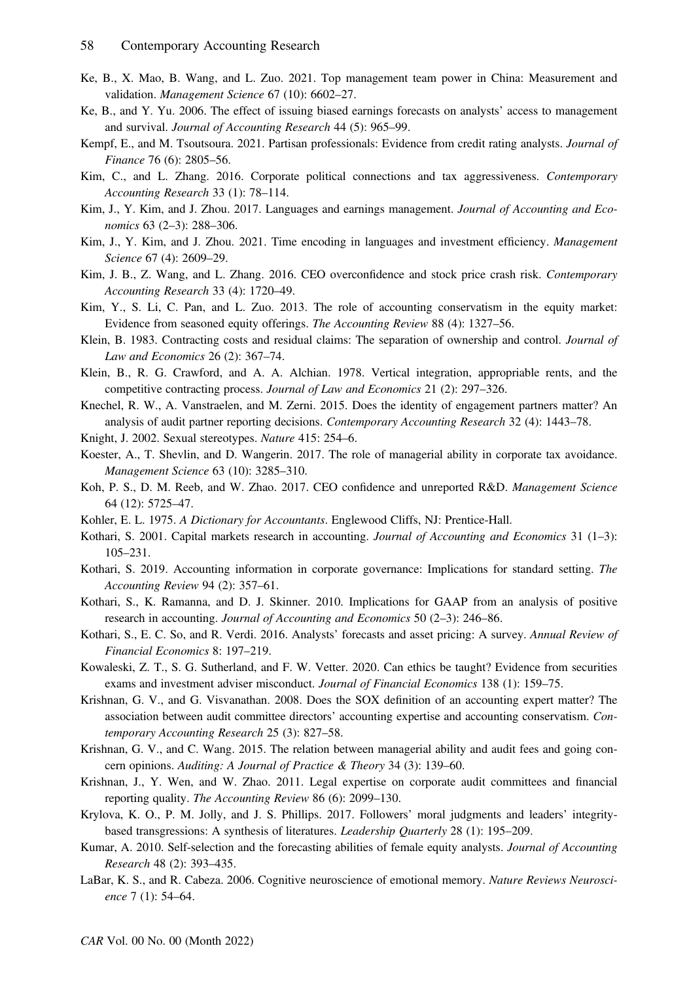- Ke, B., X. Mao, B. Wang, and L. Zuo. 2021. Top management team power in China: Measurement and validation. Management Science 67 (10): 6602–27.
- Ke, B., and Y. Yu. 2006. The effect of issuing biased earnings forecasts on analysts' access to management and survival. Journal of Accounting Research 44 (5): 965–99.
- Kempf, E., and M. Tsoutsoura. 2021. Partisan professionals: Evidence from credit rating analysts. Journal of Finance 76 (6): 2805–56.
- Kim, C., and L. Zhang. 2016. Corporate political connections and tax aggressiveness. Contemporary Accounting Research 33 (1): 78–114.
- Kim, J., Y. Kim, and J. Zhou. 2017. Languages and earnings management. Journal of Accounting and Economics 63 (2–3): 288–306.
- Kim, J., Y. Kim, and J. Zhou. 2021. Time encoding in languages and investment efficiency. Management Science 67 (4): 2609–29.
- Kim, J. B., Z. Wang, and L. Zhang. 2016. CEO overconfidence and stock price crash risk. Contemporary Accounting Research 33 (4): 1720–49.
- Kim, Y., S. Li, C. Pan, and L. Zuo. 2013. The role of accounting conservatism in the equity market: Evidence from seasoned equity offerings. The Accounting Review 88 (4): 1327–56.
- Klein, B. 1983. Contracting costs and residual claims: The separation of ownership and control. Journal of Law and Economics 26 (2): 367–74.
- Klein, B., R. G. Crawford, and A. A. Alchian. 1978. Vertical integration, appropriable rents, and the competitive contracting process. Journal of Law and Economics 21 (2): 297–326.
- Knechel, R. W., A. Vanstraelen, and M. Zerni. 2015. Does the identity of engagement partners matter? An analysis of audit partner reporting decisions. Contemporary Accounting Research 32 (4): 1443-78.
- Knight, J. 2002. Sexual stereotypes. Nature 415: 254–6.
- Koester, A., T. Shevlin, and D. Wangerin. 2017. The role of managerial ability in corporate tax avoidance. Management Science 63 (10): 3285–310.
- Koh, P. S., D. M. Reeb, and W. Zhao. 2017. CEO confidence and unreported R&D. Management Science 64 (12): 5725–47.
- Kohler, E. L. 1975. A Dictionary for Accountants. Englewood Cliffs, NJ: Prentice-Hall.
- Kothari, S. 2001. Capital markets research in accounting. Journal of Accounting and Economics 31 (1-3): 105–231.
- Kothari, S. 2019. Accounting information in corporate governance: Implications for standard setting. The Accounting Review 94 (2): 357–61.
- Kothari, S., K. Ramanna, and D. J. Skinner. 2010. Implications for GAAP from an analysis of positive research in accounting. Journal of Accounting and Economics 50 (2–3): 246–86.
- Kothari, S., E. C. So, and R. Verdi. 2016. Analysts' forecasts and asset pricing: A survey. Annual Review of Financial Economics 8: 197–219.
- Kowaleski, Z. T., S. G. Sutherland, and F. W. Vetter. 2020. Can ethics be taught? Evidence from securities exams and investment adviser misconduct. Journal of Financial Economics 138 (1): 159–75.
- Krishnan, G. V., and G. Visvanathan. 2008. Does the SOX definition of an accounting expert matter? The association between audit committee directors' accounting expertise and accounting conservatism. Contemporary Accounting Research 25 (3): 827–58.
- Krishnan, G. V., and C. Wang. 2015. The relation between managerial ability and audit fees and going concern opinions. Auditing: A Journal of Practice & Theory 34 (3): 139–60.
- Krishnan, J., Y. Wen, and W. Zhao. 2011. Legal expertise on corporate audit committees and financial reporting quality. The Accounting Review 86 (6): 2099–130.
- Krylova, K. O., P. M. Jolly, and J. S. Phillips. 2017. Followers' moral judgments and leaders' integritybased transgressions: A synthesis of literatures. Leadership Quarterly 28 (1): 195–209.
- Kumar, A. 2010. Self-selection and the forecasting abilities of female equity analysts. Journal of Accounting Research 48 (2): 393–435.
- LaBar, K. S., and R. Cabeza. 2006. Cognitive neuroscience of emotional memory. Nature Reviews Neuroscience 7 (1): 54–64.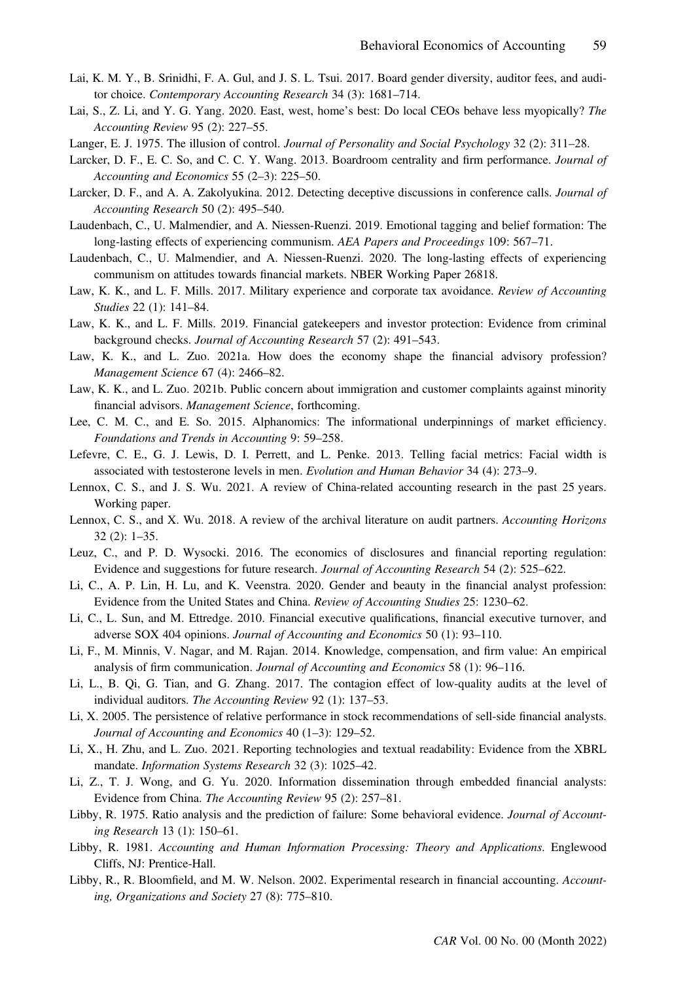- Lai, K. M. Y., B. Srinidhi, F. A. Gul, and J. S. L. Tsui. 2017. Board gender diversity, auditor fees, and auditor choice. Contemporary Accounting Research 34 (3): 1681–714.
- Lai, S., Z. Li, and Y. G. Yang. 2020. East, west, home's best: Do local CEOs behave less myopically? The Accounting Review 95 (2): 227–55.
- Langer, E. J. 1975. The illusion of control. *Journal of Personality and Social Psychology* 32 (2): 311–28.
- Larcker, D. F., E. C. So, and C. C. Y. Wang. 2013. Boardroom centrality and firm performance. *Journal of* Accounting and Economics 55 (2–3): 225–50.
- Larcker, D. F., and A. A. Zakolyukina. 2012. Detecting deceptive discussions in conference calls. Journal of Accounting Research 50 (2): 495–540.
- Laudenbach, C., U. Malmendier, and A. Niessen-Ruenzi. 2019. Emotional tagging and belief formation: The long-lasting effects of experiencing communism. AEA Papers and Proceedings 109: 567–71.
- Laudenbach, C., U. Malmendier, and A. Niessen-Ruenzi. 2020. The long-lasting effects of experiencing communism on attitudes towards financial markets. NBER Working Paper 26818.
- Law, K. K., and L. F. Mills. 2017. Military experience and corporate tax avoidance. Review of Accounting Studies 22 (1): 141–84.
- Law, K. K., and L. F. Mills. 2019. Financial gatekeepers and investor protection: Evidence from criminal background checks. Journal of Accounting Research 57 (2): 491–543.
- Law, K. K., and L. Zuo. 2021a. How does the economy shape the financial advisory profession? Management Science 67 (4): 2466–82.
- Law, K. K., and L. Zuo. 2021b. Public concern about immigration and customer complaints against minority financial advisors. *Management Science*, forthcoming.
- Lee, C. M. C., and E. So. 2015. Alphanomics: The informational underpinnings of market efficiency. Foundations and Trends in Accounting 9: 59–258.
- Lefevre, C. E., G. J. Lewis, D. I. Perrett, and L. Penke. 2013. Telling facial metrics: Facial width is associated with testosterone levels in men. Evolution and Human Behavior 34 (4): 273–9.
- Lennox, C. S., and J. S. Wu. 2021. A review of China-related accounting research in the past 25 years. Working paper.
- Lennox, C. S., and X. Wu. 2018. A review of the archival literature on audit partners. Accounting Horizons 32 (2): 1–35.
- Leuz, C., and P. D. Wysocki. 2016. The economics of disclosures and financial reporting regulation: Evidence and suggestions for future research. Journal of Accounting Research 54 (2): 525–622.
- Li, C., A. P. Lin, H. Lu, and K. Veenstra. 2020. Gender and beauty in the financial analyst profession: Evidence from the United States and China. Review of Accounting Studies 25: 1230–62.
- Li, C., L. Sun, and M. Ettredge. 2010. Financial executive qualifications, financial executive turnover, and adverse SOX 404 opinions. Journal of Accounting and Economics 50 (1): 93–110.
- Li, F., M. Minnis, V. Nagar, and M. Rajan. 2014. Knowledge, compensation, and firm value: An empirical analysis of firm communication. Journal of Accounting and Economics 58 (1): 96–116.
- Li, L., B. Qi, G. Tian, and G. Zhang. 2017. The contagion effect of low-quality audits at the level of individual auditors. The Accounting Review 92 (1): 137–53.
- Li, X. 2005. The persistence of relative performance in stock recommendations of sell-side financial analysts. Journal of Accounting and Economics 40 (1–3): 129–52.
- Li, X., H. Zhu, and L. Zuo. 2021. Reporting technologies and textual readability: Evidence from the XBRL mandate. *Information Systems Research* 32 (3): 1025–42.
- Li, Z., T. J. Wong, and G. Yu. 2020. Information dissemination through embedded financial analysts: Evidence from China. The Accounting Review 95 (2): 257–81.
- Libby, R. 1975. Ratio analysis and the prediction of failure: Some behavioral evidence. Journal of Accounting Research 13 (1): 150–61.
- Libby, R. 1981. Accounting and Human Information Processing: Theory and Applications. Englewood Cliffs, NJ: Prentice-Hall.
- Libby, R., R. Bloomfield, and M. W. Nelson. 2002. Experimental research in financial accounting. Accounting, Organizations and Society 27 (8): 775–810.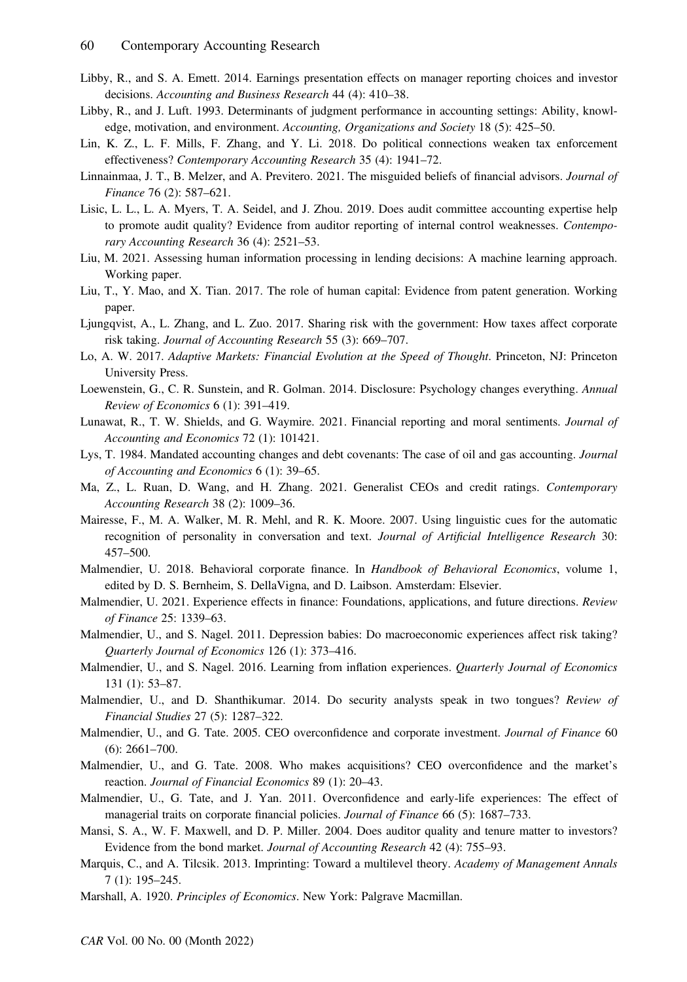- Libby, R., and S. A. Emett. 2014. Earnings presentation effects on manager reporting choices and investor decisions. Accounting and Business Research 44 (4): 410–38.
- Libby, R., and J. Luft. 1993. Determinants of judgment performance in accounting settings: Ability, knowledge, motivation, and environment. Accounting, Organizations and Society 18 (5): 425–50.
- Lin, K. Z., L. F. Mills, F. Zhang, and Y. Li. 2018. Do political connections weaken tax enforcement effectiveness? Contemporary Accounting Research 35 (4): 1941–72.
- Linnainmaa, J. T., B. Melzer, and A. Previtero. 2021. The misguided beliefs of financial advisors. Journal of Finance 76 (2): 587–621.
- Lisic, L. L., L. A. Myers, T. A. Seidel, and J. Zhou. 2019. Does audit committee accounting expertise help to promote audit quality? Evidence from auditor reporting of internal control weaknesses. Contemporary Accounting Research 36 (4): 2521–53.
- Liu, M. 2021. Assessing human information processing in lending decisions: A machine learning approach. Working paper.
- Liu, T., Y. Mao, and X. Tian. 2017. The role of human capital: Evidence from patent generation. Working paper.
- Ljungqvist, A., L. Zhang, and L. Zuo. 2017. Sharing risk with the government: How taxes affect corporate risk taking. Journal of Accounting Research 55 (3): 669–707.
- Lo, A. W. 2017. Adaptive Markets: Financial Evolution at the Speed of Thought. Princeton, NJ: Princeton University Press.
- Loewenstein, G., C. R. Sunstein, and R. Golman. 2014. Disclosure: Psychology changes everything. Annual Review of Economics 6 (1): 391–419.
- Lunawat, R., T. W. Shields, and G. Waymire. 2021. Financial reporting and moral sentiments. Journal of Accounting and Economics 72 (1): 101421.
- Lys, T. 1984. Mandated accounting changes and debt covenants: The case of oil and gas accounting. *Journal* of Accounting and Economics 6 (1): 39–65.
- Ma, Z., L. Ruan, D. Wang, and H. Zhang. 2021. Generalist CEOs and credit ratings. Contemporary Accounting Research 38 (2): 1009–36.
- Mairesse, F., M. A. Walker, M. R. Mehl, and R. K. Moore. 2007. Using linguistic cues for the automatic recognition of personality in conversation and text. Journal of Artificial Intelligence Research 30: 457–500.
- Malmendier, U. 2018. Behavioral corporate finance. In Handbook of Behavioral Economics, volume 1, edited by D. S. Bernheim, S. DellaVigna, and D. Laibson. Amsterdam: Elsevier.
- Malmendier, U. 2021. Experience effects in finance: Foundations, applications, and future directions. Review of Finance 25: 1339–63.
- Malmendier, U., and S. Nagel. 2011. Depression babies: Do macroeconomic experiences affect risk taking? Quarterly Journal of Economics 126 (1): 373–416.
- Malmendier, U., and S. Nagel. 2016. Learning from inflation experiences. *Quarterly Journal of Economics* 131 (1): 53–87.
- Malmendier, U., and D. Shanthikumar. 2014. Do security analysts speak in two tongues? Review of Financial Studies 27 (5): 1287–322.
- Malmendier, U., and G. Tate. 2005. CEO overconfidence and corporate investment. Journal of Finance 60 (6): 2661–700.
- Malmendier, U., and G. Tate. 2008. Who makes acquisitions? CEO overconfidence and the market's reaction. Journal of Financial Economics 89 (1): 20–43.
- Malmendier, U., G. Tate, and J. Yan. 2011. Overconfidence and early-life experiences: The effect of managerial traits on corporate financial policies. *Journal of Finance* 66 (5): 1687–733.
- Mansi, S. A., W. F. Maxwell, and D. P. Miller. 2004. Does auditor quality and tenure matter to investors? Evidence from the bond market. Journal of Accounting Research 42 (4): 755–93.
- Marquis, C., and A. Tilcsik. 2013. Imprinting: Toward a multilevel theory. Academy of Management Annals 7 (1): 195–245.
- Marshall, A. 1920. Principles of Economics. New York: Palgrave Macmillan.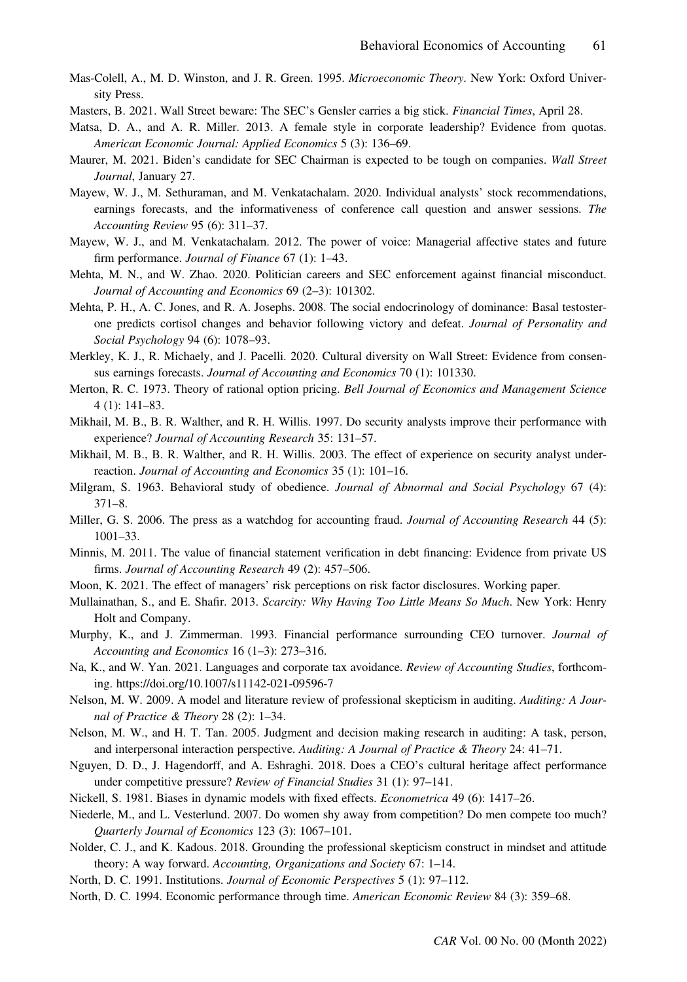- Mas-Colell, A., M. D. Winston, and J. R. Green. 1995. *Microeconomic Theory*. New York: Oxford University Press.
- Masters, B. 2021. Wall Street beware: The SEC's Gensler carries a big stick. Financial Times, April 28.
- Matsa, D. A., and A. R. Miller. 2013. A female style in corporate leadership? Evidence from quotas. American Economic Journal: Applied Economics 5 (3): 136–69.
- Maurer, M. 2021. Biden's candidate for SEC Chairman is expected to be tough on companies. Wall Street Journal, January 27.
- Mayew, W. J., M. Sethuraman, and M. Venkatachalam. 2020. Individual analysts' stock recommendations, earnings forecasts, and the informativeness of conference call question and answer sessions. The Accounting Review 95 (6): 311–37.
- Mayew, W. J., and M. Venkatachalam. 2012. The power of voice: Managerial affective states and future firm performance. *Journal of Finance* 67 (1): 1–43.
- Mehta, M. N., and W. Zhao. 2020. Politician careers and SEC enforcement against financial misconduct. Journal of Accounting and Economics 69 (2–3): 101302.
- Mehta, P. H., A. C. Jones, and R. A. Josephs. 2008. The social endocrinology of dominance: Basal testosterone predicts cortisol changes and behavior following victory and defeat. Journal of Personality and Social Psychology 94 (6): 1078–93.
- Merkley, K. J., R. Michaely, and J. Pacelli. 2020. Cultural diversity on Wall Street: Evidence from consensus earnings forecasts. Journal of Accounting and Economics 70 (1): 101330.
- Merton, R. C. 1973. Theory of rational option pricing. Bell Journal of Economics and Management Science 4 (1): 141–83.
- Mikhail, M. B., B. R. Walther, and R. H. Willis. 1997. Do security analysts improve their performance with experience? Journal of Accounting Research 35: 131–57.
- Mikhail, M. B., B. R. Walther, and R. H. Willis. 2003. The effect of experience on security analyst underreaction. Journal of Accounting and Economics 35 (1): 101–16.
- Milgram, S. 1963. Behavioral study of obedience. Journal of Abnormal and Social Psychology 67 (4): 371–8.
- Miller, G. S. 2006. The press as a watchdog for accounting fraud. Journal of Accounting Research 44 (5): 1001–33.
- Minnis, M. 2011. The value of financial statement verification in debt financing: Evidence from private US firms. Journal of Accounting Research 49 (2): 457–506.
- Moon, K. 2021. The effect of managers' risk perceptions on risk factor disclosures. Working paper.
- Mullainathan, S., and E. Shafir. 2013. Scarcity: Why Having Too Little Means So Much. New York: Henry Holt and Company.
- Murphy, K., and J. Zimmerman. 1993. Financial performance surrounding CEO turnover. Journal of Accounting and Economics 16 (1–3): 273–316.
- Na, K., and W. Yan. 2021. Languages and corporate tax avoidance. Review of Accounting Studies, forthcoming.<https://doi.org/10.1007/s11142-021-09596-7>
- Nelson, M. W. 2009. A model and literature review of professional skepticism in auditing. Auditing: A Journal of Practice & Theory 28 (2): 1–34.
- Nelson, M. W., and H. T. Tan. 2005. Judgment and decision making research in auditing: A task, person, and interpersonal interaction perspective. Auditing: A Journal of Practice & Theory 24: 41–71.
- Nguyen, D. D., J. Hagendorff, and A. Eshraghi. 2018. Does a CEO's cultural heritage affect performance under competitive pressure? Review of Financial Studies 31 (1): 97–141.
- Nickell, S. 1981. Biases in dynamic models with fixed effects. Econometrica 49 (6): 1417–26.
- Niederle, M., and L. Vesterlund. 2007. Do women shy away from competition? Do men compete too much? Quarterly Journal of Economics 123 (3): 1067–101.
- Nolder, C. J., and K. Kadous. 2018. Grounding the professional skepticism construct in mindset and attitude theory: A way forward. Accounting, Organizations and Society 67: 1–14.
- North, D. C. 1991. Institutions. Journal of Economic Perspectives 5 (1): 97–112.
- North, D. C. 1994. Economic performance through time. American Economic Review 84 (3): 359–68.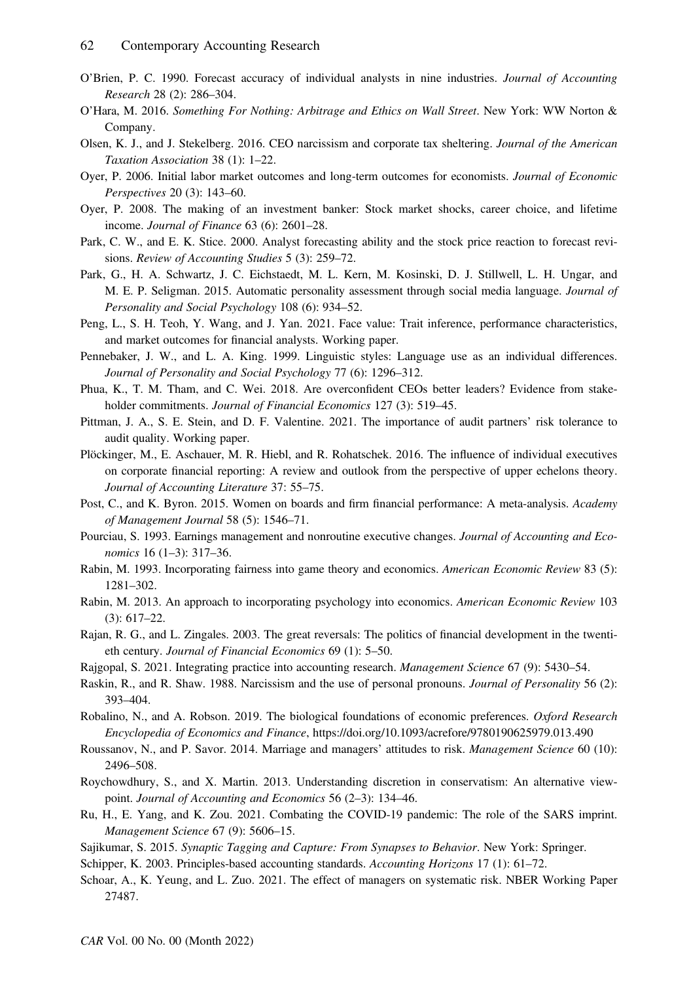- O'Brien, P. C. 1990. Forecast accuracy of individual analysts in nine industries. Journal of Accounting Research 28 (2): 286–304.
- O'Hara, M. 2016. Something For Nothing: Arbitrage and Ethics on Wall Street. New York: WW Norton & Company.
- Olsen, K. J., and J. Stekelberg. 2016. CEO narcissism and corporate tax sheltering. Journal of the American Taxation Association 38 (1): 1–22.
- Oyer, P. 2006. Initial labor market outcomes and long-term outcomes for economists. Journal of Economic Perspectives 20 (3): 143–60.
- Oyer, P. 2008. The making of an investment banker: Stock market shocks, career choice, and lifetime income. Journal of Finance 63 (6): 2601–28.
- Park, C. W., and E. K. Stice. 2000. Analyst forecasting ability and the stock price reaction to forecast revisions. Review of Accounting Studies 5 (3): 259–72.
- Park, G., H. A. Schwartz, J. C. Eichstaedt, M. L. Kern, M. Kosinski, D. J. Stillwell, L. H. Ungar, and M. E. P. Seligman. 2015. Automatic personality assessment through social media language. Journal of Personality and Social Psychology 108 (6): 934–52.
- Peng, L., S. H. Teoh, Y. Wang, and J. Yan. 2021. Face value: Trait inference, performance characteristics, and market outcomes for financial analysts. Working paper.
- Pennebaker, J. W., and L. A. King. 1999. Linguistic styles: Language use as an individual differences. Journal of Personality and Social Psychology 77 (6): 1296–312.
- Phua, K., T. M. Tham, and C. Wei. 2018. Are overconfident CEOs better leaders? Evidence from stakeholder commitments. Journal of Financial Economics 127 (3): 519–45.
- Pittman, J. A., S. E. Stein, and D. F. Valentine. 2021. The importance of audit partners' risk tolerance to audit quality. Working paper.
- Plöckinger, M., E. Aschauer, M. R. Hiebl, and R. Rohatschek. 2016. The influence of individual executives on corporate financial reporting: A review and outlook from the perspective of upper echelons theory. Journal of Accounting Literature 37: 55–75.
- Post, C., and K. Byron. 2015. Women on boards and firm financial performance: A meta-analysis. Academy of Management Journal 58 (5): 1546–71.
- Pourciau, S. 1993. Earnings management and nonroutine executive changes. Journal of Accounting and Economics 16 (1–3): 317–36.
- Rabin, M. 1993. Incorporating fairness into game theory and economics. American Economic Review 83 (5): 1281–302.
- Rabin, M. 2013. An approach to incorporating psychology into economics. American Economic Review 103 (3): 617–22.
- Rajan, R. G., and L. Zingales. 2003. The great reversals: The politics of financial development in the twentieth century. Journal of Financial Economics 69 (1): 5–50.
- Rajgopal, S. 2021. Integrating practice into accounting research. Management Science 67 (9): 5430–54.
- Raskin, R., and R. Shaw. 1988. Narcissism and the use of personal pronouns. Journal of Personality 56 (2): 393–404.
- Robalino, N., and A. Robson. 2019. The biological foundations of economic preferences. Oxford Research Encyclopedia of Economics and Finance,<https://doi.org/10.1093/acrefore/9780190625979.013.490>
- Roussanov, N., and P. Savor. 2014. Marriage and managers' attitudes to risk. Management Science 60 (10): 2496–508.
- Roychowdhury, S., and X. Martin. 2013. Understanding discretion in conservatism: An alternative viewpoint. Journal of Accounting and Economics 56 (2–3): 134–46.
- Ru, H., E. Yang, and K. Zou. 2021. Combating the COVID-19 pandemic: The role of the SARS imprint. Management Science 67 (9): 5606–15.
- Sajikumar, S. 2015. Synaptic Tagging and Capture: From Synapses to Behavior. New York: Springer.
- Schipper, K. 2003. Principles-based accounting standards. Accounting Horizons 17 (1): 61–72.
- Schoar, A., K. Yeung, and L. Zuo. 2021. The effect of managers on systematic risk. NBER Working Paper 27487.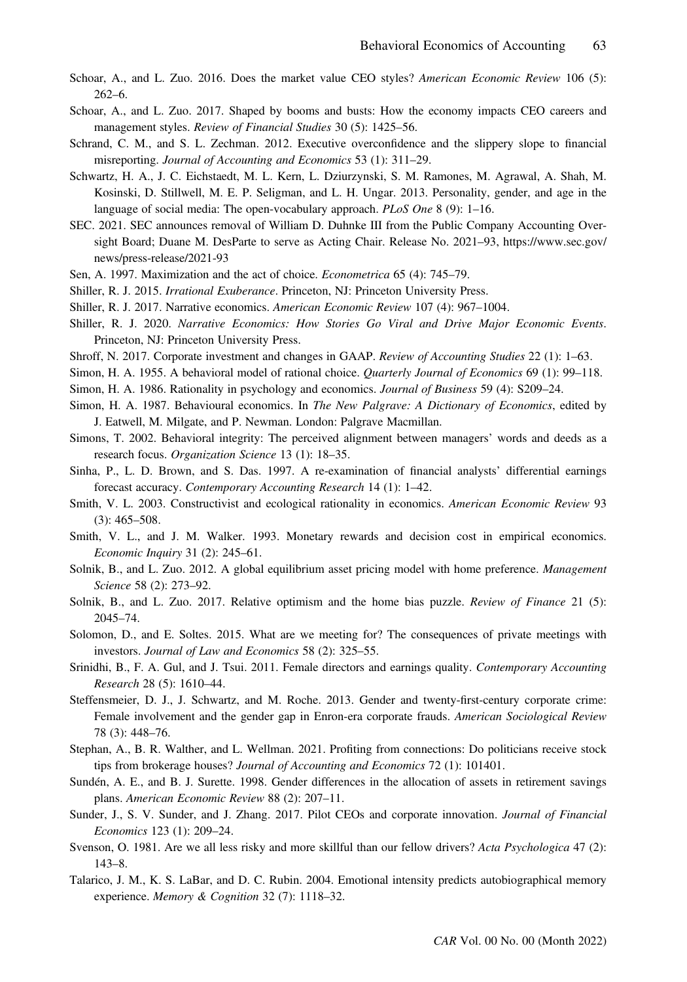- Schoar, A., and L. Zuo. 2016. Does the market value CEO styles? American Economic Review 106 (5): 262–6.
- Schoar, A., and L. Zuo. 2017. Shaped by booms and busts: How the economy impacts CEO careers and management styles. Review of Financial Studies 30 (5): 1425–56.
- Schrand, C. M., and S. L. Zechman. 2012. Executive overconfidence and the slippery slope to financial misreporting. Journal of Accounting and Economics 53 (1): 311–29.
- Schwartz, H. A., J. C. Eichstaedt, M. L. Kern, L. Dziurzynski, S. M. Ramones, M. Agrawal, A. Shah, M. Kosinski, D. Stillwell, M. E. P. Seligman, and L. H. Ungar. 2013. Personality, gender, and age in the language of social media: The open-vocabulary approach. PLoS One  $8(9)$ : 1–16.
- SEC. 2021. SEC announces removal of William D. Duhnke III from the Public Company Accounting Oversight Board; Duane M. DesParte to serve as Acting Chair. Release No. 2021–93, [https://www.sec.gov/](https://www.sec.gov/news/press-release/2021-93) [news/press-release/2021-93](https://www.sec.gov/news/press-release/2021-93)
- Sen, A. 1997. Maximization and the act of choice. Econometrica 65 (4): 745–79.
- Shiller, R. J. 2015. Irrational Exuberance. Princeton, NJ: Princeton University Press.
- Shiller, R. J. 2017. Narrative economics. American Economic Review 107 (4): 967–1004.
- Shiller, R. J. 2020. Narrative Economics: How Stories Go Viral and Drive Major Economic Events. Princeton, NJ: Princeton University Press.
- Shroff, N. 2017. Corporate investment and changes in GAAP. Review of Accounting Studies 22 (1): 1–63.
- Simon, H. A. 1955. A behavioral model of rational choice. Quarterly Journal of Economics 69 (1): 99–118.
- Simon, H. A. 1986. Rationality in psychology and economics. Journal of Business 59 (4): S209–24.
- Simon, H. A. 1987. Behavioural economics. In The New Palgrave: A Dictionary of Economics, edited by J. Eatwell, M. Milgate, and P. Newman. London: Palgrave Macmillan.
- Simons, T. 2002. Behavioral integrity: The perceived alignment between managers' words and deeds as a research focus. Organization Science 13 (1): 18–35.
- Sinha, P., L. D. Brown, and S. Das. 1997. A re-examination of financial analysts' differential earnings forecast accuracy. Contemporary Accounting Research 14 (1): 1–42.
- Smith, V. L. 2003. Constructivist and ecological rationality in economics. American Economic Review 93 (3): 465–508.
- Smith, V. L., and J. M. Walker. 1993. Monetary rewards and decision cost in empirical economics. Economic Inquiry 31 (2): 245–61.
- Solnik, B., and L. Zuo. 2012. A global equilibrium asset pricing model with home preference. Management Science 58 (2): 273–92.
- Solnik, B., and L. Zuo. 2017. Relative optimism and the home bias puzzle. *Review of Finance* 21 (5): 2045–74.
- Solomon, D., and E. Soltes. 2015. What are we meeting for? The consequences of private meetings with investors. Journal of Law and Economics 58 (2): 325–55.
- Srinidhi, B., F. A. Gul, and J. Tsui. 2011. Female directors and earnings quality. Contemporary Accounting Research 28 (5): 1610–44.
- Steffensmeier, D. J., J. Schwartz, and M. Roche. 2013. Gender and twenty-first-century corporate crime: Female involvement and the gender gap in Enron-era corporate frauds. American Sociological Review 78 (3): 448–76.
- Stephan, A., B. R. Walther, and L. Wellman. 2021. Profiting from connections: Do politicians receive stock tips from brokerage houses? Journal of Accounting and Economics 72 (1): 101401.
- Sundén, A. E., and B. J. Surette. 1998. Gender differences in the allocation of assets in retirement savings plans. American Economic Review 88 (2): 207–11.
- Sunder, J., S. V. Sunder, and J. Zhang. 2017. Pilot CEOs and corporate innovation. Journal of Financial Economics 123 (1): 209–24.
- Svenson, O. 1981. Are we all less risky and more skillful than our fellow drivers? Acta Psychologica 47 (2): 143–8.
- Talarico, J. M., K. S. LaBar, and D. C. Rubin. 2004. Emotional intensity predicts autobiographical memory experience. Memory & Cognition 32 (7): 1118-32.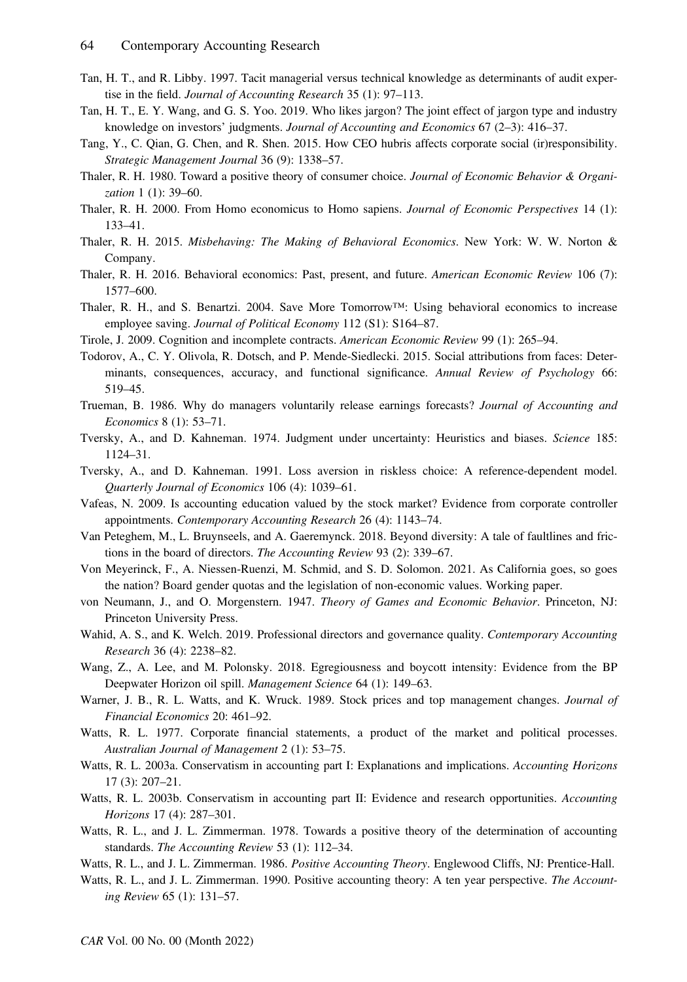- Tan, H. T., and R. Libby. 1997. Tacit managerial versus technical knowledge as determinants of audit expertise in the field. Journal of Accounting Research 35 (1): 97–113.
- Tan, H. T., E. Y. Wang, and G. S. Yoo. 2019. Who likes jargon? The joint effect of jargon type and industry knowledge on investors' judgments. Journal of Accounting and Economics 67 (2–3): 416–37.
- Tang, Y., C. Qian, G. Chen, and R. Shen. 2015. How CEO hubris affects corporate social (ir)responsibility. Strategic Management Journal 36 (9): 1338–57.
- Thaler, R. H. 1980. Toward a positive theory of consumer choice. Journal of Economic Behavior & Organization 1 (1): 39–60.
- Thaler, R. H. 2000. From Homo economicus to Homo sapiens. Journal of Economic Perspectives 14 (1): 133–41.
- Thaler, R. H. 2015. Misbehaving: The Making of Behavioral Economics. New York: W. W. Norton & Company.
- Thaler, R. H. 2016. Behavioral economics: Past, present, and future. American Economic Review 106 (7): 1577–600.
- Thaler, R. H., and S. Benartzi. 2004. Save More Tomorrow™: Using behavioral economics to increase employee saving. Journal of Political Economy 112 (S1): S164–87.
- Tirole, J. 2009. Cognition and incomplete contracts. American Economic Review 99 (1): 265–94.
- Todorov, A., C. Y. Olivola, R. Dotsch, and P. Mende-Siedlecki. 2015. Social attributions from faces: Determinants, consequences, accuracy, and functional significance. Annual Review of Psychology 66: 519–45.
- Trueman, B. 1986. Why do managers voluntarily release earnings forecasts? Journal of Accounting and Economics 8 (1): 53–71.
- Tversky, A., and D. Kahneman. 1974. Judgment under uncertainty: Heuristics and biases. Science 185: 1124–31.
- Tversky, A., and D. Kahneman. 1991. Loss aversion in riskless choice: A reference-dependent model. Quarterly Journal of Economics 106 (4): 1039–61.
- Vafeas, N. 2009. Is accounting education valued by the stock market? Evidence from corporate controller appointments. Contemporary Accounting Research 26 (4): 1143–74.
- Van Peteghem, M., L. Bruynseels, and A. Gaeremynck. 2018. Beyond diversity: A tale of faultlines and frictions in the board of directors. The Accounting Review 93 (2): 339–67.
- Von Meyerinck, F., A. Niessen-Ruenzi, M. Schmid, and S. D. Solomon. 2021. As California goes, so goes the nation? Board gender quotas and the legislation of non-economic values. Working paper.
- von Neumann, J., and O. Morgenstern. 1947. Theory of Games and Economic Behavior. Princeton, NJ: Princeton University Press.
- Wahid, A. S., and K. Welch. 2019. Professional directors and governance quality. Contemporary Accounting Research 36 (4): 2238–82.
- Wang, Z., A. Lee, and M. Polonsky. 2018. Egregiousness and boycott intensity: Evidence from the BP Deepwater Horizon oil spill. Management Science 64 (1): 149–63.
- Warner, J. B., R. L. Watts, and K. Wruck. 1989. Stock prices and top management changes. Journal of Financial Economics 20: 461–92.
- Watts, R. L. 1977. Corporate financial statements, a product of the market and political processes. Australian Journal of Management 2 (1): 53–75.
- Watts, R. L. 2003a. Conservatism in accounting part I: Explanations and implications. Accounting Horizons 17 (3): 207–21.
- Watts, R. L. 2003b. Conservatism in accounting part II: Evidence and research opportunities. Accounting Horizons 17 (4): 287–301.
- Watts, R. L., and J. L. Zimmerman. 1978. Towards a positive theory of the determination of accounting standards. The Accounting Review 53 (1): 112–34.
- Watts, R. L., and J. L. Zimmerman. 1986. Positive Accounting Theory. Englewood Cliffs, NJ: Prentice-Hall.
- Watts, R. L., and J. L. Zimmerman. 1990. Positive accounting theory: A ten year perspective. The Accounting Review 65 (1): 131–57.